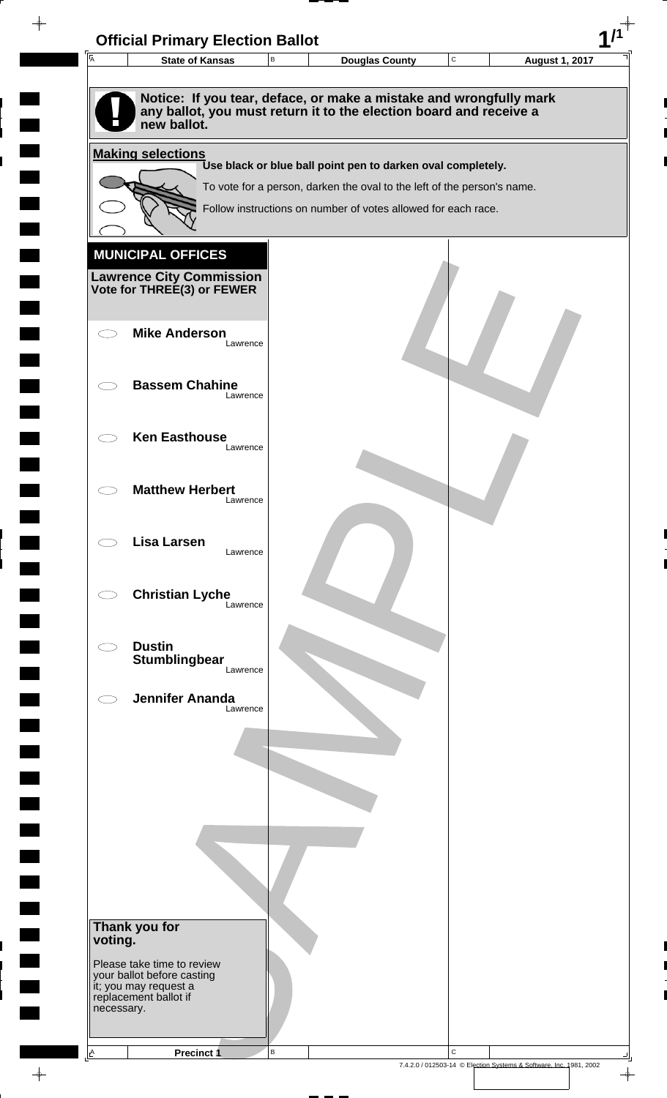| $\overline{A}$ | <b>State of Kansas</b>                                                                                                                                  | $\sf B$ | <b>Douglas County</b>                                                                                                                  | $\mathbf C$ | <b>August 1, 2017</b> |
|----------------|---------------------------------------------------------------------------------------------------------------------------------------------------------|---------|----------------------------------------------------------------------------------------------------------------------------------------|-------------|-----------------------|
|                |                                                                                                                                                         |         |                                                                                                                                        |             |                       |
|                | Notice: If you tear, deface, or make a mistake and wrongfully mark<br>any ballot, you must return it to the election board and receive a<br>new ballot. |         |                                                                                                                                        |             |                       |
|                | <b>Making selections</b>                                                                                                                                |         |                                                                                                                                        |             |                       |
|                |                                                                                                                                                         |         | Use black or blue ball point pen to darken oval completely.<br>To vote for a person, darken the oval to the left of the person's name. |             |                       |
|                |                                                                                                                                                         |         | Follow instructions on number of votes allowed for each race.                                                                          |             |                       |
|                |                                                                                                                                                         |         |                                                                                                                                        |             |                       |
|                | <b>MUNICIPAL OFFICES</b>                                                                                                                                |         |                                                                                                                                        |             |                       |
|                | <b>Lawrence City Commission</b>                                                                                                                         |         |                                                                                                                                        |             |                       |
|                | Vote for THREE(3) or FEWER                                                                                                                              |         |                                                                                                                                        |             |                       |
|                | <b>Mike Anderson</b>                                                                                                                                    |         |                                                                                                                                        |             |                       |
|                | Lawrence                                                                                                                                                |         |                                                                                                                                        |             |                       |
|                | <b>Bassem Chahine</b>                                                                                                                                   |         |                                                                                                                                        |             |                       |
|                | Lawrence                                                                                                                                                |         |                                                                                                                                        |             |                       |
|                | <b>Ken Easthouse</b>                                                                                                                                    |         |                                                                                                                                        |             |                       |
|                | Lawrence                                                                                                                                                |         |                                                                                                                                        |             |                       |
|                |                                                                                                                                                         |         |                                                                                                                                        |             |                       |
|                | <b>Matthew Herbert</b><br>Lawrence                                                                                                                      |         |                                                                                                                                        |             |                       |
|                |                                                                                                                                                         |         |                                                                                                                                        |             |                       |
|                | <b>Lisa Larsen</b><br>Lawrence                                                                                                                          |         |                                                                                                                                        |             |                       |
|                |                                                                                                                                                         |         |                                                                                                                                        |             |                       |
|                | <b>Christian Lyche</b><br>Lawrence                                                                                                                      |         |                                                                                                                                        |             |                       |
|                |                                                                                                                                                         |         |                                                                                                                                        |             |                       |
|                | <b>Dustin</b><br>Stumblingbear                                                                                                                          |         |                                                                                                                                        |             |                       |
|                | Lawrence                                                                                                                                                |         |                                                                                                                                        |             |                       |
|                | <b>Jennifer Ananda</b><br>Lawrence                                                                                                                      |         |                                                                                                                                        |             |                       |
|                |                                                                                                                                                         |         |                                                                                                                                        |             |                       |
|                |                                                                                                                                                         |         |                                                                                                                                        |             |                       |
|                |                                                                                                                                                         |         |                                                                                                                                        |             |                       |
|                |                                                                                                                                                         |         |                                                                                                                                        |             |                       |
|                |                                                                                                                                                         |         |                                                                                                                                        |             |                       |
|                |                                                                                                                                                         |         |                                                                                                                                        |             |                       |
|                |                                                                                                                                                         |         |                                                                                                                                        |             |                       |
|                |                                                                                                                                                         |         |                                                                                                                                        |             |                       |
| voting.        | Thank you for                                                                                                                                           |         |                                                                                                                                        |             |                       |
|                | Please take time to review<br>your ballot before casting                                                                                                |         |                                                                                                                                        |             |                       |
|                | it; you may request a<br>replacement ballot if                                                                                                          |         |                                                                                                                                        |             |                       |
|                | necessary.                                                                                                                                              |         |                                                                                                                                        |             |                       |

 $\blacksquare$ 

 $\blacksquare$ 

 $\begin{array}{c} \hline \end{array}$ 

 $\begin{array}{c} \hline \end{array}$ 

 $\blacksquare$ 

 $\begin{array}{c}\n\downarrow \\
\downarrow \\
\downarrow\n\end{array}$ 

 $\begin{bmatrix} 1 \\ 1 \end{bmatrix}$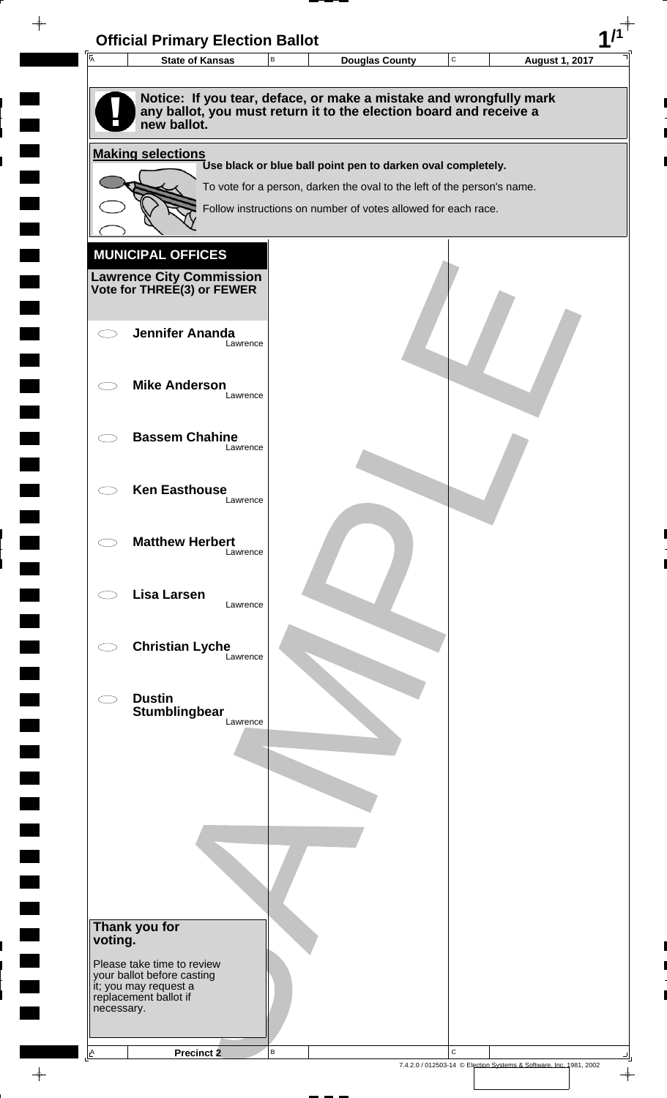| 匠          | <b>State of Kansas</b>                                   | В | <b>Douglas County</b>                                                   | C | <b>August 1, 2017</b> |
|------------|----------------------------------------------------------|---|-------------------------------------------------------------------------|---|-----------------------|
|            |                                                          |   |                                                                         |   |                       |
|            |                                                          |   | Notice: If you tear, deface, or make a mistake and wrongfully mark      |   |                       |
|            | new ballot.                                              |   | any ballot, you must return it to the election board and receive a      |   |                       |
|            |                                                          |   |                                                                         |   |                       |
|            | <b>Making selections</b>                                 |   | Use black or blue ball point pen to darken oval completely.             |   |                       |
|            |                                                          |   | To vote for a person, darken the oval to the left of the person's name. |   |                       |
|            |                                                          |   | Follow instructions on number of votes allowed for each race.           |   |                       |
|            |                                                          |   |                                                                         |   |                       |
|            | <b>MUNICIPAL OFFICES</b>                                 |   |                                                                         |   |                       |
|            | <b>Lawrence City Commission</b>                          |   |                                                                         |   |                       |
|            | Vote for THREE(3) or FEWER                               |   |                                                                         |   |                       |
|            |                                                          |   |                                                                         |   |                       |
|            | <b>Jennifer Ananda</b><br>Lawrence                       |   |                                                                         |   |                       |
|            |                                                          |   |                                                                         |   |                       |
|            | <b>Mike Anderson</b>                                     |   |                                                                         |   |                       |
|            | Lawrence                                                 |   |                                                                         |   |                       |
|            | <b>Bassem Chahine</b>                                    |   |                                                                         |   |                       |
|            | Lawrence                                                 |   |                                                                         |   |                       |
|            |                                                          |   |                                                                         |   |                       |
|            | <b>Ken Easthouse</b><br>Lawrence                         |   |                                                                         |   |                       |
|            |                                                          |   |                                                                         |   |                       |
|            | <b>Matthew Herbert</b>                                   |   |                                                                         |   |                       |
|            | Lawrence                                                 |   |                                                                         |   |                       |
|            | <b>Lisa Larsen</b>                                       |   |                                                                         |   |                       |
|            | Lawrence                                                 |   |                                                                         |   |                       |
|            |                                                          |   |                                                                         |   |                       |
|            | <b>Christian Lyche</b><br>Lawrence                       |   |                                                                         |   |                       |
|            |                                                          |   |                                                                         |   |                       |
|            | <b>Dustin</b>                                            |   |                                                                         |   |                       |
|            | Stumblingbear<br>Lawrence                                |   |                                                                         |   |                       |
|            |                                                          |   |                                                                         |   |                       |
|            |                                                          |   |                                                                         |   |                       |
|            |                                                          |   |                                                                         |   |                       |
|            |                                                          |   |                                                                         |   |                       |
|            |                                                          |   |                                                                         |   |                       |
|            |                                                          |   |                                                                         |   |                       |
|            |                                                          |   |                                                                         |   |                       |
|            |                                                          |   |                                                                         |   |                       |
|            | Thank you for                                            |   |                                                                         |   |                       |
| voting.    |                                                          |   |                                                                         |   |                       |
|            | Please take time to review<br>your ballot before casting |   |                                                                         |   |                       |
|            | it; you may request a<br>replacement ballot if           |   |                                                                         |   |                       |
| necessary. |                                                          |   |                                                                         |   |                       |
|            |                                                          |   |                                                                         |   |                       |

 $\blacksquare$ 

 $\blacksquare$ 

 $\begin{array}{c} \hline \end{array}$ 

 $\begin{array}{c} \begin{array}{c} \hline \end{array} \end{array}$ 

 $\frac{1}{\sqrt{2\pi}}\int_{0}^{\pi}\frac{1}{\sqrt{2\pi}}\left( \frac{1}{\sqrt{2\pi}}\right) \frac{d\mu}{d\mu}d\mu$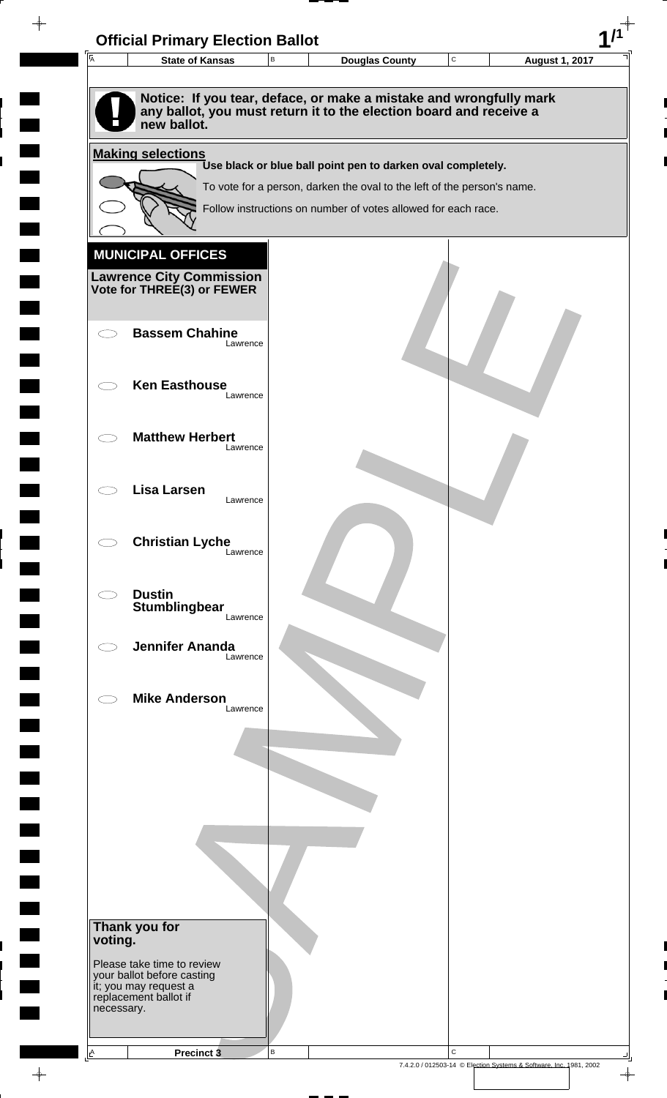| $\overline{A}$           | <b>State of Kansas</b>                                        | $\, {\sf B}$ | <b>Douglas County</b>                                                                                                                    | $\mathtt{C}$ | <b>August 1, 2017</b> |
|--------------------------|---------------------------------------------------------------|--------------|------------------------------------------------------------------------------------------------------------------------------------------|--------------|-----------------------|
|                          | new ballot.                                                   |              | Notice: If you tear, deface, or make a mistake and wrongfully mark<br>any ballot, you must return it to the election board and receive a |              |                       |
|                          | <b>Making selections</b>                                      |              |                                                                                                                                          |              |                       |
|                          |                                                               |              | Use black or blue ball point pen to darken oval completely.<br>To vote for a person, darken the oval to the left of the person's name.   |              |                       |
|                          |                                                               |              | Follow instructions on number of votes allowed for each race.                                                                            |              |                       |
|                          |                                                               |              |                                                                                                                                          |              |                       |
|                          | <b>MUNICIPAL OFFICES</b>                                      |              |                                                                                                                                          |              |                       |
|                          | <b>Lawrence City Commission</b><br>Vote for THREE(3) or FEWER |              |                                                                                                                                          |              |                       |
|                          |                                                               |              |                                                                                                                                          |              |                       |
|                          | <b>Bassem Chahine</b><br>Lawrence                             |              |                                                                                                                                          |              |                       |
|                          | <b>Ken Easthouse</b>                                          |              |                                                                                                                                          |              |                       |
|                          | Lawrence                                                      |              |                                                                                                                                          |              |                       |
|                          | <b>Matthew Herbert</b>                                        |              |                                                                                                                                          |              |                       |
|                          | Lawrence                                                      |              |                                                                                                                                          |              |                       |
|                          | Lisa Larsen<br>Lawrence                                       |              |                                                                                                                                          |              |                       |
|                          |                                                               |              |                                                                                                                                          |              |                       |
|                          | <b>Christian Lyche</b><br>Lawrence                            |              |                                                                                                                                          |              |                       |
|                          |                                                               |              |                                                                                                                                          |              |                       |
|                          | <b>Dustin</b><br>Stumblingbear                                |              |                                                                                                                                          |              |                       |
|                          | Lawrence                                                      |              |                                                                                                                                          |              |                       |
|                          | <b>Jennifer Ananda</b><br>Lawrence                            |              |                                                                                                                                          |              |                       |
|                          | <b>Mike Anderson</b>                                          |              |                                                                                                                                          |              |                       |
|                          | Lawrence                                                      |              |                                                                                                                                          |              |                       |
|                          |                                                               |              |                                                                                                                                          |              |                       |
|                          |                                                               |              |                                                                                                                                          |              |                       |
|                          |                                                               |              |                                                                                                                                          |              |                       |
|                          |                                                               |              |                                                                                                                                          |              |                       |
|                          |                                                               |              |                                                                                                                                          |              |                       |
|                          |                                                               |              |                                                                                                                                          |              |                       |
|                          |                                                               |              |                                                                                                                                          |              |                       |
| Thank you for<br>voting. |                                                               |              |                                                                                                                                          |              |                       |
|                          | Please take time to review<br>your ballot before casting      |              |                                                                                                                                          |              |                       |
|                          | it; you may request a<br>replacement ballot if                |              |                                                                                                                                          |              |                       |
| necessary.               |                                                               |              |                                                                                                                                          |              |                       |

 $\frac{1}{\sqrt{2\pi}}$ 

 $\overline{\phantom{a}}$ 

 $\blacksquare$ 

 $\blacksquare$ 

 $\begin{array}{c} \hline \end{array}$ 

 $\begin{array}{c} \hline \end{array}$ 

 $\blacksquare$ 

7.4.2.0 / 012503-14 © Election Systems & Software, Inc. 1981, 2002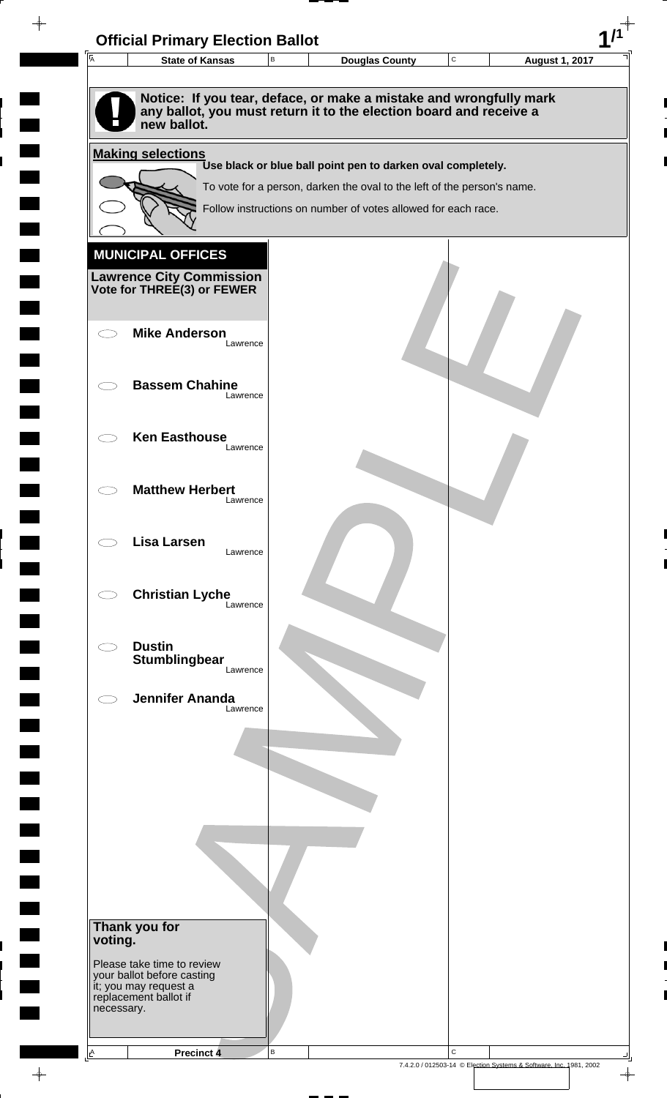|            | <b>State of Kansas</b>                                                                                                                                  | $\sf B$ | <b>Douglas County</b>                                                                                                                    | $\mathbf C$ | <b>August 1, 2017</b> |
|------------|---------------------------------------------------------------------------------------------------------------------------------------------------------|---------|------------------------------------------------------------------------------------------------------------------------------------------|-------------|-----------------------|
|            |                                                                                                                                                         |         |                                                                                                                                          |             |                       |
|            | Notice: If you tear, deface, or make a mistake and wrongfully mark<br>any ballot, you must return it to the election board and receive a<br>new ballot. |         |                                                                                                                                          |             |                       |
|            | <b>Making selections</b>                                                                                                                                |         |                                                                                                                                          |             |                       |
|            |                                                                                                                                                         |         | Use black or blue ball point pen to darken oval completely.                                                                              |             |                       |
|            |                                                                                                                                                         |         | To vote for a person, darken the oval to the left of the person's name.<br>Follow instructions on number of votes allowed for each race. |             |                       |
|            |                                                                                                                                                         |         |                                                                                                                                          |             |                       |
|            | <b>MUNICIPAL OFFICES</b>                                                                                                                                |         |                                                                                                                                          |             |                       |
|            | <b>Lawrence City Commission</b>                                                                                                                         |         |                                                                                                                                          |             |                       |
|            | Vote for THREE(3) or FEWER                                                                                                                              |         |                                                                                                                                          |             |                       |
|            |                                                                                                                                                         |         |                                                                                                                                          |             |                       |
|            | <b>Mike Anderson</b><br>Lawrence                                                                                                                        |         |                                                                                                                                          |             |                       |
|            |                                                                                                                                                         |         |                                                                                                                                          |             |                       |
|            | <b>Bassem Chahine</b><br>Lawrence                                                                                                                       |         |                                                                                                                                          |             |                       |
|            |                                                                                                                                                         |         |                                                                                                                                          |             |                       |
|            | <b>Ken Easthouse</b><br>Lawrence                                                                                                                        |         |                                                                                                                                          |             |                       |
|            |                                                                                                                                                         |         |                                                                                                                                          |             |                       |
|            | <b>Matthew Herbert</b><br>Lawrence                                                                                                                      |         |                                                                                                                                          |             |                       |
|            |                                                                                                                                                         |         |                                                                                                                                          |             |                       |
|            | <b>Lisa Larsen</b><br>Lawrence                                                                                                                          |         |                                                                                                                                          |             |                       |
|            |                                                                                                                                                         |         |                                                                                                                                          |             |                       |
|            | <b>Christian Lyche</b>                                                                                                                                  |         |                                                                                                                                          |             |                       |
|            | Lawrence                                                                                                                                                |         |                                                                                                                                          |             |                       |
|            | <b>Dustin</b>                                                                                                                                           |         |                                                                                                                                          |             |                       |
|            | Stumblingbear<br>Lawrence                                                                                                                               |         |                                                                                                                                          |             |                       |
|            | <b>Jennifer Ananda</b>                                                                                                                                  |         |                                                                                                                                          |             |                       |
|            | Lawrence                                                                                                                                                |         |                                                                                                                                          |             |                       |
|            |                                                                                                                                                         |         |                                                                                                                                          |             |                       |
|            |                                                                                                                                                         |         |                                                                                                                                          |             |                       |
|            |                                                                                                                                                         |         |                                                                                                                                          |             |                       |
|            |                                                                                                                                                         |         |                                                                                                                                          |             |                       |
|            |                                                                                                                                                         |         |                                                                                                                                          |             |                       |
|            |                                                                                                                                                         |         |                                                                                                                                          |             |                       |
|            |                                                                                                                                                         |         |                                                                                                                                          |             |                       |
|            |                                                                                                                                                         |         |                                                                                                                                          |             |                       |
| voting.    | Thank you for                                                                                                                                           |         |                                                                                                                                          |             |                       |
|            | Please take time to review<br>your ballot before casting                                                                                                |         |                                                                                                                                          |             |                       |
|            | it; you may request a<br>replacement ballot if                                                                                                          |         |                                                                                                                                          |             |                       |
| necessary. |                                                                                                                                                         |         |                                                                                                                                          |             |                       |

 $\blacksquare$ 

 $\blacksquare$ 

 $\begin{array}{c} \hline \end{array}$ 

 $\begin{array}{c} \hline \end{array}$ 

 $\blacksquare$ 

 $\begin{array}{c}\n\downarrow \\
\downarrow \\
\downarrow\n\end{array}$ 

 $\begin{bmatrix} 1 \\ 1 \end{bmatrix}$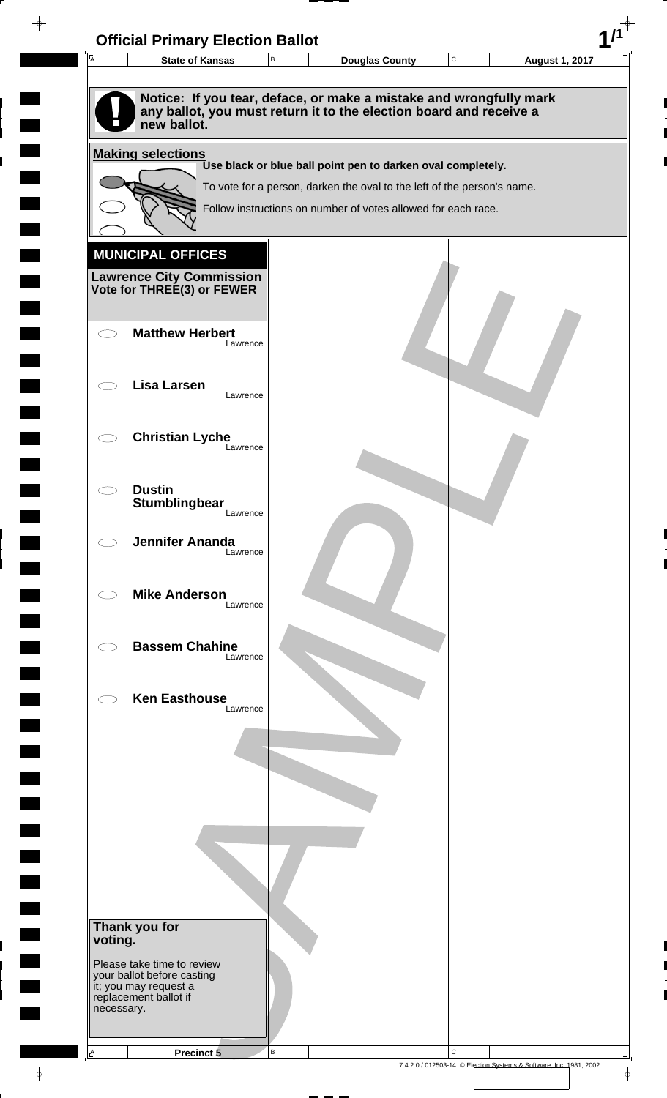

 $\overline{\phantom{a}}$ 

**Contract** 

 $\overline{\phantom{0}}$ 

 $\overline{\phantom{0}}$ 

 $\rightarrow$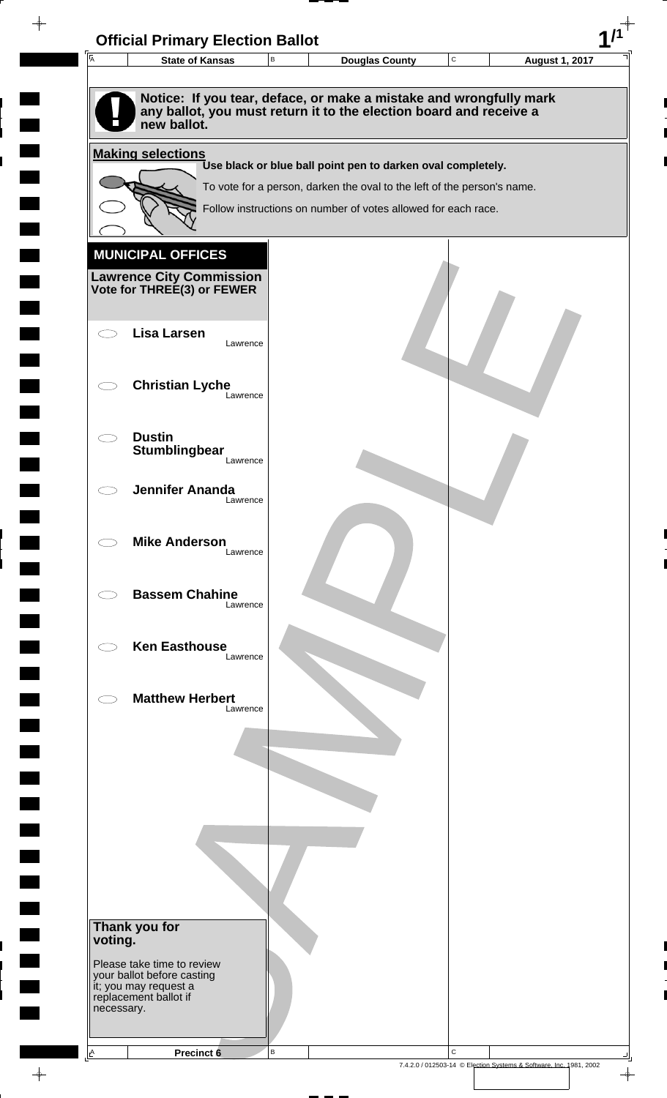

 $\rightarrow$ 

 $\overline{\phantom{a}}$ 

**Contract** 

 $\overline{\phantom{a}}$ 

**The State** 

 $\blacksquare$ 

 $\overline{\phantom{0}}$ 

 $\overline{\phantom{a}}$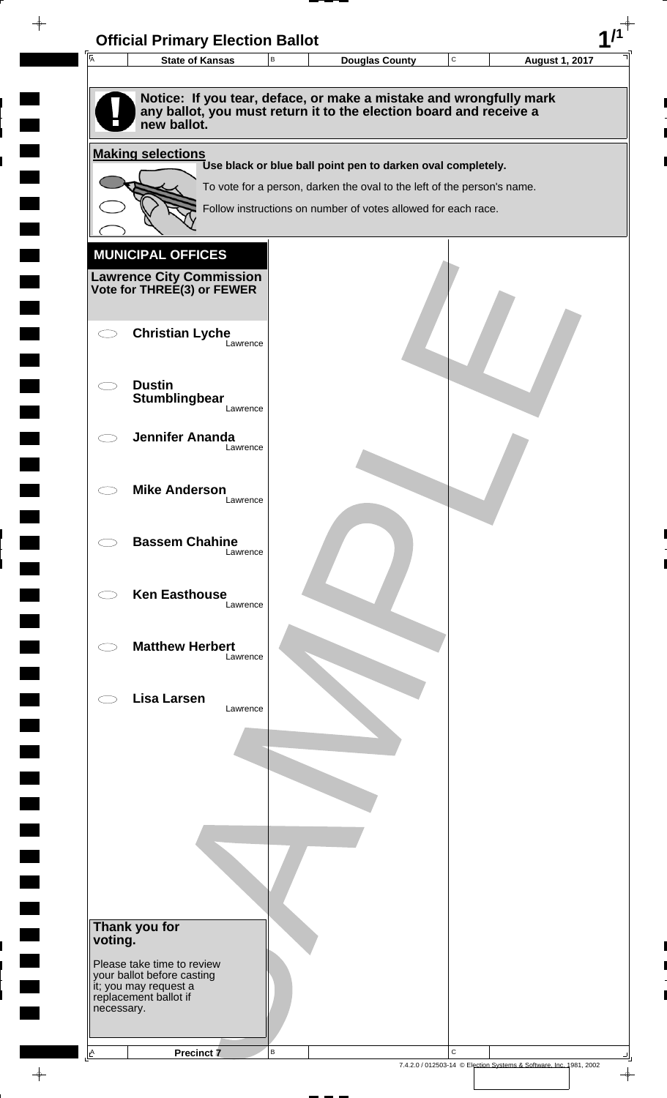| $\overline{\mathsf{A}}$ | <b>State of Kansas</b>                                     |          | B | <b>Douglas County</b>                                                                                                                    | $\mathbf C$ | <b>August 1, 2017</b> |  |
|-------------------------|------------------------------------------------------------|----------|---|------------------------------------------------------------------------------------------------------------------------------------------|-------------|-----------------------|--|
|                         |                                                            |          |   |                                                                                                                                          |             |                       |  |
|                         | new ballot.                                                |          |   | Notice: If you tear, deface, or make a mistake and wrongfully mark<br>any ballot, you must return it to the election board and receive a |             |                       |  |
|                         | <b>Making selections</b>                                   |          |   |                                                                                                                                          |             |                       |  |
|                         |                                                            |          |   | Use black or blue ball point pen to darken oval completely.                                                                              |             |                       |  |
|                         |                                                            |          |   | To vote for a person, darken the oval to the left of the person's name.                                                                  |             |                       |  |
|                         |                                                            |          |   | Follow instructions on number of votes allowed for each race.                                                                            |             |                       |  |
|                         |                                                            |          |   |                                                                                                                                          |             |                       |  |
|                         | <b>MUNICIPAL OFFICES</b>                                   |          |   |                                                                                                                                          |             |                       |  |
|                         | <b>Lawrence City Commission Vote for THREE(3) or FEWER</b> |          |   |                                                                                                                                          |             |                       |  |
|                         |                                                            |          |   |                                                                                                                                          |             |                       |  |
|                         | <b>Christian Lyche</b>                                     |          |   |                                                                                                                                          |             |                       |  |
|                         |                                                            | Lawrence |   |                                                                                                                                          |             |                       |  |
|                         | <b>Dustin</b>                                              |          |   |                                                                                                                                          |             |                       |  |
|                         | Stumblingbear                                              | Lawrence |   |                                                                                                                                          |             |                       |  |
|                         |                                                            |          |   |                                                                                                                                          |             |                       |  |
|                         | <b>Jennifer Ananda</b>                                     | Lawrence |   |                                                                                                                                          |             |                       |  |
|                         |                                                            |          |   |                                                                                                                                          |             |                       |  |
|                         | <b>Mike Anderson</b>                                       |          |   |                                                                                                                                          |             |                       |  |
|                         |                                                            | Lawrence |   |                                                                                                                                          |             |                       |  |
|                         | <b>Bassem Chahine</b>                                      |          |   |                                                                                                                                          |             |                       |  |
|                         |                                                            | Lawrence |   |                                                                                                                                          |             |                       |  |
|                         |                                                            |          |   |                                                                                                                                          |             |                       |  |
|                         | <b>Ken Easthouse</b>                                       | Lawrence |   |                                                                                                                                          |             |                       |  |
|                         |                                                            |          |   |                                                                                                                                          |             |                       |  |
|                         | <b>Matthew Herbert</b>                                     |          |   |                                                                                                                                          |             |                       |  |
|                         |                                                            | Lawrence |   |                                                                                                                                          |             |                       |  |
|                         | <b>Lisa Larsen</b>                                         |          |   |                                                                                                                                          |             |                       |  |
|                         |                                                            | Lawrence |   |                                                                                                                                          |             |                       |  |
|                         |                                                            |          |   |                                                                                                                                          |             |                       |  |
|                         |                                                            |          |   |                                                                                                                                          |             |                       |  |
|                         |                                                            |          |   |                                                                                                                                          |             |                       |  |
|                         |                                                            |          |   |                                                                                                                                          |             |                       |  |
|                         |                                                            |          |   |                                                                                                                                          |             |                       |  |
|                         |                                                            |          |   |                                                                                                                                          |             |                       |  |
|                         |                                                            |          |   |                                                                                                                                          |             |                       |  |
|                         |                                                            |          |   |                                                                                                                                          |             |                       |  |
|                         | Thank you for                                              |          |   |                                                                                                                                          |             |                       |  |
| voting.                 |                                                            |          |   |                                                                                                                                          |             |                       |  |
|                         | Please take time to review                                 |          |   |                                                                                                                                          |             |                       |  |
|                         | your ballot before casting<br>it; you may request a        |          |   |                                                                                                                                          |             |                       |  |
| necessary.              | replacement ballot if                                      |          |   |                                                                                                                                          |             |                       |  |
|                         |                                                            |          |   |                                                                                                                                          |             |                       |  |
|                         |                                                            |          |   |                                                                                                                                          |             |                       |  |

 $\blacksquare$ 

 $\blacksquare$ 

 $\begin{array}{c} \begin{array}{c} \hline \end{array} \end{array}$ 

 $\frac{1}{\sqrt{2\pi}}\int_{0}^{\pi}\frac{1}{\sqrt{2\pi}}\left( \frac{1}{\sqrt{2\pi}}\right) \frac{d\mu}{d\mu}d\mu$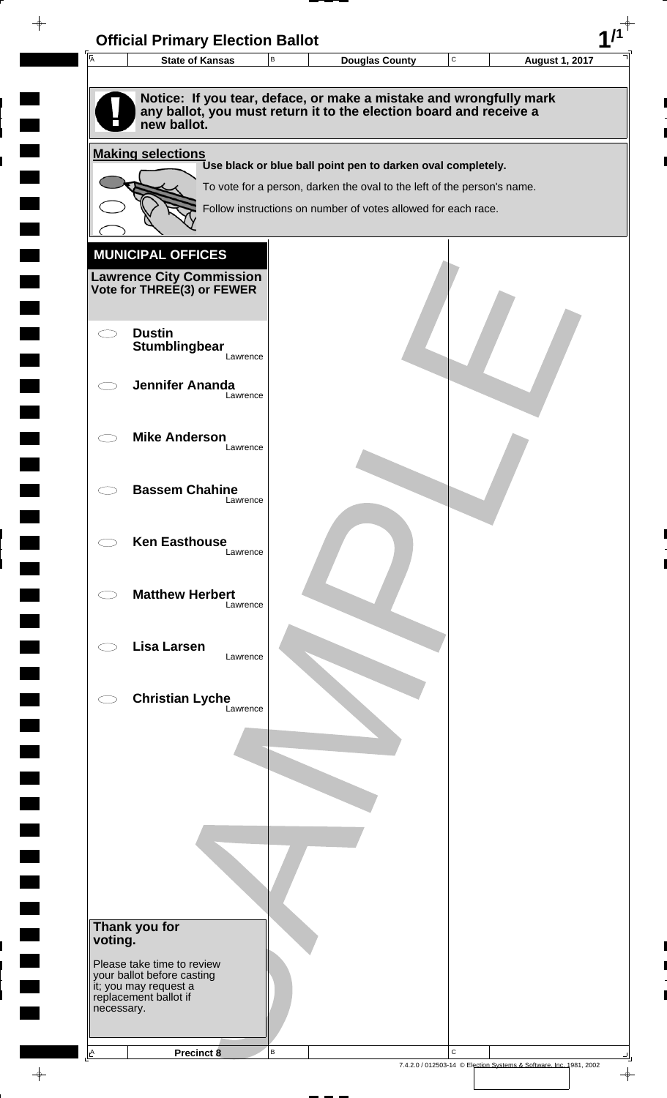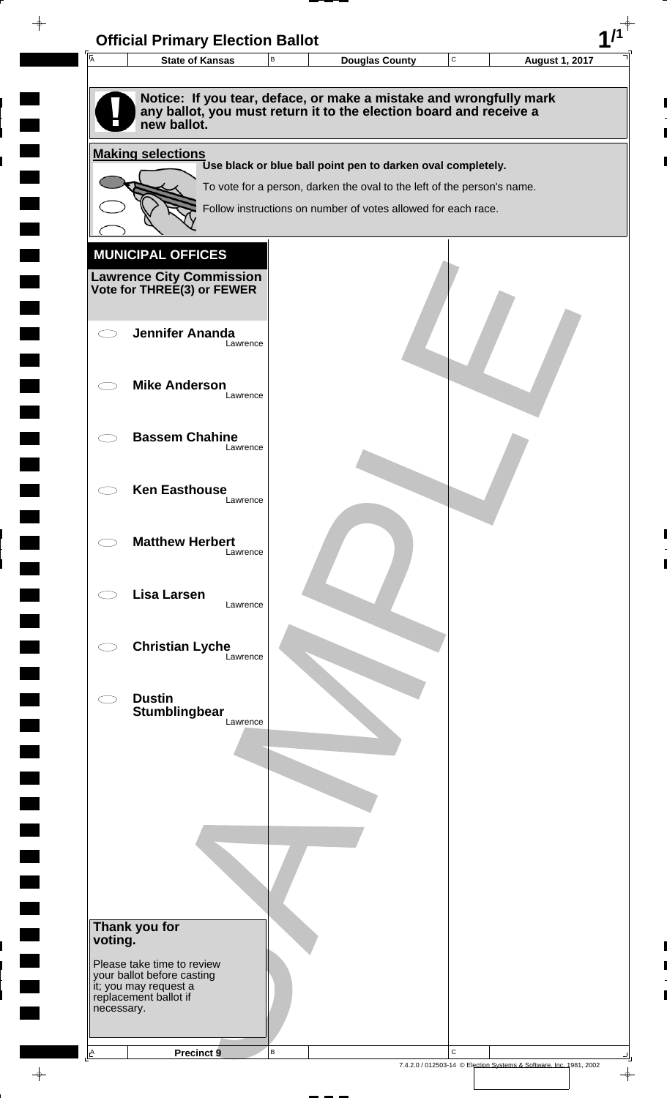| 匠          | <b>State of Kansas</b>                                   | В | <b>Douglas County</b>                                                   | C | <b>August 1, 2017</b> |
|------------|----------------------------------------------------------|---|-------------------------------------------------------------------------|---|-----------------------|
|            |                                                          |   |                                                                         |   |                       |
|            |                                                          |   | Notice: If you tear, deface, or make a mistake and wrongfully mark      |   |                       |
|            | new ballot.                                              |   | any ballot, you must return it to the election board and receive a      |   |                       |
|            | <b>Making selections</b>                                 |   |                                                                         |   |                       |
|            |                                                          |   | Use black or blue ball point pen to darken oval completely.             |   |                       |
|            |                                                          |   | To vote for a person, darken the oval to the left of the person's name. |   |                       |
|            |                                                          |   | Follow instructions on number of votes allowed for each race.           |   |                       |
|            |                                                          |   |                                                                         |   |                       |
|            | <b>MUNICIPAL OFFICES</b>                                 |   |                                                                         |   |                       |
|            | <b>Lawrence City Commission</b>                          |   |                                                                         |   |                       |
|            | Vote for THREE(3) or FEWER                               |   |                                                                         |   |                       |
|            |                                                          |   |                                                                         |   |                       |
|            | <b>Jennifer Ananda</b><br>Lawrence                       |   |                                                                         |   |                       |
|            |                                                          |   |                                                                         |   |                       |
|            | <b>Mike Anderson</b><br>Lawrence                         |   |                                                                         |   |                       |
|            |                                                          |   |                                                                         |   |                       |
|            | <b>Bassem Chahine</b>                                    |   |                                                                         |   |                       |
|            | Lawrence                                                 |   |                                                                         |   |                       |
|            |                                                          |   |                                                                         |   |                       |
|            | <b>Ken Easthouse</b><br>Lawrence                         |   |                                                                         |   |                       |
|            |                                                          |   |                                                                         |   |                       |
|            | <b>Matthew Herbert</b>                                   |   |                                                                         |   |                       |
|            | Lawrence                                                 |   |                                                                         |   |                       |
|            | <b>Lisa Larsen</b>                                       |   |                                                                         |   |                       |
|            | Lawrence                                                 |   |                                                                         |   |                       |
|            |                                                          |   |                                                                         |   |                       |
|            | <b>Christian Lyche</b><br>Lawrence                       |   |                                                                         |   |                       |
|            |                                                          |   |                                                                         |   |                       |
|            | <b>Dustin</b>                                            |   |                                                                         |   |                       |
|            | Stumblingbear<br>Lawrence                                |   |                                                                         |   |                       |
|            |                                                          |   |                                                                         |   |                       |
|            |                                                          |   |                                                                         |   |                       |
|            |                                                          |   |                                                                         |   |                       |
|            |                                                          |   |                                                                         |   |                       |
|            |                                                          |   |                                                                         |   |                       |
|            |                                                          |   |                                                                         |   |                       |
|            |                                                          |   |                                                                         |   |                       |
|            |                                                          |   |                                                                         |   |                       |
|            | Thank you for                                            |   |                                                                         |   |                       |
| voting.    |                                                          |   |                                                                         |   |                       |
|            | Please take time to review<br>your ballot before casting |   |                                                                         |   |                       |
|            | it; you may request a<br>replacement ballot if           |   |                                                                         |   |                       |
| necessary. |                                                          |   |                                                                         |   |                       |
|            |                                                          |   |                                                                         |   |                       |

 $\blacksquare$ 

 $\blacksquare$ 

 $\begin{array}{c} \hline \end{array}$ 

 $\begin{array}{c} \begin{array}{c} \hline \end{array} \end{array}$ 

 $\frac{1}{\sqrt{2\pi}}\int_{0}^{\pi}\frac{1}{\sqrt{2\pi}}\left( \frac{1}{\sqrt{2\pi}}\right) \frac{d\mu}{d\mu}d\mu$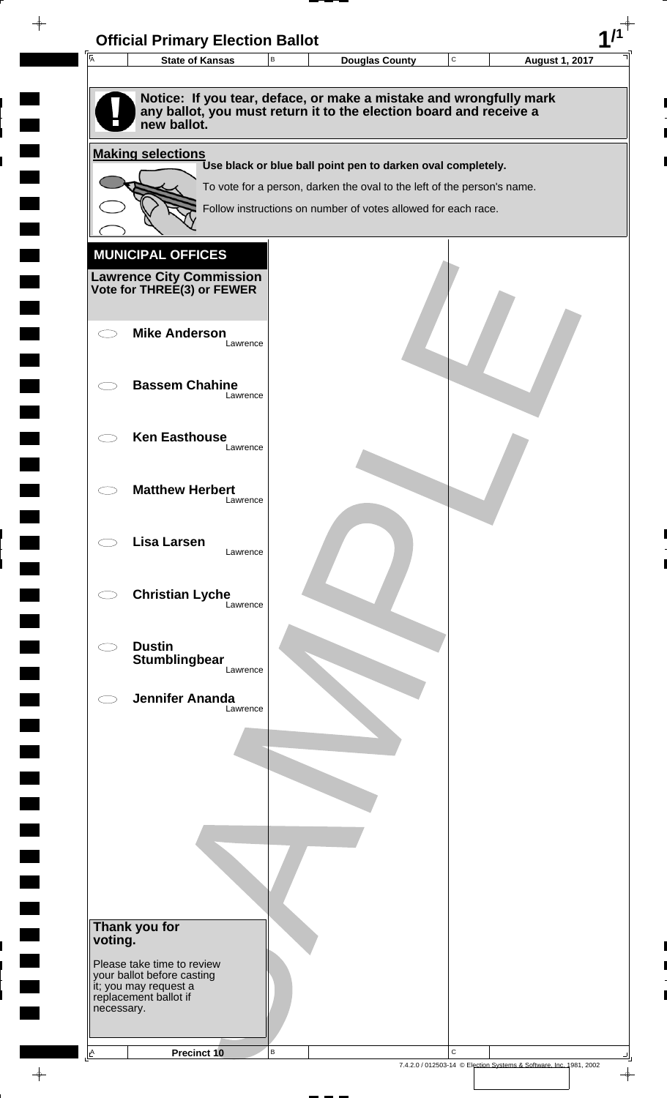| $\overline{A}$ | <b>State of Kansas</b>                                                                                                                                  | В        | <b>Douglas County</b>                                                   | $\mathbf C$ | <b>August 1, 2017</b> |
|----------------|---------------------------------------------------------------------------------------------------------------------------------------------------------|----------|-------------------------------------------------------------------------|-------------|-----------------------|
|                |                                                                                                                                                         |          |                                                                         |             |                       |
|                | Notice: If you tear, deface, or make a mistake and wrongfully mark<br>any ballot, you must return it to the election board and receive a<br>new ballot. |          |                                                                         |             |                       |
|                | <b>Making selections</b>                                                                                                                                |          |                                                                         |             |                       |
|                |                                                                                                                                                         |          | Use black or blue ball point pen to darken oval completely.             |             |                       |
|                |                                                                                                                                                         |          | To vote for a person, darken the oval to the left of the person's name. |             |                       |
|                |                                                                                                                                                         |          | Follow instructions on number of votes allowed for each race.           |             |                       |
|                |                                                                                                                                                         |          |                                                                         |             |                       |
|                | <b>MUNICIPAL OFFICES</b>                                                                                                                                |          |                                                                         |             |                       |
|                | <b>Lawrence City Commission Vote for THREE(3) or FEWER</b>                                                                                              |          |                                                                         |             |                       |
|                |                                                                                                                                                         |          |                                                                         |             |                       |
|                | <b>Mike Anderson</b>                                                                                                                                    |          |                                                                         |             |                       |
|                |                                                                                                                                                         | Lawrence |                                                                         |             |                       |
|                | <b>Bassem Chahine</b>                                                                                                                                   |          |                                                                         |             |                       |
|                |                                                                                                                                                         | Lawrence |                                                                         |             |                       |
|                |                                                                                                                                                         |          |                                                                         |             |                       |
|                | <b>Ken Easthouse</b>                                                                                                                                    | Lawrence |                                                                         |             |                       |
|                |                                                                                                                                                         |          |                                                                         |             |                       |
|                | <b>Matthew Herbert</b>                                                                                                                                  |          |                                                                         |             |                       |
|                |                                                                                                                                                         | Lawrence |                                                                         |             |                       |
|                | <b>Lisa Larsen</b>                                                                                                                                      |          |                                                                         |             |                       |
|                |                                                                                                                                                         | Lawrence |                                                                         |             |                       |
|                |                                                                                                                                                         |          |                                                                         |             |                       |
|                | <b>Christian Lyche</b>                                                                                                                                  | Lawrence |                                                                         |             |                       |
|                |                                                                                                                                                         |          |                                                                         |             |                       |
|                | <b>Dustin</b>                                                                                                                                           |          |                                                                         |             |                       |
|                | <b>Stumblingbear</b>                                                                                                                                    | Lawrence |                                                                         |             |                       |
|                | <b>Jennifer Ananda</b>                                                                                                                                  |          |                                                                         |             |                       |
|                |                                                                                                                                                         | Lawrence |                                                                         |             |                       |
|                |                                                                                                                                                         |          |                                                                         |             |                       |
|                |                                                                                                                                                         |          |                                                                         |             |                       |
|                |                                                                                                                                                         |          |                                                                         |             |                       |
|                |                                                                                                                                                         |          |                                                                         |             |                       |
|                |                                                                                                                                                         |          |                                                                         |             |                       |
|                |                                                                                                                                                         |          |                                                                         |             |                       |
|                |                                                                                                                                                         |          |                                                                         |             |                       |
|                |                                                                                                                                                         |          |                                                                         |             |                       |
|                | Thank you for                                                                                                                                           |          |                                                                         |             |                       |
| voting.        |                                                                                                                                                         |          |                                                                         |             |                       |
|                | Please take time to review<br>your ballot before casting                                                                                                |          |                                                                         |             |                       |
|                | it; you may request a<br>replacement ballot if                                                                                                          |          |                                                                         |             |                       |
| necessary.     |                                                                                                                                                         |          |                                                                         |             |                       |
|                |                                                                                                                                                         |          |                                                                         |             |                       |
|                |                                                                                                                                                         | B        |                                                                         | $\mathbf C$ |                       |

 $\blacksquare$ 

 $\blacksquare$ 

 $\begin{array}{c} \hline \end{array}$ 

 $\begin{array}{c} \hline \end{array}$ 

 $\blacksquare$ 

 $\begin{array}{c}\n\downarrow \\
\downarrow \\
\downarrow\n\end{array}$ 

 $\begin{bmatrix} 1 \\ 1 \end{bmatrix}$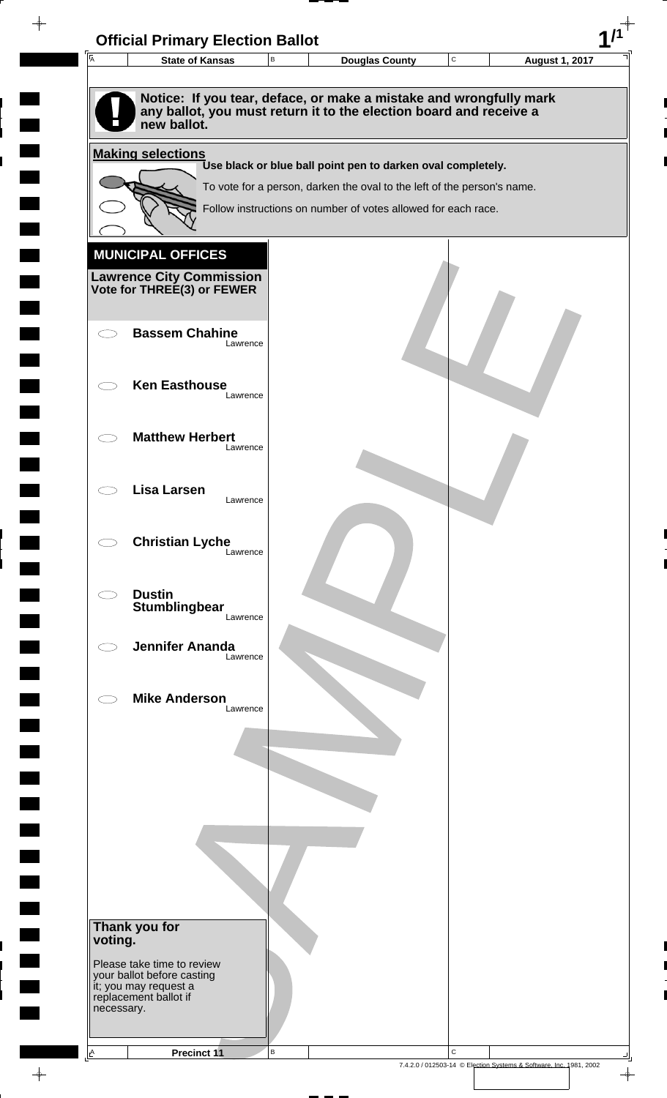| Notice: If you tear, deface, or make a mistake and wrongfully mark<br>any ballot, you must return it to the election board and receive a<br>new ballot.<br>Use black or blue ball point pen to darken oval completely.<br>To vote for a person, darken the oval to the left of the person's name.<br>Follow instructions on number of votes allowed for each race.<br><b>Bassem Chahine</b><br>Lawrence<br><b>Ken Easthouse</b><br>Lawrence<br><b>Matthew Herbert</b><br>Lawrence<br><b>Lisa Larsen</b><br>Lawrence<br><b>Christian Lyche</b><br>Lawrence<br><b>Dustin</b><br>Stumblingbear<br>Lawrence<br><b>Jennifer Ananda</b><br>Lawrence<br><b>Mike Anderson</b><br>Lawrence | <b>Making selections</b><br><b>MUNICIPAL OFFICES</b><br><b>Lawrence City Commission</b><br>Vote for THREE(3) or FEWER<br>Thank you for<br>voting.<br>Please take time to review<br>your ballot before casting<br>it; you may request a<br>replacement ballot if | $\overline{\mathsf{A}}$ | <b>State of Kansas</b> | $\, {\bf B}$ | <b>Douglas County</b> | C | <b>August 1, 2017</b> |
|-----------------------------------------------------------------------------------------------------------------------------------------------------------------------------------------------------------------------------------------------------------------------------------------------------------------------------------------------------------------------------------------------------------------------------------------------------------------------------------------------------------------------------------------------------------------------------------------------------------------------------------------------------------------------------------|-----------------------------------------------------------------------------------------------------------------------------------------------------------------------------------------------------------------------------------------------------------------|-------------------------|------------------------|--------------|-----------------------|---|-----------------------|
|                                                                                                                                                                                                                                                                                                                                                                                                                                                                                                                                                                                                                                                                                   |                                                                                                                                                                                                                                                                 |                         |                        |              |                       |   |                       |
|                                                                                                                                                                                                                                                                                                                                                                                                                                                                                                                                                                                                                                                                                   |                                                                                                                                                                                                                                                                 |                         |                        |              |                       |   |                       |
|                                                                                                                                                                                                                                                                                                                                                                                                                                                                                                                                                                                                                                                                                   |                                                                                                                                                                                                                                                                 |                         |                        |              |                       |   |                       |
|                                                                                                                                                                                                                                                                                                                                                                                                                                                                                                                                                                                                                                                                                   |                                                                                                                                                                                                                                                                 |                         |                        |              |                       |   |                       |
|                                                                                                                                                                                                                                                                                                                                                                                                                                                                                                                                                                                                                                                                                   |                                                                                                                                                                                                                                                                 |                         |                        |              |                       |   |                       |
|                                                                                                                                                                                                                                                                                                                                                                                                                                                                                                                                                                                                                                                                                   |                                                                                                                                                                                                                                                                 |                         |                        |              |                       |   |                       |
|                                                                                                                                                                                                                                                                                                                                                                                                                                                                                                                                                                                                                                                                                   |                                                                                                                                                                                                                                                                 |                         |                        |              |                       |   |                       |
|                                                                                                                                                                                                                                                                                                                                                                                                                                                                                                                                                                                                                                                                                   |                                                                                                                                                                                                                                                                 |                         |                        |              |                       |   |                       |
|                                                                                                                                                                                                                                                                                                                                                                                                                                                                                                                                                                                                                                                                                   |                                                                                                                                                                                                                                                                 |                         |                        |              |                       |   |                       |
|                                                                                                                                                                                                                                                                                                                                                                                                                                                                                                                                                                                                                                                                                   |                                                                                                                                                                                                                                                                 |                         |                        |              |                       |   |                       |
|                                                                                                                                                                                                                                                                                                                                                                                                                                                                                                                                                                                                                                                                                   |                                                                                                                                                                                                                                                                 |                         |                        |              |                       |   |                       |
|                                                                                                                                                                                                                                                                                                                                                                                                                                                                                                                                                                                                                                                                                   |                                                                                                                                                                                                                                                                 |                         |                        |              |                       |   |                       |
|                                                                                                                                                                                                                                                                                                                                                                                                                                                                                                                                                                                                                                                                                   |                                                                                                                                                                                                                                                                 |                         |                        |              |                       |   |                       |
|                                                                                                                                                                                                                                                                                                                                                                                                                                                                                                                                                                                                                                                                                   |                                                                                                                                                                                                                                                                 |                         |                        |              |                       |   |                       |
|                                                                                                                                                                                                                                                                                                                                                                                                                                                                                                                                                                                                                                                                                   |                                                                                                                                                                                                                                                                 |                         |                        |              |                       |   |                       |
|                                                                                                                                                                                                                                                                                                                                                                                                                                                                                                                                                                                                                                                                                   |                                                                                                                                                                                                                                                                 |                         |                        |              |                       |   |                       |
|                                                                                                                                                                                                                                                                                                                                                                                                                                                                                                                                                                                                                                                                                   |                                                                                                                                                                                                                                                                 |                         |                        |              |                       |   |                       |
|                                                                                                                                                                                                                                                                                                                                                                                                                                                                                                                                                                                                                                                                                   |                                                                                                                                                                                                                                                                 |                         |                        |              |                       |   |                       |
|                                                                                                                                                                                                                                                                                                                                                                                                                                                                                                                                                                                                                                                                                   |                                                                                                                                                                                                                                                                 |                         |                        |              |                       |   |                       |
|                                                                                                                                                                                                                                                                                                                                                                                                                                                                                                                                                                                                                                                                                   |                                                                                                                                                                                                                                                                 |                         |                        |              |                       |   |                       |
|                                                                                                                                                                                                                                                                                                                                                                                                                                                                                                                                                                                                                                                                                   |                                                                                                                                                                                                                                                                 |                         |                        |              |                       |   |                       |
|                                                                                                                                                                                                                                                                                                                                                                                                                                                                                                                                                                                                                                                                                   |                                                                                                                                                                                                                                                                 |                         |                        |              |                       |   |                       |
|                                                                                                                                                                                                                                                                                                                                                                                                                                                                                                                                                                                                                                                                                   |                                                                                                                                                                                                                                                                 |                         |                        |              |                       |   |                       |
|                                                                                                                                                                                                                                                                                                                                                                                                                                                                                                                                                                                                                                                                                   |                                                                                                                                                                                                                                                                 |                         |                        |              |                       |   |                       |
|                                                                                                                                                                                                                                                                                                                                                                                                                                                                                                                                                                                                                                                                                   |                                                                                                                                                                                                                                                                 |                         |                        |              |                       |   |                       |
|                                                                                                                                                                                                                                                                                                                                                                                                                                                                                                                                                                                                                                                                                   |                                                                                                                                                                                                                                                                 |                         |                        |              |                       |   |                       |
|                                                                                                                                                                                                                                                                                                                                                                                                                                                                                                                                                                                                                                                                                   |                                                                                                                                                                                                                                                                 |                         |                        |              |                       |   |                       |
|                                                                                                                                                                                                                                                                                                                                                                                                                                                                                                                                                                                                                                                                                   |                                                                                                                                                                                                                                                                 |                         |                        |              |                       |   |                       |
|                                                                                                                                                                                                                                                                                                                                                                                                                                                                                                                                                                                                                                                                                   |                                                                                                                                                                                                                                                                 |                         |                        |              |                       |   |                       |
|                                                                                                                                                                                                                                                                                                                                                                                                                                                                                                                                                                                                                                                                                   |                                                                                                                                                                                                                                                                 |                         |                        |              |                       |   |                       |
|                                                                                                                                                                                                                                                                                                                                                                                                                                                                                                                                                                                                                                                                                   |                                                                                                                                                                                                                                                                 |                         |                        |              |                       |   |                       |
| necessary.                                                                                                                                                                                                                                                                                                                                                                                                                                                                                                                                                                                                                                                                        |                                                                                                                                                                                                                                                                 |                         |                        |              |                       |   |                       |

 $\frac{1}{\sqrt{2\pi}}$ 

 $\overline{\phantom{a}}$ 

 $\blacksquare$ 

 $\blacksquare$ 

 $\begin{array}{c} \hline \end{array}$ 

 $\begin{array}{c} \hline \end{array}$ 

 $\blacksquare$ 

7.4.2.0 / 012503-14 © Election Systems & Software, Inc. 1981, 2002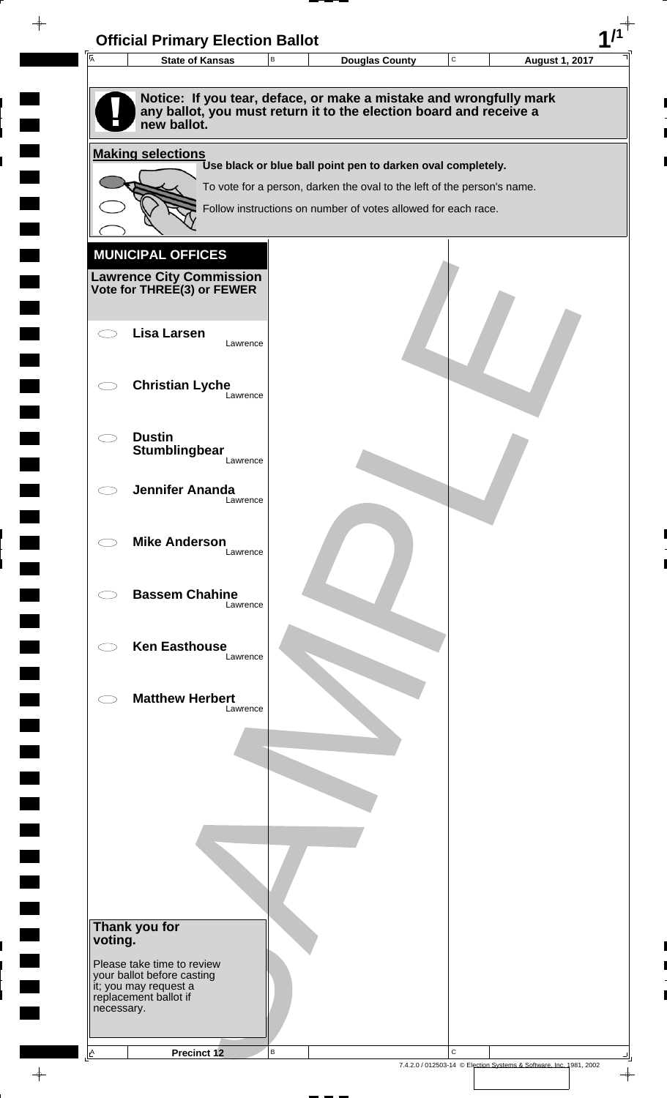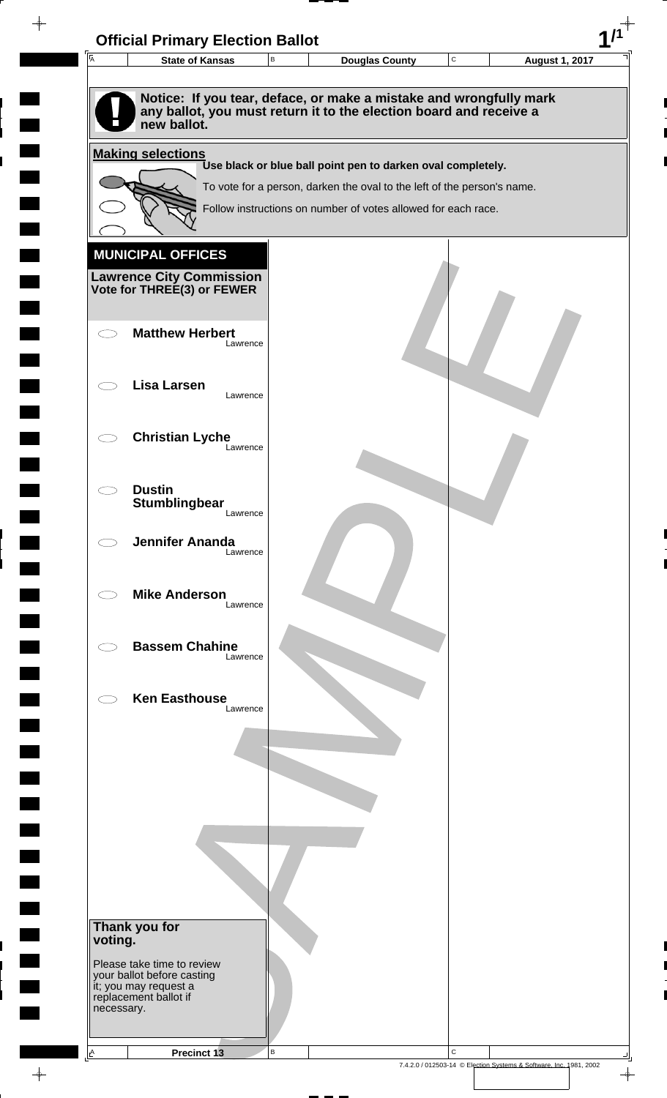| $\overline{A}$ | <b>State of Kansas</b>                                                            | В | Douglas County                                                          | $\mathbf C$ | <b>August 1, 2017</b> |
|----------------|-----------------------------------------------------------------------------------|---|-------------------------------------------------------------------------|-------------|-----------------------|
|                |                                                                                   |   | Notice: If you tear, deface, or make a mistake and wrongfully mark      |             |                       |
|                | new ballot.                                                                       |   | any ballot, you must return it to the election board and receive a      |             |                       |
|                | <b>Making selections</b>                                                          |   | Use black or blue ball point pen to darken oval completely.             |             |                       |
|                |                                                                                   |   | To vote for a person, darken the oval to the left of the person's name. |             |                       |
|                |                                                                                   |   | Follow instructions on number of votes allowed for each race.           |             |                       |
|                | <b>MUNICIPAL OFFICES</b>                                                          |   |                                                                         |             |                       |
|                | <b>Lawrence City Commission Vote for THREE(3) or FEWER</b>                        |   |                                                                         |             |                       |
|                |                                                                                   |   |                                                                         |             |                       |
|                | <b>Matthew Herbert</b><br>Lawrence                                                |   |                                                                         |             |                       |
|                | <b>Lisa Larsen</b><br>Lawrence                                                    |   |                                                                         |             |                       |
|                |                                                                                   |   |                                                                         |             |                       |
|                | <b>Christian Lyche</b><br>Lawrence                                                |   |                                                                         |             |                       |
|                | <b>Dustin</b>                                                                     |   |                                                                         |             |                       |
|                | Stumblingbear<br>Lawrence                                                         |   |                                                                         |             |                       |
|                | <b>Jennifer Ananda</b><br>Lawrence                                                |   |                                                                         |             |                       |
|                |                                                                                   |   |                                                                         |             |                       |
|                | <b>Mike Anderson</b><br>Lawrence                                                  |   |                                                                         |             |                       |
|                | <b>Bassem Chahine</b><br>Lawrence                                                 |   |                                                                         |             |                       |
|                |                                                                                   |   |                                                                         |             |                       |
|                | <b>Ken Easthouse</b><br>Lawrence                                                  |   |                                                                         |             |                       |
|                |                                                                                   |   |                                                                         |             |                       |
|                |                                                                                   |   |                                                                         |             |                       |
|                |                                                                                   |   |                                                                         |             |                       |
|                |                                                                                   |   |                                                                         |             |                       |
|                |                                                                                   |   |                                                                         |             |                       |
|                |                                                                                   |   |                                                                         |             |                       |
| voting.        | Thank you for                                                                     |   |                                                                         |             |                       |
|                | Please take time to review<br>your ballot before casting<br>it; you may request a |   |                                                                         |             |                       |
| necessary.     | replacement ballot if                                                             |   |                                                                         |             |                       |
|                |                                                                                   |   |                                                                         |             |                       |

 $\blacksquare$ 

 $\blacksquare$ 

 $\begin{array}{c} \hline \end{array}$ 

 $\begin{array}{c} \hline \end{array}$ 

 $\blacksquare$ 

 $\frac{1}{\sqrt{2\pi}}$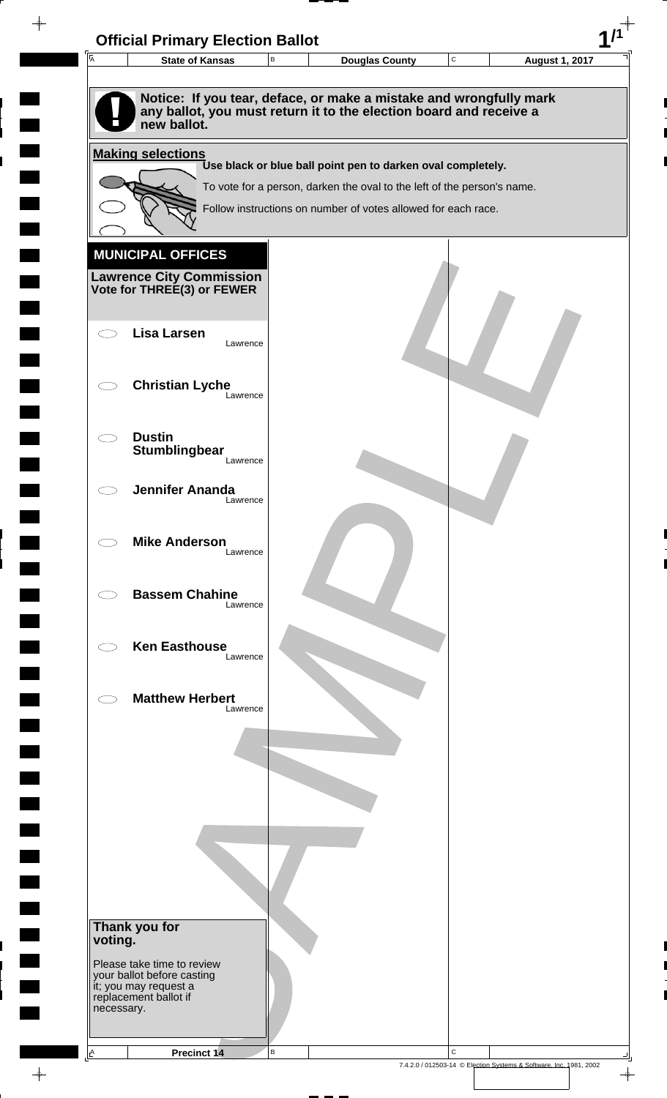

 $\overline{\phantom{a}}$ 

**Contract** 

 $\blacksquare$ 

 $\overline{\phantom{0}}$ 

 $\overline{\phantom{a}}$ 

 $\rightarrow$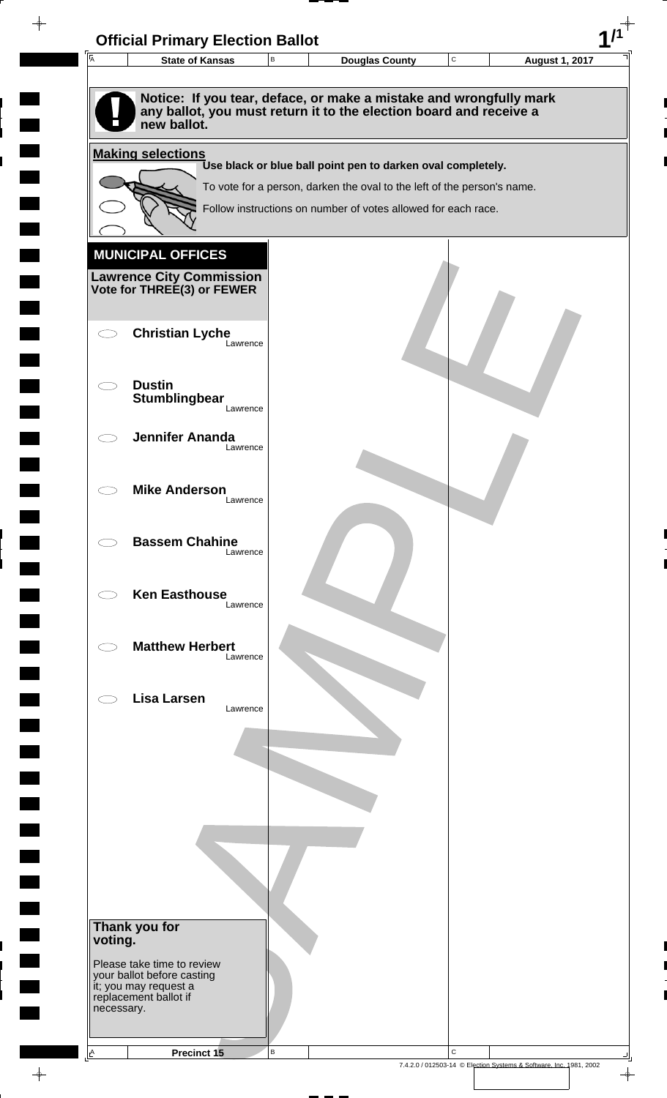| $\overline{\mathsf{A}}$ | <b>State of Kansas</b>                                     |          | B | <b>Douglas County</b>                                                                                                                    | $\mathbf C$ | <b>August 1, 2017</b> |
|-------------------------|------------------------------------------------------------|----------|---|------------------------------------------------------------------------------------------------------------------------------------------|-------------|-----------------------|
|                         |                                                            |          |   |                                                                                                                                          |             |                       |
|                         | new ballot.                                                |          |   | Notice: If you tear, deface, or make a mistake and wrongfully mark<br>any ballot, you must return it to the election board and receive a |             |                       |
|                         | <b>Making selections</b>                                   |          |   |                                                                                                                                          |             |                       |
|                         |                                                            |          |   | Use black or blue ball point pen to darken oval completely.                                                                              |             |                       |
|                         |                                                            |          |   | To vote for a person, darken the oval to the left of the person's name.                                                                  |             |                       |
|                         |                                                            |          |   | Follow instructions on number of votes allowed for each race.                                                                            |             |                       |
|                         |                                                            |          |   |                                                                                                                                          |             |                       |
|                         | <b>MUNICIPAL OFFICES</b>                                   |          |   |                                                                                                                                          |             |                       |
|                         | <b>Lawrence City Commission Vote for THREE(3) or FEWER</b> |          |   |                                                                                                                                          |             |                       |
|                         |                                                            |          |   |                                                                                                                                          |             |                       |
|                         | <b>Christian Lyche</b>                                     |          |   |                                                                                                                                          |             |                       |
|                         |                                                            | Lawrence |   |                                                                                                                                          |             |                       |
|                         | <b>Dustin</b>                                              |          |   |                                                                                                                                          |             |                       |
|                         | Stumblingbear                                              | Lawrence |   |                                                                                                                                          |             |                       |
|                         |                                                            |          |   |                                                                                                                                          |             |                       |
|                         | <b>Jennifer Ananda</b>                                     | Lawrence |   |                                                                                                                                          |             |                       |
|                         |                                                            |          |   |                                                                                                                                          |             |                       |
|                         | <b>Mike Anderson</b>                                       |          |   |                                                                                                                                          |             |                       |
|                         |                                                            | Lawrence |   |                                                                                                                                          |             |                       |
|                         | <b>Bassem Chahine</b>                                      |          |   |                                                                                                                                          |             |                       |
|                         |                                                            | Lawrence |   |                                                                                                                                          |             |                       |
|                         |                                                            |          |   |                                                                                                                                          |             |                       |
|                         | <b>Ken Easthouse</b>                                       | Lawrence |   |                                                                                                                                          |             |                       |
|                         |                                                            |          |   |                                                                                                                                          |             |                       |
|                         | <b>Matthew Herbert</b>                                     |          |   |                                                                                                                                          |             |                       |
|                         |                                                            | Lawrence |   |                                                                                                                                          |             |                       |
|                         | <b>Lisa Larsen</b>                                         |          |   |                                                                                                                                          |             |                       |
|                         |                                                            | Lawrence |   |                                                                                                                                          |             |                       |
|                         |                                                            |          |   |                                                                                                                                          |             |                       |
|                         |                                                            |          |   |                                                                                                                                          |             |                       |
|                         |                                                            |          |   |                                                                                                                                          |             |                       |
|                         |                                                            |          |   |                                                                                                                                          |             |                       |
|                         |                                                            |          |   |                                                                                                                                          |             |                       |
|                         |                                                            |          |   |                                                                                                                                          |             |                       |
|                         |                                                            |          |   |                                                                                                                                          |             |                       |
|                         |                                                            |          |   |                                                                                                                                          |             |                       |
|                         | Thank you for                                              |          |   |                                                                                                                                          |             |                       |
| voting.                 |                                                            |          |   |                                                                                                                                          |             |                       |
|                         | Please take time to review                                 |          |   |                                                                                                                                          |             |                       |
|                         | your ballot before casting<br>it; you may request a        |          |   |                                                                                                                                          |             |                       |
| necessary.              | replacement ballot if                                      |          |   |                                                                                                                                          |             |                       |
|                         |                                                            |          |   |                                                                                                                                          |             |                       |
|                         |                                                            |          |   |                                                                                                                                          |             |                       |

 $\blacksquare$ 

 $\blacksquare$ 

 $\begin{array}{c} \begin{array}{c} \hline \end{array} \end{array}$ 

 $\frac{1}{\sqrt{2\pi}}\int_{0}^{\pi}\frac{1}{\sqrt{2\pi}}\left( \frac{1}{\sqrt{2\pi}}\right) \frac{d\mu}{d\mu}d\mu$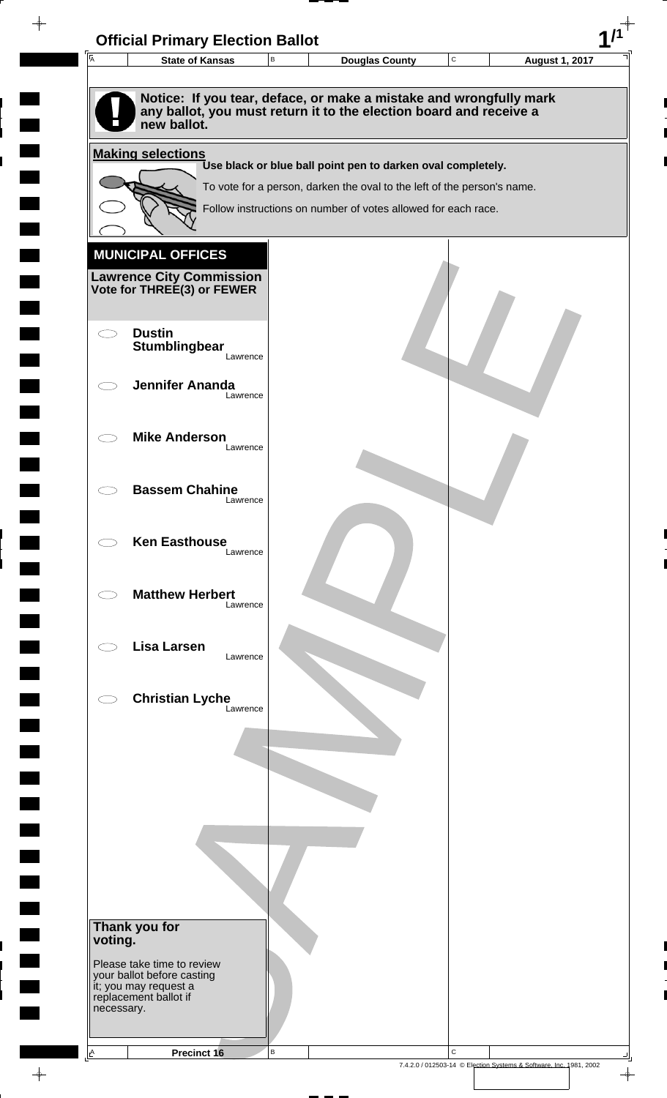

 $\rightarrow$ 

 $\overline{\phantom{a}}$ 

**Contract** 

 $\overline{\phantom{0}}$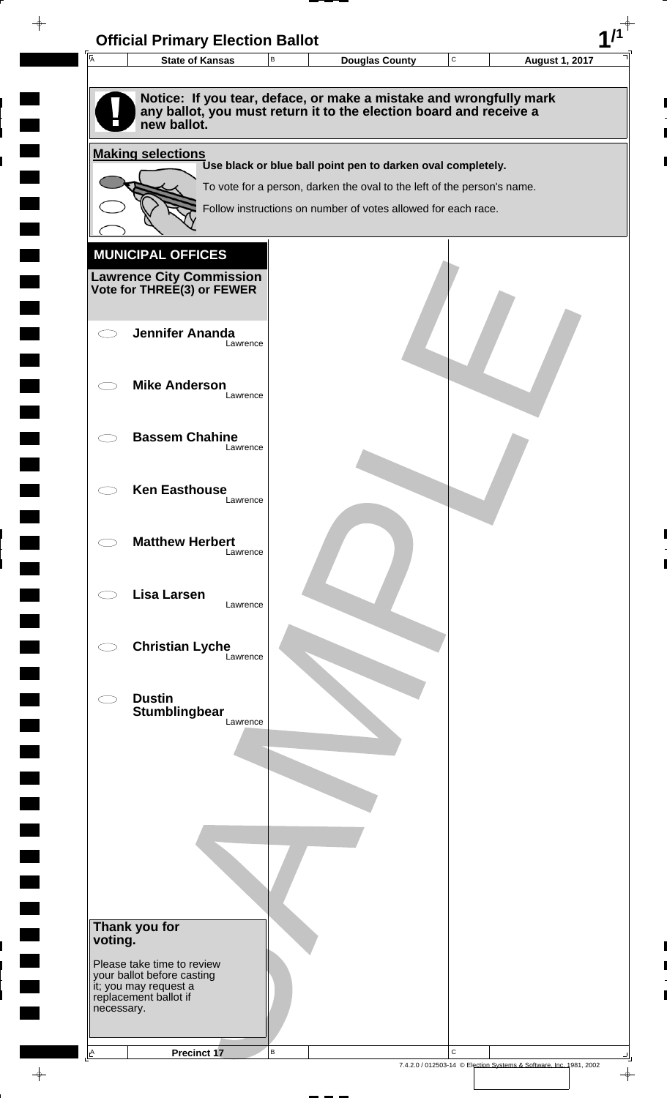| 匠                        | <b>State of Kansas</b>                              | В | <b>Douglas County</b>                                                   | C | <b>August 1, 2017</b> |
|--------------------------|-----------------------------------------------------|---|-------------------------------------------------------------------------|---|-----------------------|
|                          |                                                     |   |                                                                         |   |                       |
|                          |                                                     |   | Notice: If you tear, deface, or make a mistake and wrongfully mark      |   |                       |
|                          | new ballot.                                         |   | any ballot, you must return it to the election board and receive a      |   |                       |
|                          | <b>Making selections</b>                            |   |                                                                         |   |                       |
|                          |                                                     |   | Use black or blue ball point pen to darken oval completely.             |   |                       |
|                          |                                                     |   | To vote for a person, darken the oval to the left of the person's name. |   |                       |
|                          |                                                     |   | Follow instructions on number of votes allowed for each race.           |   |                       |
|                          |                                                     |   |                                                                         |   |                       |
|                          | <b>MUNICIPAL OFFICES</b>                            |   |                                                                         |   |                       |
|                          | <b>Lawrence City Commission</b>                     |   |                                                                         |   |                       |
|                          | Vote for THREE(3) or FEWER                          |   |                                                                         |   |                       |
|                          |                                                     |   |                                                                         |   |                       |
|                          | <b>Jennifer Ananda</b><br>Lawrence                  |   |                                                                         |   |                       |
|                          |                                                     |   |                                                                         |   |                       |
|                          | <b>Mike Anderson</b>                                |   |                                                                         |   |                       |
|                          | Lawrence                                            |   |                                                                         |   |                       |
|                          | <b>Bassem Chahine</b>                               |   |                                                                         |   |                       |
|                          | Lawrence                                            |   |                                                                         |   |                       |
|                          |                                                     |   |                                                                         |   |                       |
|                          | <b>Ken Easthouse</b><br>Lawrence                    |   |                                                                         |   |                       |
|                          |                                                     |   |                                                                         |   |                       |
|                          | <b>Matthew Herbert</b>                              |   |                                                                         |   |                       |
|                          | Lawrence                                            |   |                                                                         |   |                       |
|                          |                                                     |   |                                                                         |   |                       |
|                          | <b>Lisa Larsen</b><br>Lawrence                      |   |                                                                         |   |                       |
|                          |                                                     |   |                                                                         |   |                       |
|                          | <b>Christian Lyche</b><br>Lawrence                  |   |                                                                         |   |                       |
|                          |                                                     |   |                                                                         |   |                       |
|                          | <b>Dustin</b>                                       |   |                                                                         |   |                       |
|                          | Stumblingbear<br>Lawrence                           |   |                                                                         |   |                       |
|                          |                                                     |   |                                                                         |   |                       |
|                          |                                                     |   |                                                                         |   |                       |
|                          |                                                     |   |                                                                         |   |                       |
|                          |                                                     |   |                                                                         |   |                       |
|                          |                                                     |   |                                                                         |   |                       |
|                          |                                                     |   |                                                                         |   |                       |
|                          |                                                     |   |                                                                         |   |                       |
|                          |                                                     |   |                                                                         |   |                       |
|                          |                                                     |   |                                                                         |   |                       |
| Thank you for<br>voting. |                                                     |   |                                                                         |   |                       |
|                          | Please take time to review                          |   |                                                                         |   |                       |
|                          | your ballot before casting<br>it; you may request a |   |                                                                         |   |                       |
| necessary.               | replacement ballot if                               |   |                                                                         |   |                       |
|                          |                                                     |   |                                                                         |   |                       |

 $\blacksquare$ 

 $\blacksquare$ 

 $\begin{array}{c} \hline \end{array}$ 

 $\begin{array}{c} \begin{array}{c} \hline \end{array} \end{array}$ 

 $\frac{1}{\sqrt{2\pi}}\int_{0}^{\pi}\frac{1}{\sqrt{2\pi}}\left( \frac{1}{\sqrt{2\pi}}\right) \frac{d\mu}{d\mu}d\mu$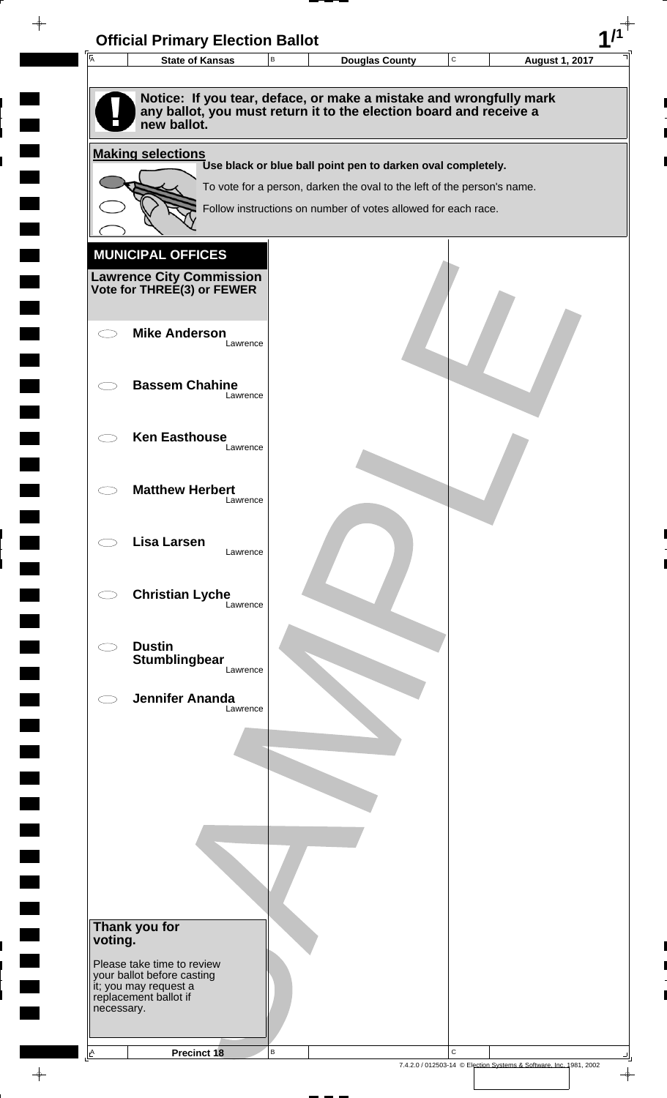| $\overline{A}$ | <b>State of Kansas</b>                                                                                                                                  | В        | <b>Douglas County</b>                                                   | $\mathbf C$ | <b>August 1, 2017</b> |  |
|----------------|---------------------------------------------------------------------------------------------------------------------------------------------------------|----------|-------------------------------------------------------------------------|-------------|-----------------------|--|
|                |                                                                                                                                                         |          |                                                                         |             |                       |  |
|                | Notice: If you tear, deface, or make a mistake and wrongfully mark<br>any ballot, you must return it to the election board and receive a<br>new ballot. |          |                                                                         |             |                       |  |
|                | <b>Making selections</b>                                                                                                                                |          |                                                                         |             |                       |  |
|                |                                                                                                                                                         |          | Use black or blue ball point pen to darken oval completely.             |             |                       |  |
|                |                                                                                                                                                         |          | To vote for a person, darken the oval to the left of the person's name. |             |                       |  |
|                |                                                                                                                                                         |          | Follow instructions on number of votes allowed for each race.           |             |                       |  |
|                |                                                                                                                                                         |          |                                                                         |             |                       |  |
|                | <b>MUNICIPAL OFFICES</b>                                                                                                                                |          |                                                                         |             |                       |  |
|                | <b>Lawrence City Commission Vote for THREE(3) or FEWER</b>                                                                                              |          |                                                                         |             |                       |  |
|                |                                                                                                                                                         |          |                                                                         |             |                       |  |
|                | <b>Mike Anderson</b>                                                                                                                                    |          |                                                                         |             |                       |  |
|                |                                                                                                                                                         | Lawrence |                                                                         |             |                       |  |
|                | <b>Bassem Chahine</b>                                                                                                                                   |          |                                                                         |             |                       |  |
|                |                                                                                                                                                         | Lawrence |                                                                         |             |                       |  |
|                |                                                                                                                                                         |          |                                                                         |             |                       |  |
|                | <b>Ken Easthouse</b>                                                                                                                                    | Lawrence |                                                                         |             |                       |  |
|                |                                                                                                                                                         |          |                                                                         |             |                       |  |
|                | <b>Matthew Herbert</b>                                                                                                                                  |          |                                                                         |             |                       |  |
|                |                                                                                                                                                         | Lawrence |                                                                         |             |                       |  |
|                | <b>Lisa Larsen</b>                                                                                                                                      |          |                                                                         |             |                       |  |
|                |                                                                                                                                                         | Lawrence |                                                                         |             |                       |  |
|                |                                                                                                                                                         |          |                                                                         |             |                       |  |
|                | <b>Christian Lyche</b>                                                                                                                                  | Lawrence |                                                                         |             |                       |  |
|                |                                                                                                                                                         |          |                                                                         |             |                       |  |
|                | <b>Dustin</b><br><b>Stumblingbear</b>                                                                                                                   |          |                                                                         |             |                       |  |
|                |                                                                                                                                                         | Lawrence |                                                                         |             |                       |  |
|                | <b>Jennifer Ananda</b>                                                                                                                                  |          |                                                                         |             |                       |  |
|                |                                                                                                                                                         | Lawrence |                                                                         |             |                       |  |
|                |                                                                                                                                                         |          |                                                                         |             |                       |  |
|                |                                                                                                                                                         |          |                                                                         |             |                       |  |
|                |                                                                                                                                                         |          |                                                                         |             |                       |  |
|                |                                                                                                                                                         |          |                                                                         |             |                       |  |
|                |                                                                                                                                                         |          |                                                                         |             |                       |  |
|                |                                                                                                                                                         |          |                                                                         |             |                       |  |
|                |                                                                                                                                                         |          |                                                                         |             |                       |  |
|                |                                                                                                                                                         |          |                                                                         |             |                       |  |
|                | Thank you for                                                                                                                                           |          |                                                                         |             |                       |  |
| voting.        |                                                                                                                                                         |          |                                                                         |             |                       |  |
|                | Please take time to review<br>your ballot before casting                                                                                                |          |                                                                         |             |                       |  |
|                | it; you may request a<br>replacement ballot if                                                                                                          |          |                                                                         |             |                       |  |
| necessary.     |                                                                                                                                                         |          |                                                                         |             |                       |  |
|                |                                                                                                                                                         |          |                                                                         |             |                       |  |
| $\triangle$    | <b>Precinct 18</b>                                                                                                                                      | B        |                                                                         | $\mathbf C$ |                       |  |

 $\blacksquare$ 

 $\blacksquare$ 

 $\begin{array}{c} \hline \end{array}$ 

 $\begin{array}{c} \hline \end{array}$ 

 $\blacksquare$ 

 $\begin{array}{c}\n\downarrow \\
\downarrow \\
\downarrow\n\end{array}$ 

 $\begin{bmatrix} 1 \\ 1 \end{bmatrix}$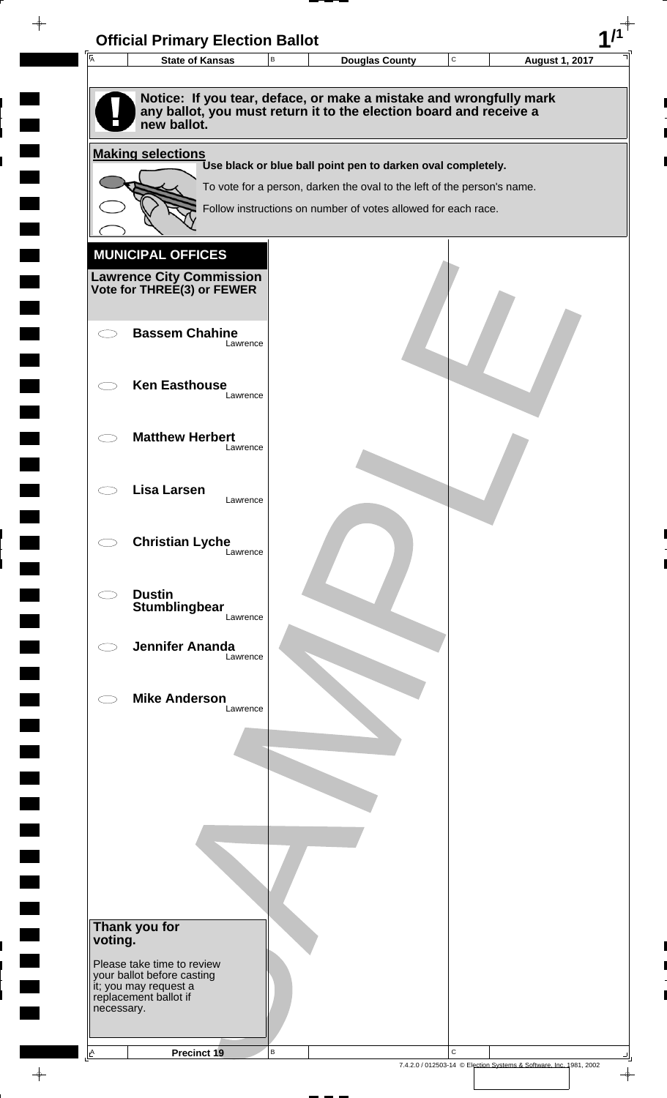| Notice: If you tear, deface, or make a mistake and wrongfully mark<br>any ballot, you must return it to the election board and receive a<br>new ballot.<br><b>Making selections</b><br>Use black or blue ball point pen to darken oval completely.<br>To vote for a person, darken the oval to the left of the person's name.<br>Follow instructions on number of votes allowed for each race.<br><b>MUNICIPAL OFFICES</b><br><b>Lawrence City Commission</b><br>Vote for THREE(3) or FEWER<br><b>Bassem Chahine</b><br>Lawrence<br><b>Ken Easthouse</b><br>Lawrence<br><b>Matthew Herbert</b><br>Lawrence<br><b>Lisa Larsen</b><br>Lawrence<br><b>Christian Lyche</b><br>Lawrence<br><b>Dustin</b><br>Stumblingbear<br>Lawrence<br><b>Jennifer Ananda</b><br>Lawrence<br><b>Mike Anderson</b><br>Lawrence<br>Thank you for<br>voting. |  |
|----------------------------------------------------------------------------------------------------------------------------------------------------------------------------------------------------------------------------------------------------------------------------------------------------------------------------------------------------------------------------------------------------------------------------------------------------------------------------------------------------------------------------------------------------------------------------------------------------------------------------------------------------------------------------------------------------------------------------------------------------------------------------------------------------------------------------------------|--|
|                                                                                                                                                                                                                                                                                                                                                                                                                                                                                                                                                                                                                                                                                                                                                                                                                                        |  |
|                                                                                                                                                                                                                                                                                                                                                                                                                                                                                                                                                                                                                                                                                                                                                                                                                                        |  |
|                                                                                                                                                                                                                                                                                                                                                                                                                                                                                                                                                                                                                                                                                                                                                                                                                                        |  |
|                                                                                                                                                                                                                                                                                                                                                                                                                                                                                                                                                                                                                                                                                                                                                                                                                                        |  |
|                                                                                                                                                                                                                                                                                                                                                                                                                                                                                                                                                                                                                                                                                                                                                                                                                                        |  |
|                                                                                                                                                                                                                                                                                                                                                                                                                                                                                                                                                                                                                                                                                                                                                                                                                                        |  |
|                                                                                                                                                                                                                                                                                                                                                                                                                                                                                                                                                                                                                                                                                                                                                                                                                                        |  |
|                                                                                                                                                                                                                                                                                                                                                                                                                                                                                                                                                                                                                                                                                                                                                                                                                                        |  |
|                                                                                                                                                                                                                                                                                                                                                                                                                                                                                                                                                                                                                                                                                                                                                                                                                                        |  |
|                                                                                                                                                                                                                                                                                                                                                                                                                                                                                                                                                                                                                                                                                                                                                                                                                                        |  |
|                                                                                                                                                                                                                                                                                                                                                                                                                                                                                                                                                                                                                                                                                                                                                                                                                                        |  |
|                                                                                                                                                                                                                                                                                                                                                                                                                                                                                                                                                                                                                                                                                                                                                                                                                                        |  |
|                                                                                                                                                                                                                                                                                                                                                                                                                                                                                                                                                                                                                                                                                                                                                                                                                                        |  |
|                                                                                                                                                                                                                                                                                                                                                                                                                                                                                                                                                                                                                                                                                                                                                                                                                                        |  |
|                                                                                                                                                                                                                                                                                                                                                                                                                                                                                                                                                                                                                                                                                                                                                                                                                                        |  |
|                                                                                                                                                                                                                                                                                                                                                                                                                                                                                                                                                                                                                                                                                                                                                                                                                                        |  |
|                                                                                                                                                                                                                                                                                                                                                                                                                                                                                                                                                                                                                                                                                                                                                                                                                                        |  |
|                                                                                                                                                                                                                                                                                                                                                                                                                                                                                                                                                                                                                                                                                                                                                                                                                                        |  |
|                                                                                                                                                                                                                                                                                                                                                                                                                                                                                                                                                                                                                                                                                                                                                                                                                                        |  |
|                                                                                                                                                                                                                                                                                                                                                                                                                                                                                                                                                                                                                                                                                                                                                                                                                                        |  |
|                                                                                                                                                                                                                                                                                                                                                                                                                                                                                                                                                                                                                                                                                                                                                                                                                                        |  |
|                                                                                                                                                                                                                                                                                                                                                                                                                                                                                                                                                                                                                                                                                                                                                                                                                                        |  |
|                                                                                                                                                                                                                                                                                                                                                                                                                                                                                                                                                                                                                                                                                                                                                                                                                                        |  |
|                                                                                                                                                                                                                                                                                                                                                                                                                                                                                                                                                                                                                                                                                                                                                                                                                                        |  |
|                                                                                                                                                                                                                                                                                                                                                                                                                                                                                                                                                                                                                                                                                                                                                                                                                                        |  |
|                                                                                                                                                                                                                                                                                                                                                                                                                                                                                                                                                                                                                                                                                                                                                                                                                                        |  |
|                                                                                                                                                                                                                                                                                                                                                                                                                                                                                                                                                                                                                                                                                                                                                                                                                                        |  |
|                                                                                                                                                                                                                                                                                                                                                                                                                                                                                                                                                                                                                                                                                                                                                                                                                                        |  |
|                                                                                                                                                                                                                                                                                                                                                                                                                                                                                                                                                                                                                                                                                                                                                                                                                                        |  |
|                                                                                                                                                                                                                                                                                                                                                                                                                                                                                                                                                                                                                                                                                                                                                                                                                                        |  |
| Please take time to review<br>your ballot before casting<br>it; you may request a                                                                                                                                                                                                                                                                                                                                                                                                                                                                                                                                                                                                                                                                                                                                                      |  |
| replacement ballot if<br>necessary.                                                                                                                                                                                                                                                                                                                                                                                                                                                                                                                                                                                                                                                                                                                                                                                                    |  |

 $\blacksquare$ 

 $\blacksquare$ 

 $\begin{array}{c} \hline \end{array}$ 

 $\begin{array}{c} \hline \end{array}$ 

 $\blacksquare$ 

 $\frac{1}{\sqrt{2\pi}}$ 

7.4.2.0 / 012503-14 © Election Systems & Software, Inc. 1981, 2002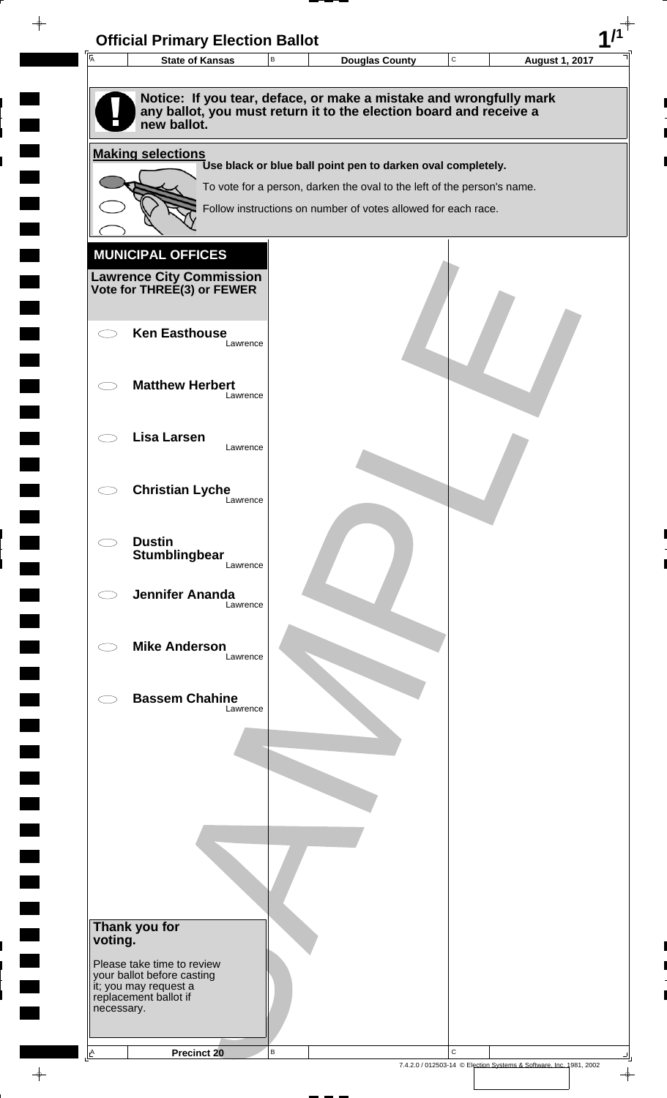

 $\overline{\phantom{a}}$ 

**Contract** 

 $\blacksquare$ 

 $\overline{\phantom{0}}$ 

 $\overline{\phantom{0}}$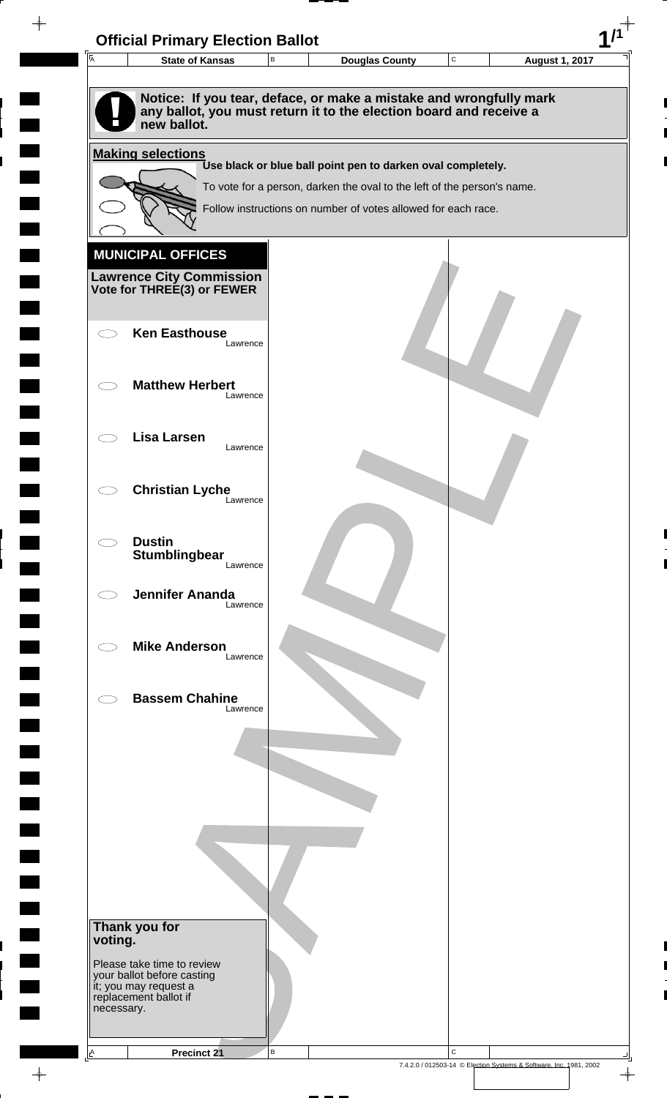

 $\overline{\phantom{a}}$ 

**Contract** 

 $\blacksquare$ 

 $\overline{\phantom{0}}$ 

 $\overline{\phantom{0}}$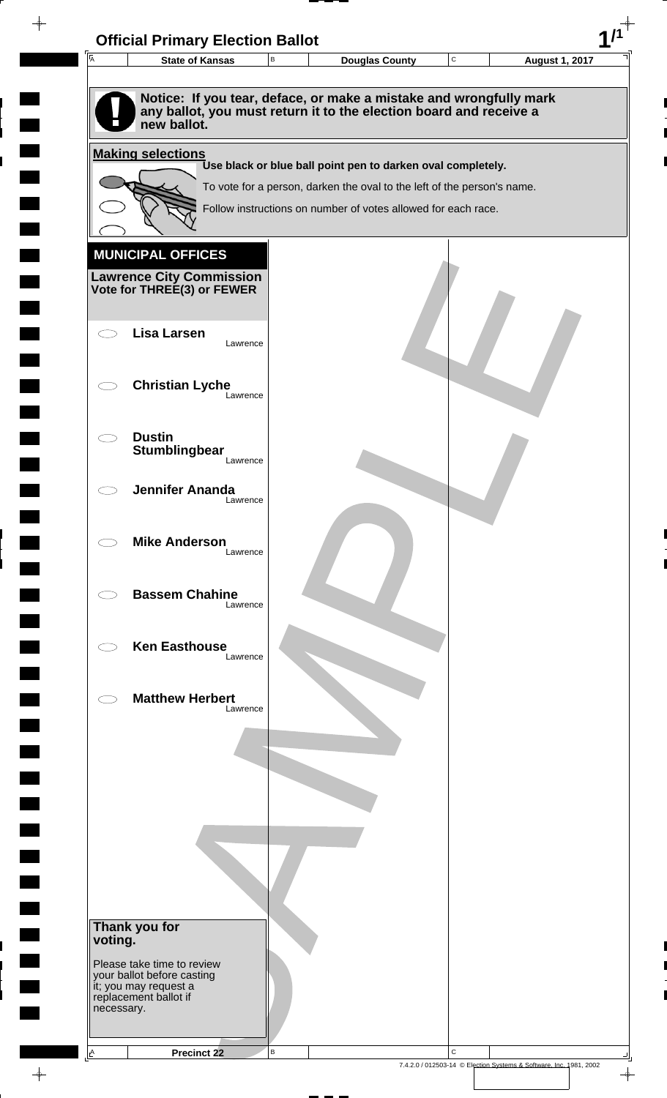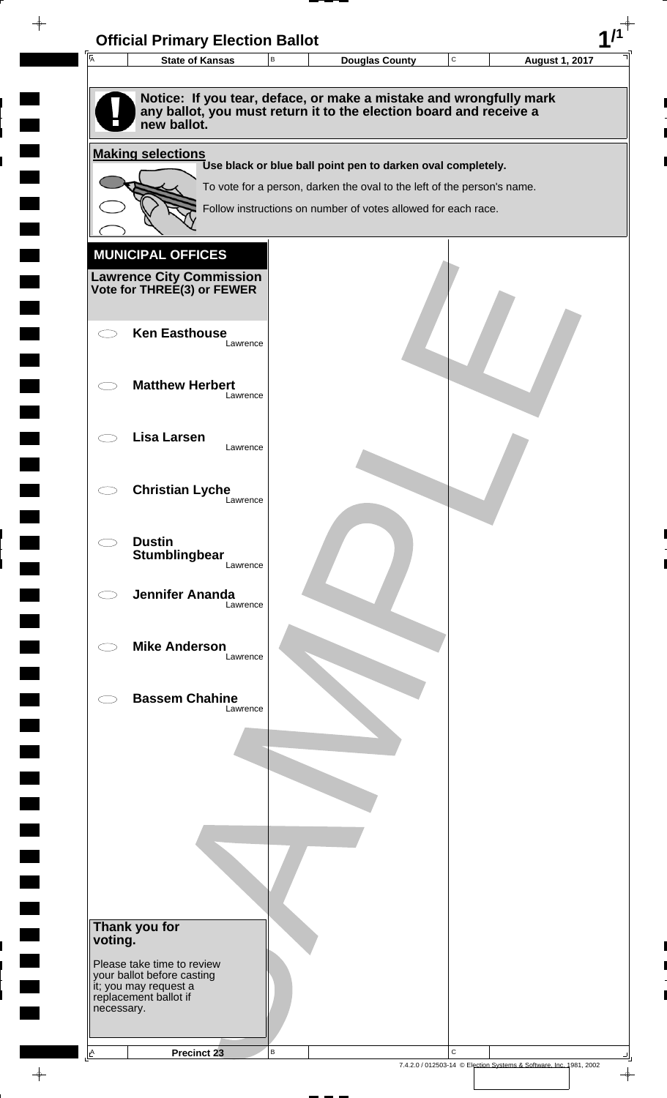

 $\rightarrow$ 

 $\overline{\phantom{a}}$ 

**Contract** 

 $\blacksquare$ 

 $\overline{\phantom{0}}$ 

 $\overline{\phantom{0}}$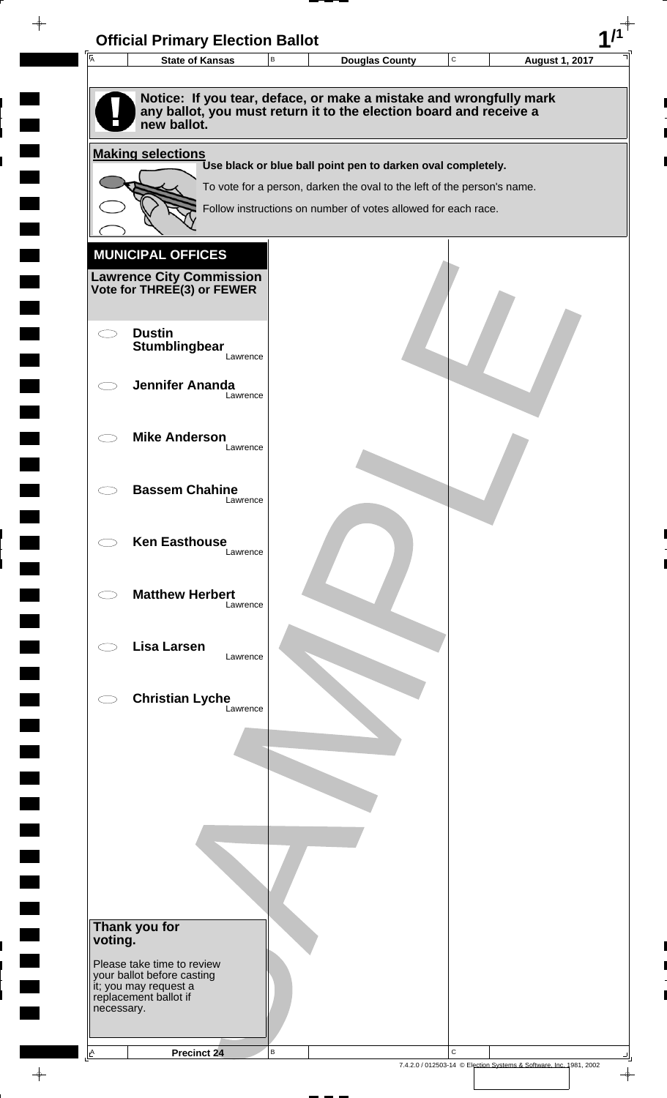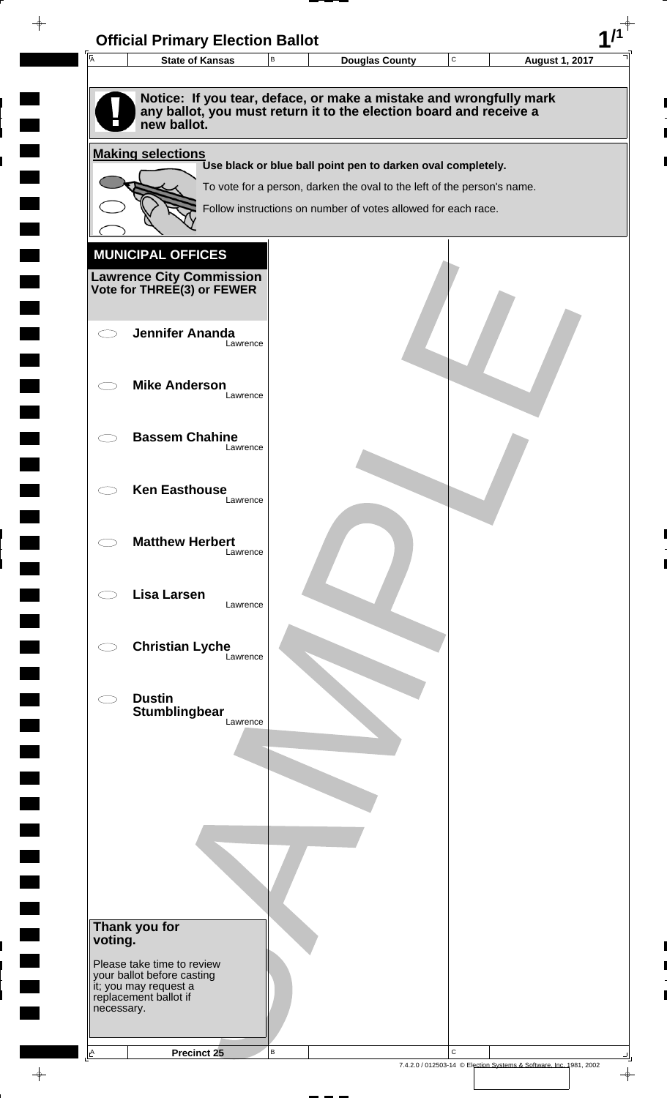| 匠                                   | <b>State of Kansas</b>                              | В | <b>Douglas County</b>                                                   | C | <b>August 1, 2017</b> |
|-------------------------------------|-----------------------------------------------------|---|-------------------------------------------------------------------------|---|-----------------------|
|                                     |                                                     |   |                                                                         |   |                       |
|                                     |                                                     |   | Notice: If you tear, deface, or make a mistake and wrongfully mark      |   |                       |
|                                     | new ballot.                                         |   | any ballot, you must return it to the election board and receive a      |   |                       |
|                                     |                                                     |   |                                                                         |   |                       |
|                                     | <b>Making selections</b>                            |   | Use black or blue ball point pen to darken oval completely.             |   |                       |
|                                     |                                                     |   | To vote for a person, darken the oval to the left of the person's name. |   |                       |
|                                     |                                                     |   | Follow instructions on number of votes allowed for each race.           |   |                       |
|                                     |                                                     |   |                                                                         |   |                       |
|                                     | <b>MUNICIPAL OFFICES</b>                            |   |                                                                         |   |                       |
|                                     | <b>Lawrence City Commission</b>                     |   |                                                                         |   |                       |
|                                     | Vote for THREE(3) or FEWER                          |   |                                                                         |   |                       |
|                                     |                                                     |   |                                                                         |   |                       |
|                                     | <b>Jennifer Ananda</b><br>Lawrence                  |   |                                                                         |   |                       |
|                                     |                                                     |   |                                                                         |   |                       |
|                                     | <b>Mike Anderson</b>                                |   |                                                                         |   |                       |
|                                     | Lawrence                                            |   |                                                                         |   |                       |
|                                     | <b>Bassem Chahine</b>                               |   |                                                                         |   |                       |
|                                     | Lawrence                                            |   |                                                                         |   |                       |
|                                     |                                                     |   |                                                                         |   |                       |
|                                     | <b>Ken Easthouse</b><br>Lawrence                    |   |                                                                         |   |                       |
|                                     |                                                     |   |                                                                         |   |                       |
|                                     | <b>Matthew Herbert</b>                              |   |                                                                         |   |                       |
|                                     | Lawrence                                            |   |                                                                         |   |                       |
|                                     |                                                     |   |                                                                         |   |                       |
|                                     | <b>Lisa Larsen</b><br>Lawrence                      |   |                                                                         |   |                       |
|                                     |                                                     |   |                                                                         |   |                       |
|                                     | <b>Christian Lyche</b><br>Lawrence                  |   |                                                                         |   |                       |
|                                     |                                                     |   |                                                                         |   |                       |
|                                     | <b>Dustin</b>                                       |   |                                                                         |   |                       |
|                                     | Stumblingbear<br>Lawrence                           |   |                                                                         |   |                       |
|                                     |                                                     |   |                                                                         |   |                       |
|                                     |                                                     |   |                                                                         |   |                       |
|                                     |                                                     |   |                                                                         |   |                       |
|                                     |                                                     |   |                                                                         |   |                       |
|                                     |                                                     |   |                                                                         |   |                       |
|                                     |                                                     |   |                                                                         |   |                       |
|                                     |                                                     |   |                                                                         |   |                       |
|                                     |                                                     |   |                                                                         |   |                       |
|                                     |                                                     |   |                                                                         |   |                       |
| Thank you for<br>voting.            |                                                     |   |                                                                         |   |                       |
|                                     | Please take time to review                          |   |                                                                         |   |                       |
|                                     | your ballot before casting<br>it; you may request a |   |                                                                         |   |                       |
| replacement ballot if<br>necessary. |                                                     |   |                                                                         |   |                       |
|                                     |                                                     |   |                                                                         |   |                       |

 $\blacksquare$ 

 $\blacksquare$ 

 $\begin{array}{c} \hline \end{array}$ 

 $\begin{array}{c} \begin{array}{c} \hline \end{array} \end{array}$ 

 $\frac{1}{\sqrt{2\pi}}\int_{0}^{\pi}\frac{1}{\sqrt{2\pi}}\left( \frac{1}{\sqrt{2\pi}}\right) \frac{d\mu}{d\mu}d\mu$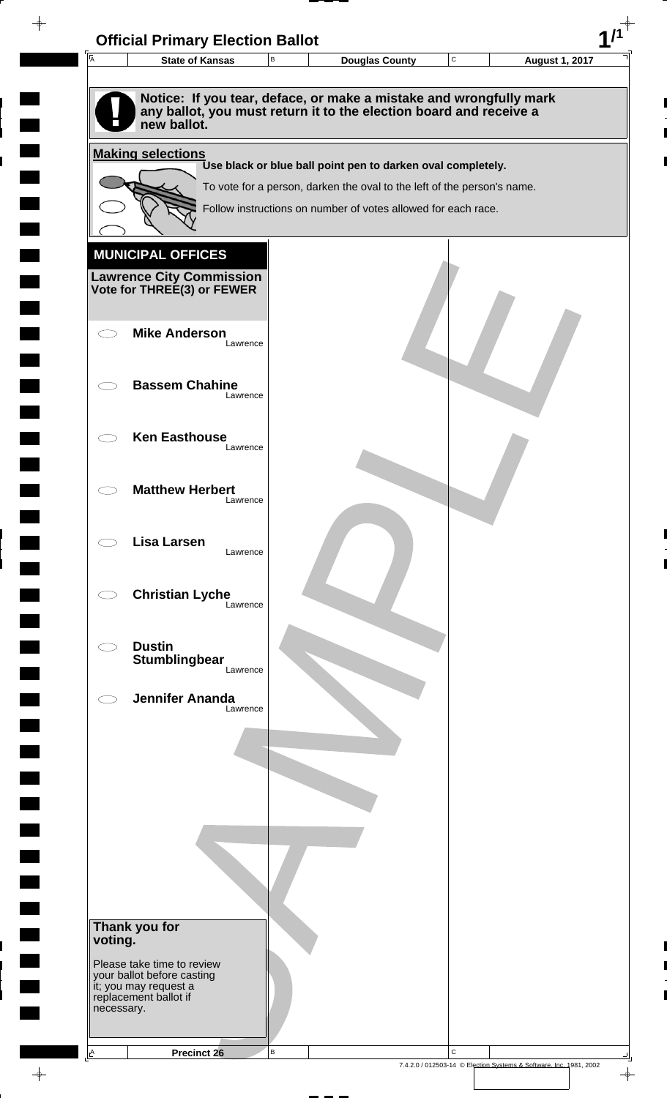| $\overline{A}$ | <b>State of Kansas</b>                                     | В        | <b>Douglas County</b>                                                                                                                    | $\mathbf C$ | <b>August 1, 2017</b> |
|----------------|------------------------------------------------------------|----------|------------------------------------------------------------------------------------------------------------------------------------------|-------------|-----------------------|
|                |                                                            |          |                                                                                                                                          |             |                       |
|                | new ballot.                                                |          | Notice: If you tear, deface, or make a mistake and wrongfully mark<br>any ballot, you must return it to the election board and receive a |             |                       |
|                | <b>Making selections</b>                                   |          |                                                                                                                                          |             |                       |
|                |                                                            |          | Use black or blue ball point pen to darken oval completely.                                                                              |             |                       |
|                |                                                            |          | To vote for a person, darken the oval to the left of the person's name.                                                                  |             |                       |
|                |                                                            |          | Follow instructions on number of votes allowed for each race.                                                                            |             |                       |
|                |                                                            |          |                                                                                                                                          |             |                       |
|                | <b>MUNICIPAL OFFICES</b>                                   |          |                                                                                                                                          |             |                       |
|                | <b>Lawrence City Commission Vote for THREE(3) or FEWER</b> |          |                                                                                                                                          |             |                       |
|                |                                                            |          |                                                                                                                                          |             |                       |
|                | <b>Mike Anderson</b>                                       |          |                                                                                                                                          |             |                       |
|                |                                                            | Lawrence |                                                                                                                                          |             |                       |
|                | <b>Bassem Chahine</b>                                      |          |                                                                                                                                          |             |                       |
|                |                                                            | Lawrence |                                                                                                                                          |             |                       |
|                |                                                            |          |                                                                                                                                          |             |                       |
|                | <b>Ken Easthouse</b>                                       | Lawrence |                                                                                                                                          |             |                       |
|                |                                                            |          |                                                                                                                                          |             |                       |
|                | <b>Matthew Herbert</b>                                     |          |                                                                                                                                          |             |                       |
|                |                                                            | Lawrence |                                                                                                                                          |             |                       |
|                | <b>Lisa Larsen</b>                                         |          |                                                                                                                                          |             |                       |
|                |                                                            | Lawrence |                                                                                                                                          |             |                       |
|                |                                                            |          |                                                                                                                                          |             |                       |
|                | <b>Christian Lyche</b>                                     | Lawrence |                                                                                                                                          |             |                       |
|                |                                                            |          |                                                                                                                                          |             |                       |
|                | <b>Dustin</b><br><b>Stumblingbear</b>                      |          |                                                                                                                                          |             |                       |
|                |                                                            | Lawrence |                                                                                                                                          |             |                       |
|                | <b>Jennifer Ananda</b>                                     |          |                                                                                                                                          |             |                       |
|                |                                                            | Lawrence |                                                                                                                                          |             |                       |
|                |                                                            |          |                                                                                                                                          |             |                       |
|                |                                                            |          |                                                                                                                                          |             |                       |
|                |                                                            |          |                                                                                                                                          |             |                       |
|                |                                                            |          |                                                                                                                                          |             |                       |
|                |                                                            |          |                                                                                                                                          |             |                       |
|                |                                                            |          |                                                                                                                                          |             |                       |
|                |                                                            |          |                                                                                                                                          |             |                       |
|                |                                                            |          |                                                                                                                                          |             |                       |
|                | Thank you for                                              |          |                                                                                                                                          |             |                       |
| voting.        |                                                            |          |                                                                                                                                          |             |                       |
|                | Please take time to review<br>your ballot before casting   |          |                                                                                                                                          |             |                       |
|                | it; you may request a<br>replacement ballot if             |          |                                                                                                                                          |             |                       |
| necessary.     |                                                            |          |                                                                                                                                          |             |                       |
|                |                                                            |          |                                                                                                                                          |             |                       |
| $\triangle$    | Precinct 26                                                | B        |                                                                                                                                          | $\mathbf C$ |                       |

 $\blacksquare$ 

 $\blacksquare$ 

 $\begin{array}{c} \hline \end{array}$ 

 $\begin{array}{c} \hline \end{array}$ 

 $\blacksquare$ 

 $\begin{array}{c}\n\downarrow \\
\downarrow \\
\downarrow\n\end{array}$ 

 $\begin{bmatrix} 1 \\ 1 \end{bmatrix}$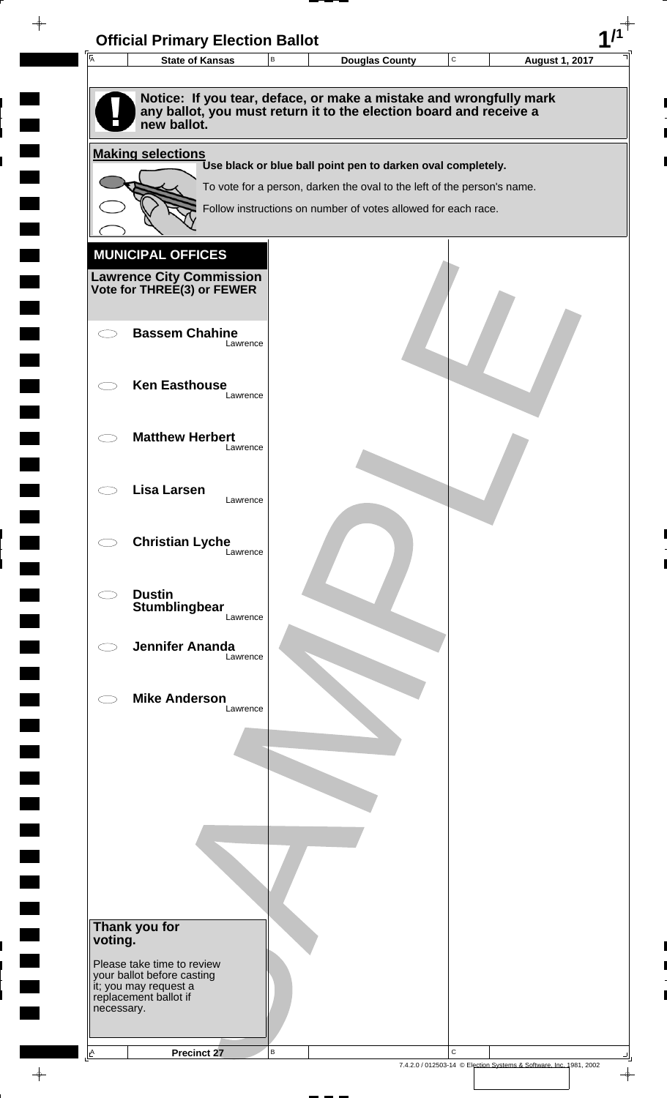| $\overline{A}$           | <b>State of Kansas</b>                                        | В | <b>Douglas County</b>                                                                                                                    | C | <b>August 1, 2017</b> |
|--------------------------|---------------------------------------------------------------|---|------------------------------------------------------------------------------------------------------------------------------------------|---|-----------------------|
|                          | new ballot.                                                   |   | Notice: If you tear, deface, or make a mistake and wrongfully mark<br>any ballot, you must return it to the election board and receive a |   |                       |
|                          | <b>Making selections</b>                                      |   | Use black or blue ball point pen to darken oval completely.                                                                              |   |                       |
|                          |                                                               |   | To vote for a person, darken the oval to the left of the person's name.                                                                  |   |                       |
|                          |                                                               |   | Follow instructions on number of votes allowed for each race.                                                                            |   |                       |
|                          |                                                               |   |                                                                                                                                          |   |                       |
|                          | <b>MUNICIPAL OFFICES</b>                                      |   |                                                                                                                                          |   |                       |
|                          | <b>Lawrence City Commission</b><br>Vote for THREE(3) or FEWER |   |                                                                                                                                          |   |                       |
|                          |                                                               |   |                                                                                                                                          |   |                       |
|                          | <b>Bassem Chahine</b><br>Lawrence                             |   |                                                                                                                                          |   |                       |
|                          | <b>Ken Easthouse</b>                                          |   |                                                                                                                                          |   |                       |
|                          | Lawrence                                                      |   |                                                                                                                                          |   |                       |
|                          | <b>Matthew Herbert</b>                                        |   |                                                                                                                                          |   |                       |
|                          | Lawrence                                                      |   |                                                                                                                                          |   |                       |
|                          | <b>Lisa Larsen</b>                                            |   |                                                                                                                                          |   |                       |
|                          | Lawrence                                                      |   |                                                                                                                                          |   |                       |
|                          | <b>Christian Lyche</b><br>Lawrence                            |   |                                                                                                                                          |   |                       |
|                          |                                                               |   |                                                                                                                                          |   |                       |
|                          | <b>Dustin</b><br>Stumblingbear                                |   |                                                                                                                                          |   |                       |
|                          | Lawrence                                                      |   |                                                                                                                                          |   |                       |
|                          | <b>Jennifer Ananda</b><br>Lawrence                            |   |                                                                                                                                          |   |                       |
|                          |                                                               |   |                                                                                                                                          |   |                       |
|                          | <b>Mike Anderson</b><br>Lawrence                              |   |                                                                                                                                          |   |                       |
|                          |                                                               |   |                                                                                                                                          |   |                       |
|                          |                                                               |   |                                                                                                                                          |   |                       |
|                          |                                                               |   |                                                                                                                                          |   |                       |
|                          |                                                               |   |                                                                                                                                          |   |                       |
|                          |                                                               |   |                                                                                                                                          |   |                       |
|                          |                                                               |   |                                                                                                                                          |   |                       |
|                          |                                                               |   |                                                                                                                                          |   |                       |
| Thank you for<br>voting. |                                                               |   |                                                                                                                                          |   |                       |
|                          | Please take time to review<br>your ballot before casting      |   |                                                                                                                                          |   |                       |
|                          | it; you may request a<br>replacement ballot if                |   |                                                                                                                                          |   |                       |
| necessary.               |                                                               |   |                                                                                                                                          |   |                       |

 $\begin{array}{c}\n\downarrow \\
\downarrow \\
\downarrow\n\end{array}$ 

 $\overline{\phantom{a}}$ 

 $\blacksquare$ 

 $\blacksquare$ 

 $\begin{array}{c} \hline \end{array}$ 

 $\begin{array}{c} \hline \end{array}$ 

 $\blacksquare$ 

7.4.2.0 / 012503-14 © Election Systems & Software, Inc. 1981, 2002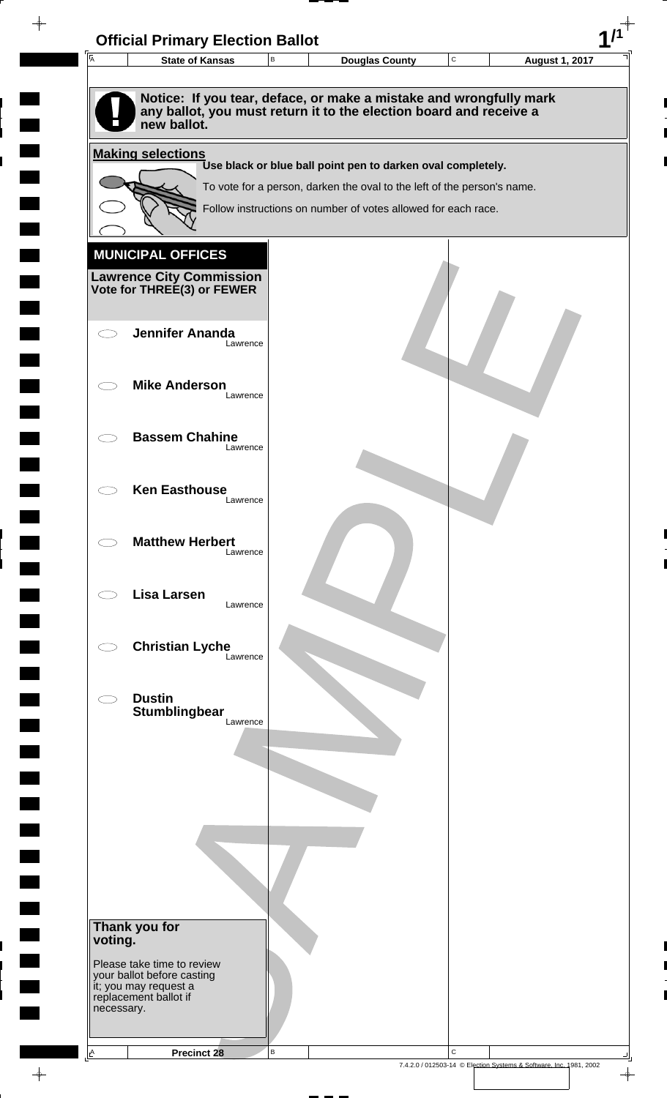| 匠          | <b>State of Kansas</b>                                        | В | <b>Douglas County</b>                                                                                                                    | C | <b>August 1, 2017</b> |
|------------|---------------------------------------------------------------|---|------------------------------------------------------------------------------------------------------------------------------------------|---|-----------------------|
|            |                                                               |   |                                                                                                                                          |   |                       |
|            |                                                               |   | Notice: If you tear, deface, or make a mistake and wrongfully mark<br>any ballot, you must return it to the election board and receive a |   |                       |
|            | new ballot.                                                   |   |                                                                                                                                          |   |                       |
|            | <b>Making selections</b>                                      |   |                                                                                                                                          |   |                       |
|            |                                                               |   | Use black or blue ball point pen to darken oval completely.                                                                              |   |                       |
|            |                                                               |   | To vote for a person, darken the oval to the left of the person's name.                                                                  |   |                       |
|            |                                                               |   | Follow instructions on number of votes allowed for each race.                                                                            |   |                       |
|            |                                                               |   |                                                                                                                                          |   |                       |
|            | <b>MUNICIPAL OFFICES</b>                                      |   |                                                                                                                                          |   |                       |
|            | <b>Lawrence City Commission</b><br>Vote for THREE(3) or FEWER |   |                                                                                                                                          |   |                       |
|            |                                                               |   |                                                                                                                                          |   |                       |
|            | <b>Jennifer Ananda</b>                                        |   |                                                                                                                                          |   |                       |
|            | Lawrence                                                      |   |                                                                                                                                          |   |                       |
|            | <b>Mike Anderson</b>                                          |   |                                                                                                                                          |   |                       |
|            | Lawrence                                                      |   |                                                                                                                                          |   |                       |
|            |                                                               |   |                                                                                                                                          |   |                       |
|            | <b>Bassem Chahine</b><br>Lawrence                             |   |                                                                                                                                          |   |                       |
|            |                                                               |   |                                                                                                                                          |   |                       |
|            | <b>Ken Easthouse</b>                                          |   |                                                                                                                                          |   |                       |
|            | Lawrence                                                      |   |                                                                                                                                          |   |                       |
|            | <b>Matthew Herbert</b>                                        |   |                                                                                                                                          |   |                       |
|            | Lawrence                                                      |   |                                                                                                                                          |   |                       |
|            |                                                               |   |                                                                                                                                          |   |                       |
|            | <b>Lisa Larsen</b><br>Lawrence                                |   |                                                                                                                                          |   |                       |
|            |                                                               |   |                                                                                                                                          |   |                       |
|            | <b>Christian Lyche</b><br>Lawrence                            |   |                                                                                                                                          |   |                       |
|            |                                                               |   |                                                                                                                                          |   |                       |
|            | <b>Dustin</b>                                                 |   |                                                                                                                                          |   |                       |
|            | Stumblingbear<br>Lawrence                                     |   |                                                                                                                                          |   |                       |
|            |                                                               |   |                                                                                                                                          |   |                       |
|            |                                                               |   |                                                                                                                                          |   |                       |
|            |                                                               |   |                                                                                                                                          |   |                       |
|            |                                                               |   |                                                                                                                                          |   |                       |
|            |                                                               |   |                                                                                                                                          |   |                       |
|            |                                                               |   |                                                                                                                                          |   |                       |
|            |                                                               |   |                                                                                                                                          |   |                       |
|            |                                                               |   |                                                                                                                                          |   |                       |
|            | Thank you for                                                 |   |                                                                                                                                          |   |                       |
| voting.    |                                                               |   |                                                                                                                                          |   |                       |
|            | Please take time to review<br>your ballot before casting      |   |                                                                                                                                          |   |                       |
|            | it; you may request a<br>replacement ballot if                |   |                                                                                                                                          |   |                       |
| necessary. |                                                               |   |                                                                                                                                          |   |                       |

 $\blacksquare$ 

 $\blacksquare$ 

 $\begin{array}{c} \hline \end{array}$ 

 $\begin{array}{c} \hline \end{array}$ 

 $\frac{1}{\sqrt{2\pi}}\int_{0}^{\pi}\frac{1}{\sqrt{2\pi}}\left( \frac{1}{\sqrt{2\pi}}\right) \frac{d\mu}{d\mu}d\mu$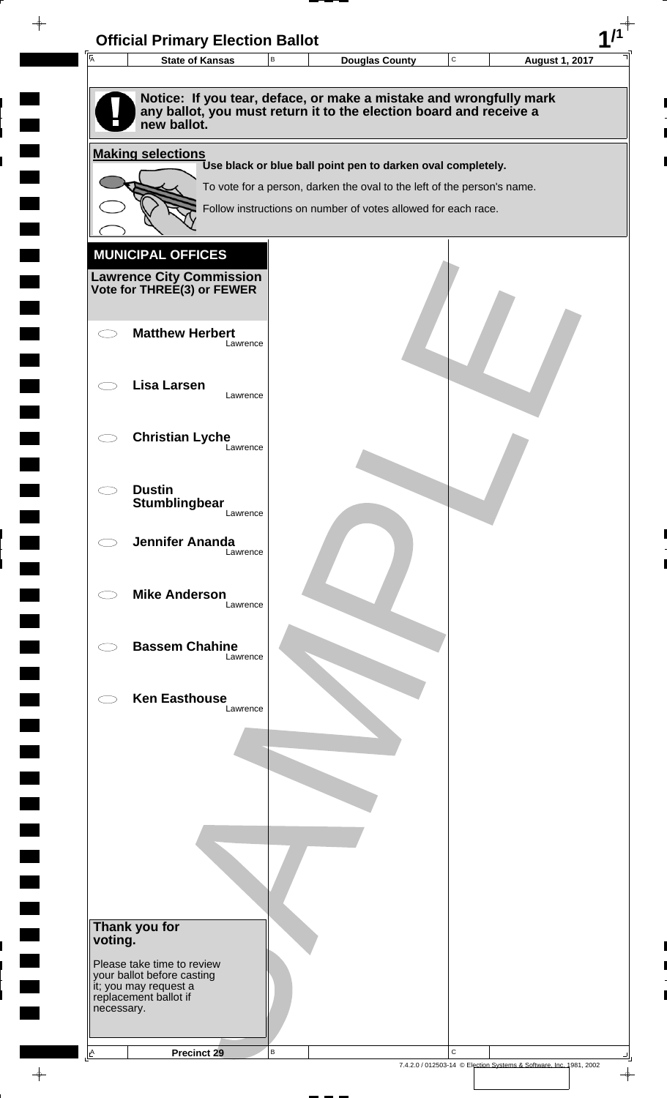

 $\overline{\phantom{a}}$ 

**Contract** 

 $\overline{\phantom{0}}$ 

 $\overline{\phantom{0}}$ 

 $\rightarrow$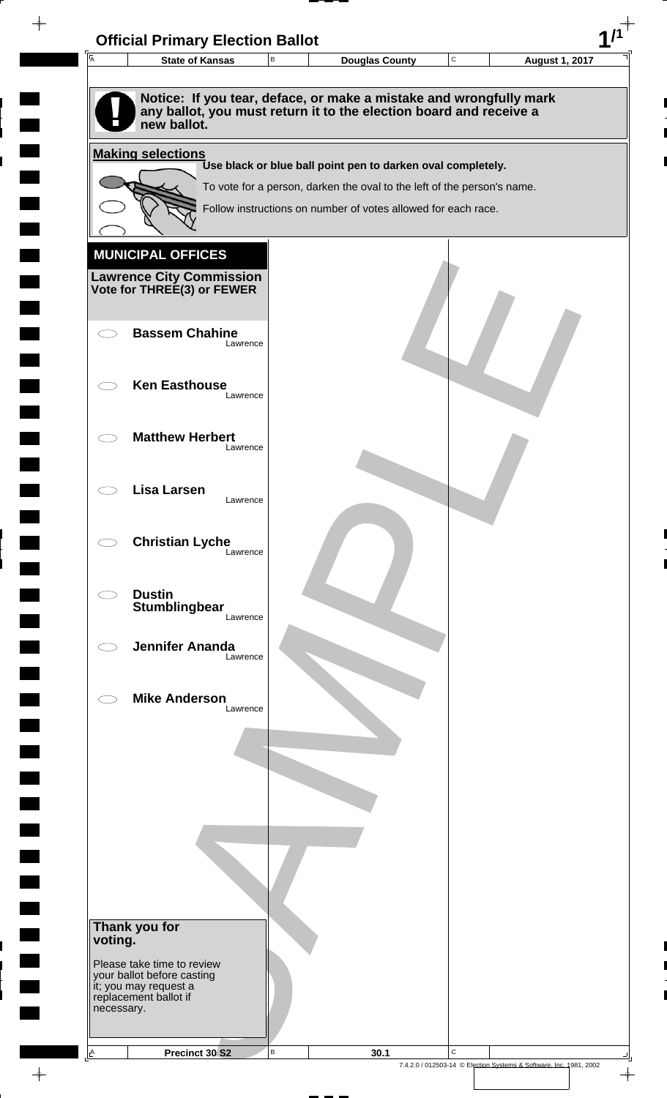| $\overline{A}$                                 | <b>State of Kansas</b>                                                                                                                                  | B | <b>Douglas County</b>                                                                                                                    | $\mathtt{C}$ | <b>August 1, 2017</b> |
|------------------------------------------------|---------------------------------------------------------------------------------------------------------------------------------------------------------|---|------------------------------------------------------------------------------------------------------------------------------------------|--------------|-----------------------|
|                                                |                                                                                                                                                         |   |                                                                                                                                          |              |                       |
|                                                | Notice: If you tear, deface, or make a mistake and wrongfully mark<br>any ballot, you must return it to the election board and receive a<br>new ballot. |   |                                                                                                                                          |              |                       |
|                                                | <b>Making selections</b>                                                                                                                                |   |                                                                                                                                          |              |                       |
|                                                |                                                                                                                                                         |   | Use black or blue ball point pen to darken oval completely.                                                                              |              |                       |
|                                                |                                                                                                                                                         |   | To vote for a person, darken the oval to the left of the person's name.<br>Follow instructions on number of votes allowed for each race. |              |                       |
|                                                |                                                                                                                                                         |   |                                                                                                                                          |              |                       |
|                                                | <b>MUNICIPAL OFFICES</b>                                                                                                                                |   |                                                                                                                                          |              |                       |
|                                                | <b>Lawrence City Commission</b>                                                                                                                         |   |                                                                                                                                          |              |                       |
|                                                | Vote for THREE(3) or FEWER                                                                                                                              |   |                                                                                                                                          |              |                       |
|                                                | <b>Bassem Chahine</b>                                                                                                                                   |   |                                                                                                                                          |              |                       |
| $\left( \begin{array}{cc} \end{array} \right)$ | Lawrence                                                                                                                                                |   |                                                                                                                                          |              |                       |
|                                                |                                                                                                                                                         |   |                                                                                                                                          |              |                       |
|                                                | <b>Ken Easthouse</b><br>Lawrence                                                                                                                        |   |                                                                                                                                          |              |                       |
|                                                |                                                                                                                                                         |   |                                                                                                                                          |              |                       |
|                                                | <b>Matthew Herbert</b><br>Lawrence                                                                                                                      |   |                                                                                                                                          |              |                       |
|                                                |                                                                                                                                                         |   |                                                                                                                                          |              |                       |
|                                                | Lisa Larsen<br>Lawrence                                                                                                                                 |   |                                                                                                                                          |              |                       |
|                                                |                                                                                                                                                         |   |                                                                                                                                          |              |                       |
|                                                | <b>Christian Lyche</b><br>Lawrence                                                                                                                      |   |                                                                                                                                          |              |                       |
|                                                |                                                                                                                                                         |   |                                                                                                                                          |              |                       |
| C)                                             | <b>Dustin</b>                                                                                                                                           |   |                                                                                                                                          |              |                       |
|                                                | Stumblingbear<br>Lawrence                                                                                                                               |   |                                                                                                                                          |              |                       |
|                                                | <b>Jennifer Ananda</b><br>Lawrence                                                                                                                      |   |                                                                                                                                          |              |                       |
|                                                |                                                                                                                                                         |   |                                                                                                                                          |              |                       |
|                                                | <b>Mike Anderson</b>                                                                                                                                    |   |                                                                                                                                          |              |                       |
|                                                | Lawrence                                                                                                                                                |   |                                                                                                                                          |              |                       |
|                                                |                                                                                                                                                         |   |                                                                                                                                          |              |                       |
|                                                |                                                                                                                                                         |   |                                                                                                                                          |              |                       |
|                                                |                                                                                                                                                         |   |                                                                                                                                          |              |                       |
|                                                |                                                                                                                                                         |   |                                                                                                                                          |              |                       |
|                                                |                                                                                                                                                         |   |                                                                                                                                          |              |                       |
|                                                |                                                                                                                                                         |   |                                                                                                                                          |              |                       |
|                                                |                                                                                                                                                         |   |                                                                                                                                          |              |                       |
|                                                | Thank you for                                                                                                                                           |   |                                                                                                                                          |              |                       |
| voting.                                        |                                                                                                                                                         |   |                                                                                                                                          |              |                       |
|                                                | Please take time to review<br>your ballot before casting                                                                                                |   |                                                                                                                                          |              |                       |
|                                                | it; you may request a<br>replacement ballot if                                                                                                          |   |                                                                                                                                          |              |                       |
| necessary.                                     |                                                                                                                                                         |   |                                                                                                                                          |              |                       |
|                                                |                                                                                                                                                         |   |                                                                                                                                          |              |                       |

 $\blacksquare$ 

 $\blacksquare$ 

 $\begin{array}{c} \begin{array}{c} \hline \end{array} \end{array}$ 

 $\frac{1}{\sqrt{2\pi}}\int_{0}^{\pi}\frac{1}{\sqrt{2\pi}}\left( \frac{1}{\sqrt{2\pi}}\right) \frac{d\mu}{d\mu}d\mu$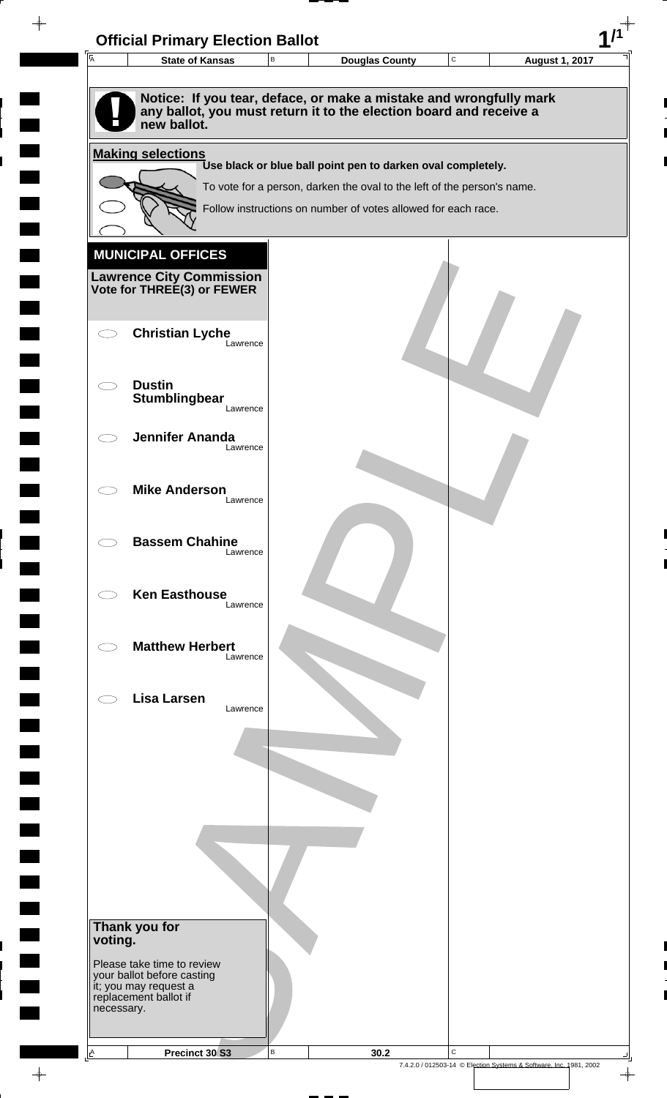| $\overline{\mathsf{A}}$ | <b>State of Kansas</b>                                                                     | $\,$ B | <b>Douglas County</b>                                                                                                                    | C | <b>August 1, 2017</b> |
|-------------------------|--------------------------------------------------------------------------------------------|--------|------------------------------------------------------------------------------------------------------------------------------------------|---|-----------------------|
|                         |                                                                                            |        |                                                                                                                                          |   |                       |
|                         | new ballot.                                                                                |        | Notice: If you tear, deface, or make a mistake and wrongfully mark<br>any ballot, you must return it to the election board and receive a |   |                       |
|                         | <b>Making selections</b>                                                                   |        |                                                                                                                                          |   |                       |
|                         |                                                                                            |        | Use black or blue ball point pen to darken oval completely.                                                                              |   |                       |
|                         |                                                                                            |        | To vote for a person, darken the oval to the left of the person's name.                                                                  |   |                       |
|                         |                                                                                            |        | Follow instructions on number of votes allowed for each race.                                                                            |   |                       |
|                         |                                                                                            |        |                                                                                                                                          |   |                       |
|                         | <b>MUNICIPAL OFFICES</b><br><b>Lawrence City Commission<br/>Vote for THREE(3) or FEWER</b> |        |                                                                                                                                          |   |                       |
|                         | <b>Christian Lyche</b><br>Lawrence                                                         |        |                                                                                                                                          |   |                       |
|                         | <b>Dustin</b><br>Stumblingbear<br>Lawrence                                                 |        |                                                                                                                                          |   |                       |
|                         | <b>Jennifer Ananda</b><br>Lawrence                                                         |        |                                                                                                                                          |   |                       |
|                         | <b>Mike Anderson</b><br>Lawrence                                                           |        |                                                                                                                                          |   |                       |
|                         | <b>Bassem Chahine</b><br>Lawrence                                                          |        |                                                                                                                                          |   |                       |
|                         | <b>Ken Easthouse</b><br>Lawrence                                                           |        |                                                                                                                                          |   |                       |
|                         | <b>Matthew Herbert</b><br>Lawrence                                                         |        |                                                                                                                                          |   |                       |
|                         | <b>Lisa Larsen</b><br>Lawrence                                                             |        |                                                                                                                                          |   |                       |
|                         |                                                                                            |        |                                                                                                                                          |   |                       |
|                         |                                                                                            |        |                                                                                                                                          |   |                       |
|                         |                                                                                            |        |                                                                                                                                          |   |                       |
|                         | Thank you for                                                                              |        |                                                                                                                                          |   |                       |
| voting.                 | Please take time to review<br>your ballot before casting                                   |        |                                                                                                                                          |   |                       |
| necessary.              | it; you may request a<br>replacement ballot if                                             |        |                                                                                                                                          |   |                       |
|                         |                                                                                            |        |                                                                                                                                          |   |                       |

 $\blacksquare$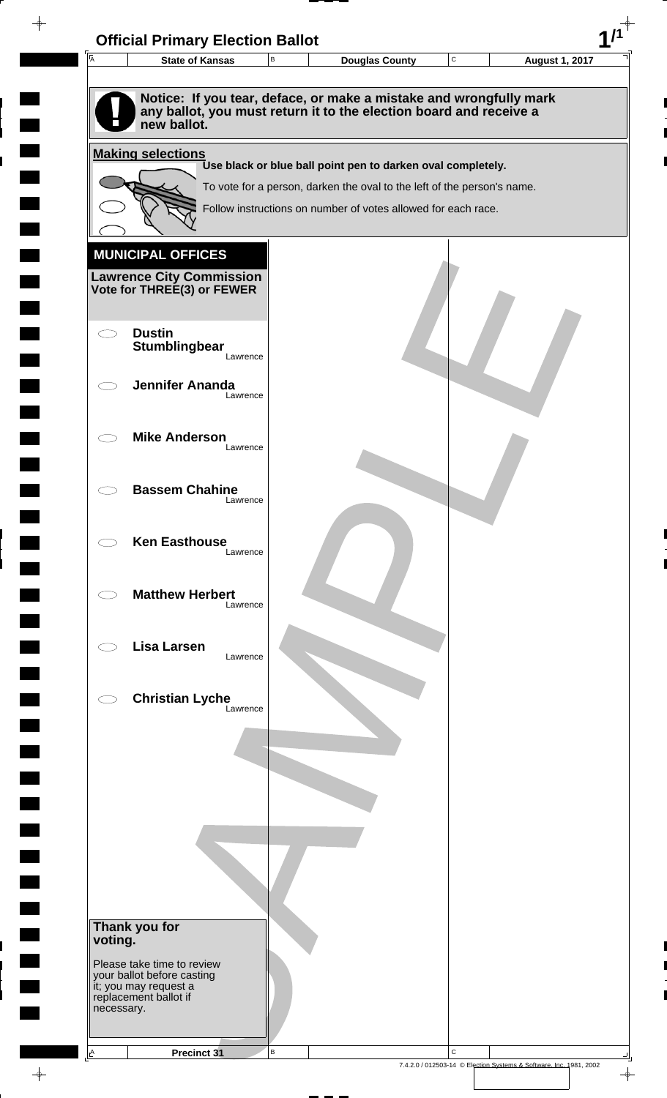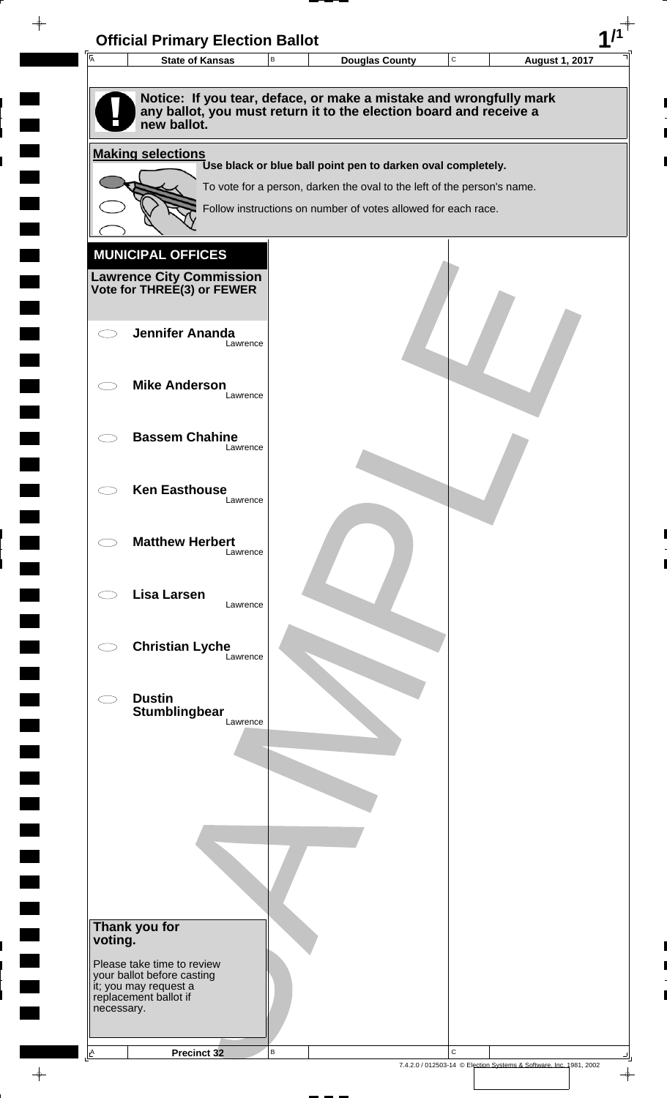| 匠          | <b>State of Kansas</b>                                                                                                                                  | В |                                                                         | <b>Douglas County</b> | C | <b>August 1, 2017</b> |
|------------|---------------------------------------------------------------------------------------------------------------------------------------------------------|---|-------------------------------------------------------------------------|-----------------------|---|-----------------------|
|            | Notice: If you tear, deface, or make a mistake and wrongfully mark<br>any ballot, you must return it to the election board and receive a<br>new ballot. |   |                                                                         |                       |   |                       |
|            | <b>Making selections</b>                                                                                                                                |   | Use black or blue ball point pen to darken oval completely.             |                       |   |                       |
|            |                                                                                                                                                         |   | To vote for a person, darken the oval to the left of the person's name. |                       |   |                       |
|            |                                                                                                                                                         |   | Follow instructions on number of votes allowed for each race.           |                       |   |                       |
|            |                                                                                                                                                         |   |                                                                         |                       |   |                       |
|            | <b>MUNICIPAL OFFICES</b>                                                                                                                                |   |                                                                         |                       |   |                       |
|            | <b>Lawrence City Commission</b><br>Vote for THREE(3) or FEWER                                                                                           |   |                                                                         |                       |   |                       |
|            |                                                                                                                                                         |   |                                                                         |                       |   |                       |
|            | <b>Jennifer Ananda</b>                                                                                                                                  |   |                                                                         |                       |   |                       |
|            | Lawrence                                                                                                                                                |   |                                                                         |                       |   |                       |
|            | <b>Mike Anderson</b>                                                                                                                                    |   |                                                                         |                       |   |                       |
|            | Lawrence                                                                                                                                                |   |                                                                         |                       |   |                       |
|            | <b>Bassem Chahine</b>                                                                                                                                   |   |                                                                         |                       |   |                       |
|            | Lawrence                                                                                                                                                |   |                                                                         |                       |   |                       |
|            | <b>Ken Easthouse</b>                                                                                                                                    |   |                                                                         |                       |   |                       |
|            | Lawrence                                                                                                                                                |   |                                                                         |                       |   |                       |
|            | <b>Matthew Herbert</b>                                                                                                                                  |   |                                                                         |                       |   |                       |
|            | Lawrence                                                                                                                                                |   |                                                                         |                       |   |                       |
|            | <b>Lisa Larsen</b>                                                                                                                                      |   |                                                                         |                       |   |                       |
|            | Lawrence                                                                                                                                                |   |                                                                         |                       |   |                       |
|            | <b>Christian Lyche</b>                                                                                                                                  |   |                                                                         |                       |   |                       |
|            | Lawrence                                                                                                                                                |   |                                                                         |                       |   |                       |
|            | <b>Dustin</b>                                                                                                                                           |   |                                                                         |                       |   |                       |
|            | Stumblingbear<br>Lawrence                                                                                                                               |   |                                                                         |                       |   |                       |
|            |                                                                                                                                                         |   |                                                                         |                       |   |                       |
|            |                                                                                                                                                         |   |                                                                         |                       |   |                       |
|            |                                                                                                                                                         |   |                                                                         |                       |   |                       |
|            |                                                                                                                                                         |   |                                                                         |                       |   |                       |
|            |                                                                                                                                                         |   |                                                                         |                       |   |                       |
|            |                                                                                                                                                         |   |                                                                         |                       |   |                       |
|            |                                                                                                                                                         |   |                                                                         |                       |   |                       |
|            | Thank you for                                                                                                                                           |   |                                                                         |                       |   |                       |
| voting.    |                                                                                                                                                         |   |                                                                         |                       |   |                       |
|            | Please take time to review<br>your ballot before casting<br>it; you may request a                                                                       |   |                                                                         |                       |   |                       |
| necessary. | replacement ballot if                                                                                                                                   |   |                                                                         |                       |   |                       |
|            |                                                                                                                                                         |   |                                                                         |                       |   |                       |
|            |                                                                                                                                                         |   |                                                                         |                       |   |                       |

 $\blacksquare$ 

 $\blacksquare$ 

 $\begin{array}{c} \hline \end{array}$ 

 $\begin{array}{c} \begin{array}{c} \hline \end{array} \end{array}$ 

 $\frac{1}{\sqrt{2\pi}}\int_{0}^{\pi}\frac{1}{\sqrt{2\pi}}\left( \frac{1}{\sqrt{2\pi}}\right) \frac{d\mu}{d\mu}d\mu$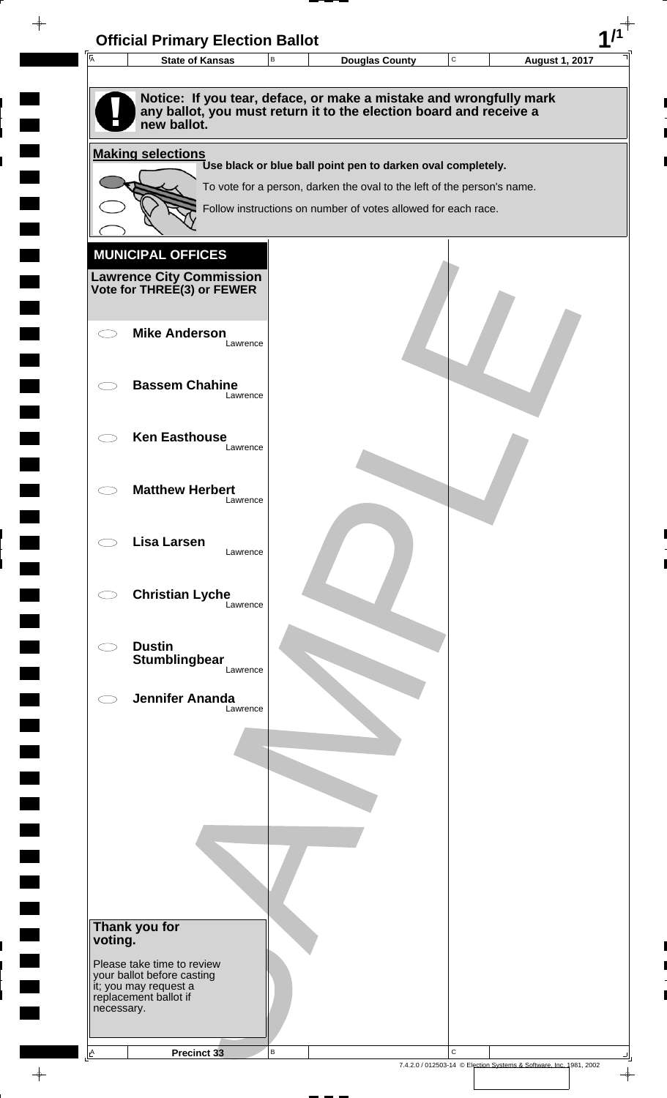| $\overline{A}$ | <b>State of Kansas</b>                                     | В        | <b>Douglas County</b>                                                                                                                    | $\mathbf C$ | <b>August 1, 2017</b> |
|----------------|------------------------------------------------------------|----------|------------------------------------------------------------------------------------------------------------------------------------------|-------------|-----------------------|
|                |                                                            |          |                                                                                                                                          |             |                       |
|                | new ballot.                                                |          | Notice: If you tear, deface, or make a mistake and wrongfully mark<br>any ballot, you must return it to the election board and receive a |             |                       |
|                | <b>Making selections</b>                                   |          |                                                                                                                                          |             |                       |
|                |                                                            |          | Use black or blue ball point pen to darken oval completely.                                                                              |             |                       |
|                |                                                            |          | To vote for a person, darken the oval to the left of the person's name.                                                                  |             |                       |
|                |                                                            |          | Follow instructions on number of votes allowed for each race.                                                                            |             |                       |
|                |                                                            |          |                                                                                                                                          |             |                       |
|                | <b>MUNICIPAL OFFICES</b>                                   |          |                                                                                                                                          |             |                       |
|                | <b>Lawrence City Commission Vote for THREE(3) or FEWER</b> |          |                                                                                                                                          |             |                       |
|                |                                                            |          |                                                                                                                                          |             |                       |
|                | <b>Mike Anderson</b>                                       |          |                                                                                                                                          |             |                       |
|                |                                                            | Lawrence |                                                                                                                                          |             |                       |
|                | <b>Bassem Chahine</b>                                      |          |                                                                                                                                          |             |                       |
|                |                                                            | Lawrence |                                                                                                                                          |             |                       |
|                |                                                            |          |                                                                                                                                          |             |                       |
|                | <b>Ken Easthouse</b>                                       | Lawrence |                                                                                                                                          |             |                       |
|                |                                                            |          |                                                                                                                                          |             |                       |
|                | <b>Matthew Herbert</b>                                     |          |                                                                                                                                          |             |                       |
|                |                                                            | Lawrence |                                                                                                                                          |             |                       |
|                | <b>Lisa Larsen</b>                                         |          |                                                                                                                                          |             |                       |
|                |                                                            | Lawrence |                                                                                                                                          |             |                       |
|                |                                                            |          |                                                                                                                                          |             |                       |
|                | <b>Christian Lyche</b>                                     | Lawrence |                                                                                                                                          |             |                       |
|                |                                                            |          |                                                                                                                                          |             |                       |
|                | <b>Dustin</b><br><b>Stumblingbear</b>                      |          |                                                                                                                                          |             |                       |
|                |                                                            | Lawrence |                                                                                                                                          |             |                       |
|                | <b>Jennifer Ananda</b>                                     |          |                                                                                                                                          |             |                       |
|                |                                                            | Lawrence |                                                                                                                                          |             |                       |
|                |                                                            |          |                                                                                                                                          |             |                       |
|                |                                                            |          |                                                                                                                                          |             |                       |
|                |                                                            |          |                                                                                                                                          |             |                       |
|                |                                                            |          |                                                                                                                                          |             |                       |
|                |                                                            |          |                                                                                                                                          |             |                       |
|                |                                                            |          |                                                                                                                                          |             |                       |
|                |                                                            |          |                                                                                                                                          |             |                       |
|                |                                                            |          |                                                                                                                                          |             |                       |
|                | Thank you for                                              |          |                                                                                                                                          |             |                       |
| voting.        |                                                            |          |                                                                                                                                          |             |                       |
|                | Please take time to review<br>your ballot before casting   |          |                                                                                                                                          |             |                       |
|                | it; you may request a<br>replacement ballot if             |          |                                                                                                                                          |             |                       |
| necessary.     |                                                            |          |                                                                                                                                          |             |                       |
|                |                                                            |          |                                                                                                                                          |             |                       |
| $\triangle$    | Precinct 33                                                | B        |                                                                                                                                          | $\mathbf C$ |                       |

 $\blacksquare$ 

 $\blacksquare$ 

 $\begin{array}{c} \hline \end{array}$ 

 $\begin{array}{c} \hline \end{array}$ 

 $\blacksquare$ 

 $\begin{array}{c}\n\downarrow \\
\downarrow \\
\downarrow\n\end{array}$ 

 $\begin{bmatrix} 1 \\ 1 \end{bmatrix}$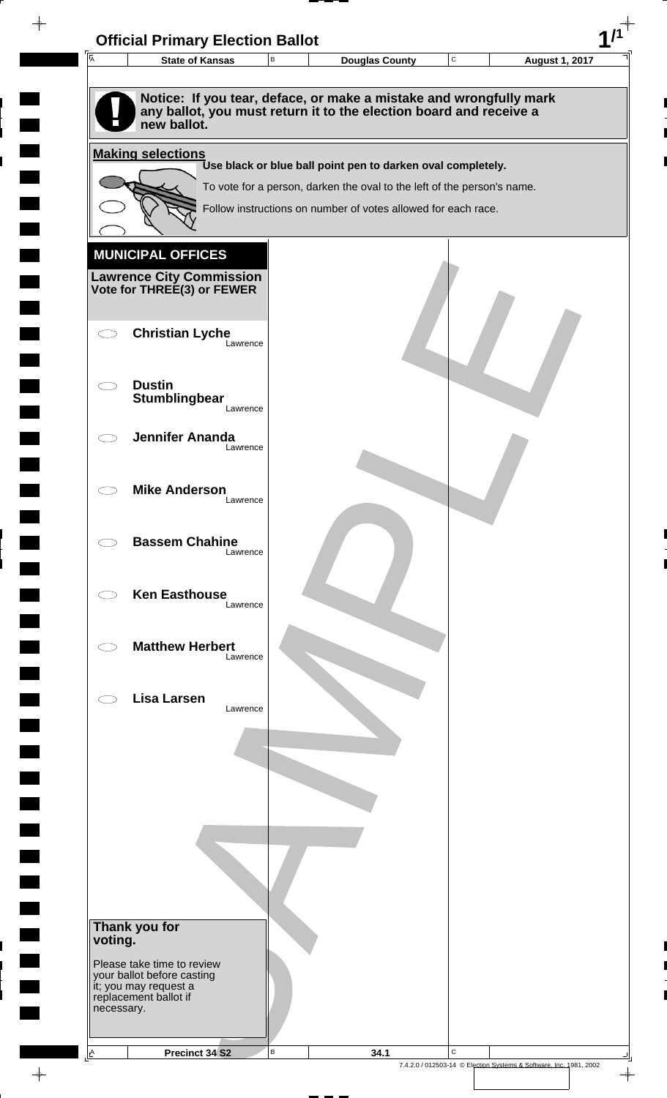| $\overline{A}$ | <b>State of Kansas</b>                                   | $\,$ B | <b>Douglas County</b>                                                                                                                    | $\mathbf C$ | <b>August 1, 2017</b> |
|----------------|----------------------------------------------------------|--------|------------------------------------------------------------------------------------------------------------------------------------------|-------------|-----------------------|
|                |                                                          |        |                                                                                                                                          |             |                       |
|                | new ballot.                                              |        | Notice: If you tear, deface, or make a mistake and wrongfully mark<br>any ballot, you must return it to the election board and receive a |             |                       |
|                | <b>Making selections</b>                                 |        |                                                                                                                                          |             |                       |
|                |                                                          |        | Use black or blue ball point pen to darken oval completely.                                                                              |             |                       |
|                |                                                          |        | To vote for a person, darken the oval to the left of the person's name.<br>Follow instructions on number of votes allowed for each race. |             |                       |
|                |                                                          |        |                                                                                                                                          |             |                       |
|                | <b>MUNICIPAL OFFICES</b>                                 |        |                                                                                                                                          |             |                       |
|                | <b>Lawrence City Commission</b>                          |        |                                                                                                                                          |             |                       |
|                | Vote for THREE(3) or FEWER                               |        |                                                                                                                                          |             |                       |
|                |                                                          |        |                                                                                                                                          |             |                       |
|                | <b>Christian Lyche</b><br>Lawrence                       |        |                                                                                                                                          |             |                       |
|                |                                                          |        |                                                                                                                                          |             |                       |
|                | <b>Dustin</b>                                            |        |                                                                                                                                          |             |                       |
|                | Stumblingbear<br>Lawrence                                |        |                                                                                                                                          |             |                       |
|                | <b>Jennifer Ananda</b>                                   |        |                                                                                                                                          |             |                       |
|                | Lawrence                                                 |        |                                                                                                                                          |             |                       |
|                |                                                          |        |                                                                                                                                          |             |                       |
|                | <b>Mike Anderson</b><br>Lawrence                         |        |                                                                                                                                          |             |                       |
|                |                                                          |        |                                                                                                                                          |             |                       |
|                | <b>Bassem Chahine</b><br>Lawrence                        |        |                                                                                                                                          |             |                       |
|                |                                                          |        |                                                                                                                                          |             |                       |
|                | <b>Ken Easthouse</b>                                     |        |                                                                                                                                          |             |                       |
|                | Lawrence                                                 |        |                                                                                                                                          |             |                       |
|                | <b>Matthew Herbert</b>                                   |        |                                                                                                                                          |             |                       |
|                | Lawrence                                                 |        |                                                                                                                                          |             |                       |
|                | <b>Lisa Larsen</b>                                       |        |                                                                                                                                          |             |                       |
|                | Lawrence                                                 |        |                                                                                                                                          |             |                       |
|                |                                                          |        |                                                                                                                                          |             |                       |
|                |                                                          |        |                                                                                                                                          |             |                       |
|                |                                                          |        |                                                                                                                                          |             |                       |
|                |                                                          |        |                                                                                                                                          |             |                       |
|                |                                                          |        |                                                                                                                                          |             |                       |
|                |                                                          |        |                                                                                                                                          |             |                       |
|                |                                                          |        |                                                                                                                                          |             |                       |
|                |                                                          |        |                                                                                                                                          |             |                       |
|                | Thank you for                                            |        |                                                                                                                                          |             |                       |
| voting.        |                                                          |        |                                                                                                                                          |             |                       |
|                | Please take time to review<br>your ballot before casting |        |                                                                                                                                          |             |                       |
|                | it; you may request a<br>replacement ballot if           |        |                                                                                                                                          |             |                       |
| necessary.     |                                                          |        |                                                                                                                                          |             |                       |
|                |                                                          |        |                                                                                                                                          |             |                       |
|                |                                                          |        |                                                                                                                                          |             |                       |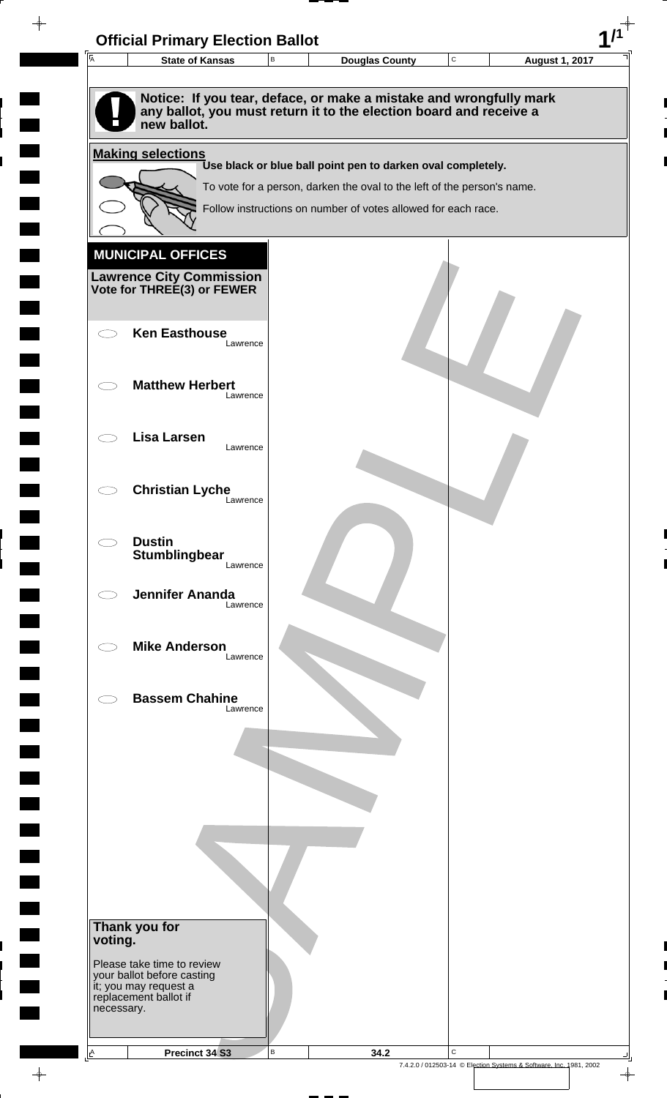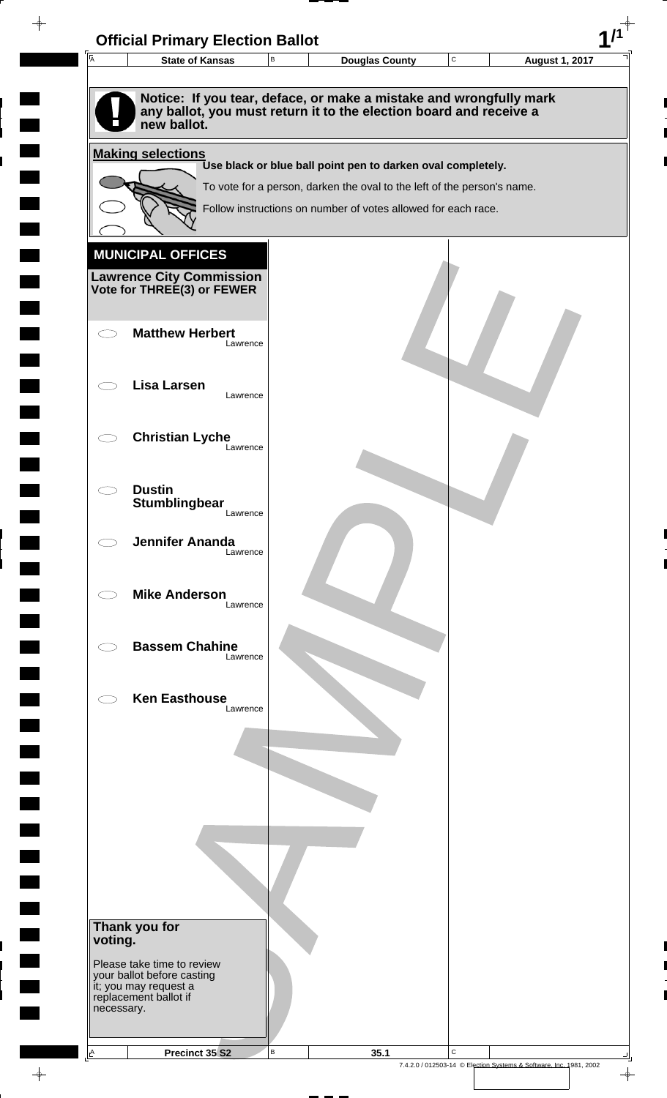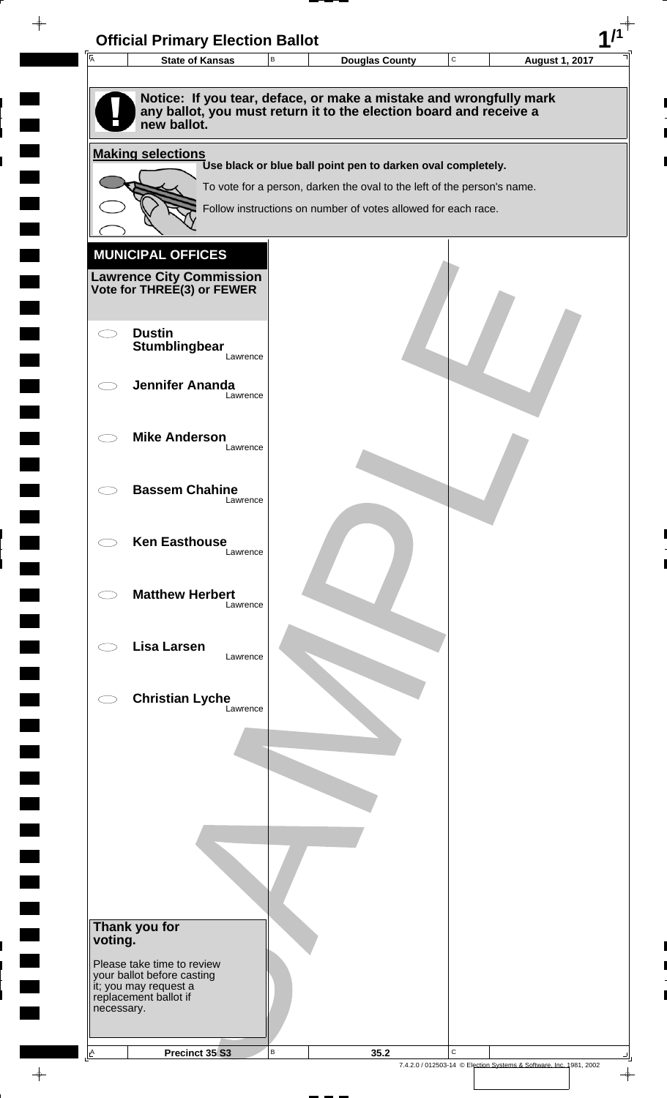

 $\overline{\phantom{a}}$ 

 $\overline{\phantom{0}}$ 

 $\rightarrow$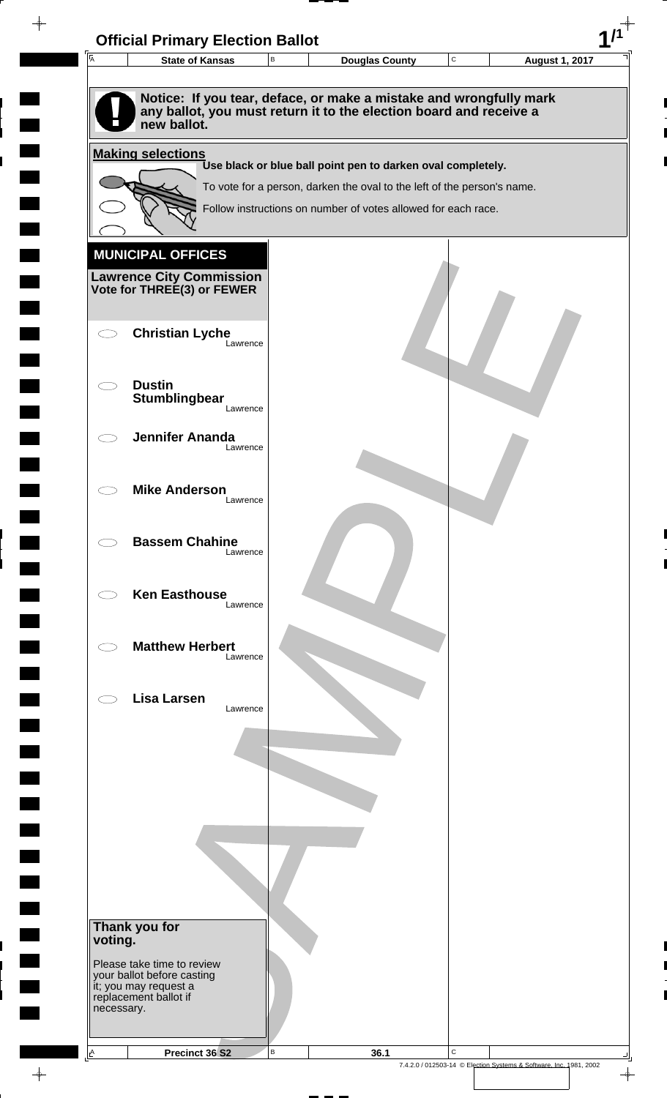| $\overline{\mathsf{A}}$ | <b>State of Kansas</b>                                         | $\,$ B | <b>Douglas County</b>                                                                                                                    | C | <b>August 1, 2017</b> |
|-------------------------|----------------------------------------------------------------|--------|------------------------------------------------------------------------------------------------------------------------------------------|---|-----------------------|
|                         |                                                                |        |                                                                                                                                          |   |                       |
|                         | new ballot.                                                    |        | Notice: If you tear, deface, or make a mistake and wrongfully mark<br>any ballot, you must return it to the election board and receive a |   |                       |
|                         | <b>Making selections</b>                                       |        |                                                                                                                                          |   |                       |
|                         |                                                                |        | Use black or blue ball point pen to darken oval completely.<br>To vote for a person, darken the oval to the left of the person's name.   |   |                       |
|                         |                                                                |        | Follow instructions on number of votes allowed for each race.                                                                            |   |                       |
|                         |                                                                |        |                                                                                                                                          |   |                       |
|                         | <b>MUNICIPAL OFFICES</b>                                       |        |                                                                                                                                          |   |                       |
|                         | <b>Lawrence City Commission<br/>Vote for THREE(3) or FEWER</b> |        |                                                                                                                                          |   |                       |
|                         |                                                                |        |                                                                                                                                          |   |                       |
|                         | <b>Christian Lyche</b>                                         |        |                                                                                                                                          |   |                       |
|                         | Lawrence                                                       |        |                                                                                                                                          |   |                       |
|                         | <b>Dustin</b>                                                  |        |                                                                                                                                          |   |                       |
|                         | Stumblingbear<br>Lawrence                                      |        |                                                                                                                                          |   |                       |
|                         |                                                                |        |                                                                                                                                          |   |                       |
|                         | <b>Jennifer Ananda</b><br>Lawrence                             |        |                                                                                                                                          |   |                       |
|                         |                                                                |        |                                                                                                                                          |   |                       |
|                         | <b>Mike Anderson</b><br>Lawrence                               |        |                                                                                                                                          |   |                       |
|                         |                                                                |        |                                                                                                                                          |   |                       |
|                         | <b>Bassem Chahine</b><br>Lawrence                              |        |                                                                                                                                          |   |                       |
|                         |                                                                |        |                                                                                                                                          |   |                       |
|                         | <b>Ken Easthouse</b><br>Lawrence                               |        |                                                                                                                                          |   |                       |
|                         |                                                                |        |                                                                                                                                          |   |                       |
|                         | <b>Matthew Herbert</b><br>Lawrence                             |        |                                                                                                                                          |   |                       |
|                         |                                                                |        |                                                                                                                                          |   |                       |
|                         | <b>Lisa Larsen</b>                                             |        |                                                                                                                                          |   |                       |
|                         | Lawrence                                                       |        |                                                                                                                                          |   |                       |
|                         |                                                                |        |                                                                                                                                          |   |                       |
|                         |                                                                |        |                                                                                                                                          |   |                       |
|                         |                                                                |        |                                                                                                                                          |   |                       |
|                         |                                                                |        |                                                                                                                                          |   |                       |
|                         |                                                                |        |                                                                                                                                          |   |                       |
|                         |                                                                |        |                                                                                                                                          |   |                       |
|                         |                                                                |        |                                                                                                                                          |   |                       |
|                         | Thank you for                                                  |        |                                                                                                                                          |   |                       |
| voting.                 |                                                                |        |                                                                                                                                          |   |                       |
|                         | Please take time to review<br>your ballot before casting       |        |                                                                                                                                          |   |                       |
|                         | it; you may request a<br>replacement ballot if                 |        |                                                                                                                                          |   |                       |
| necessary.              |                                                                |        |                                                                                                                                          |   |                       |
|                         |                                                                |        |                                                                                                                                          |   |                       |

 $\blacksquare$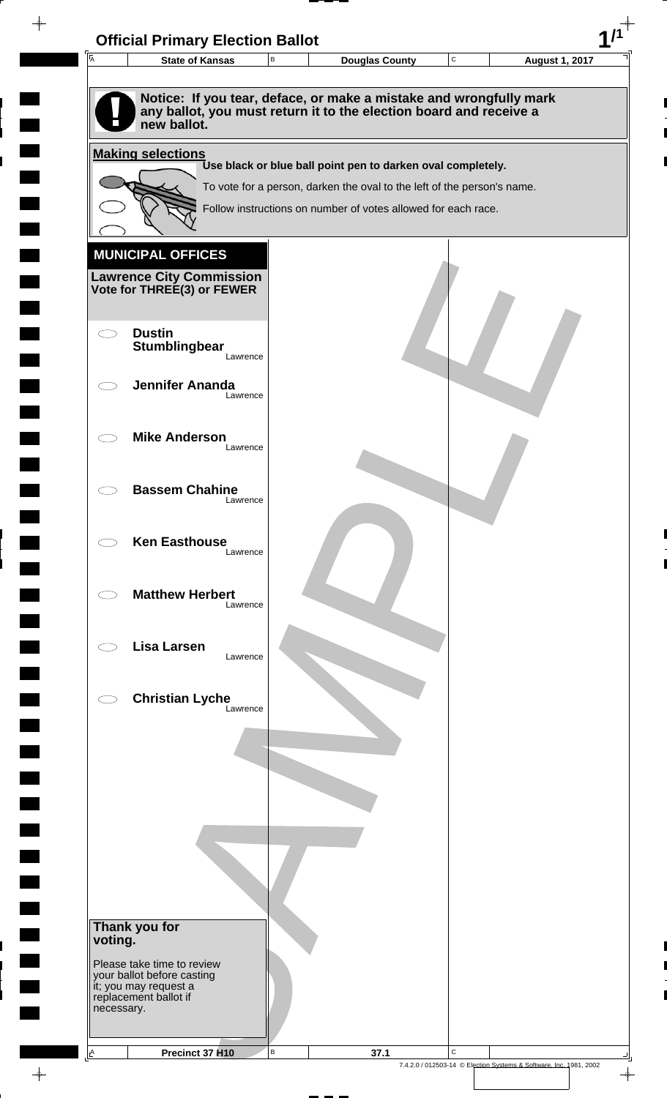

 $\overline{\phantom{a}}$ 

**The Second** 

 $\overline{\phantom{0}}$ 

 $\rightarrow$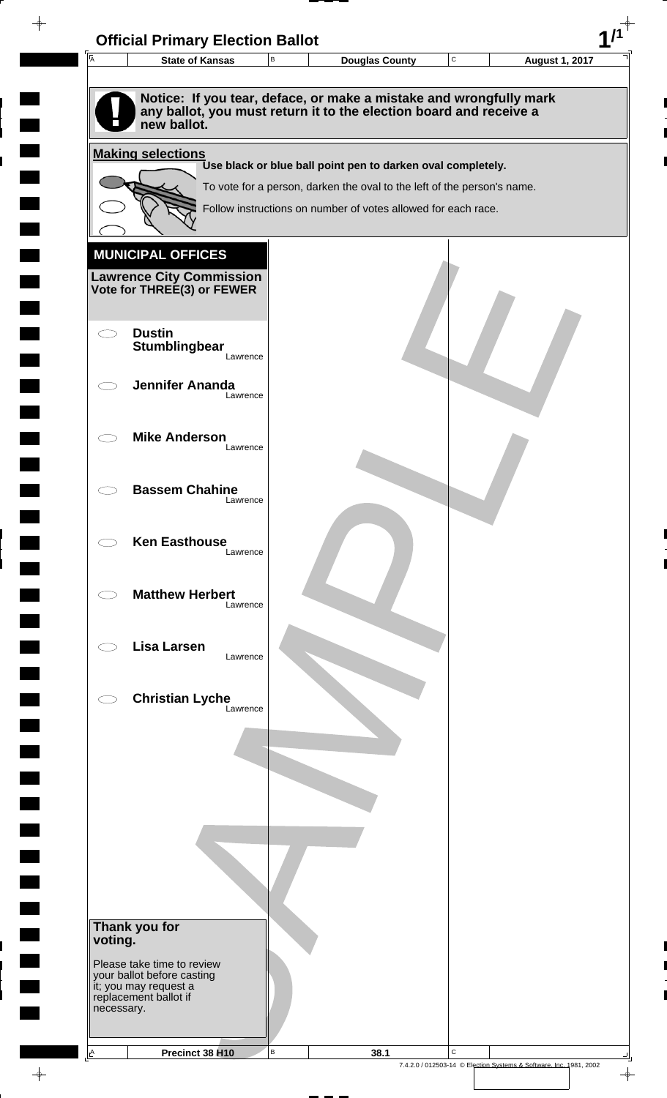

 $\overline{\phantom{a}}$ 

**The Second** 

 $\overline{\phantom{0}}$ 

 $\rightarrow$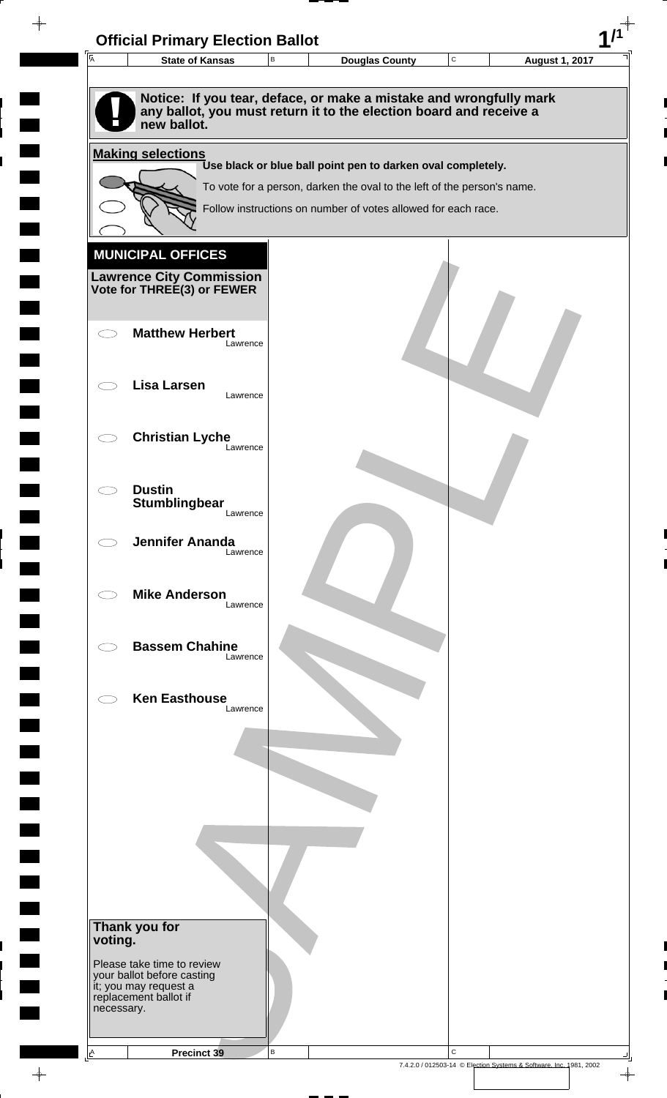

 $\overline{\phantom{a}}$ 

**Contract** 

 $\blacksquare$ 

 $\overline{\phantom{0}}$ 

 $\overline{\phantom{0}}$ 

 $\rightarrow$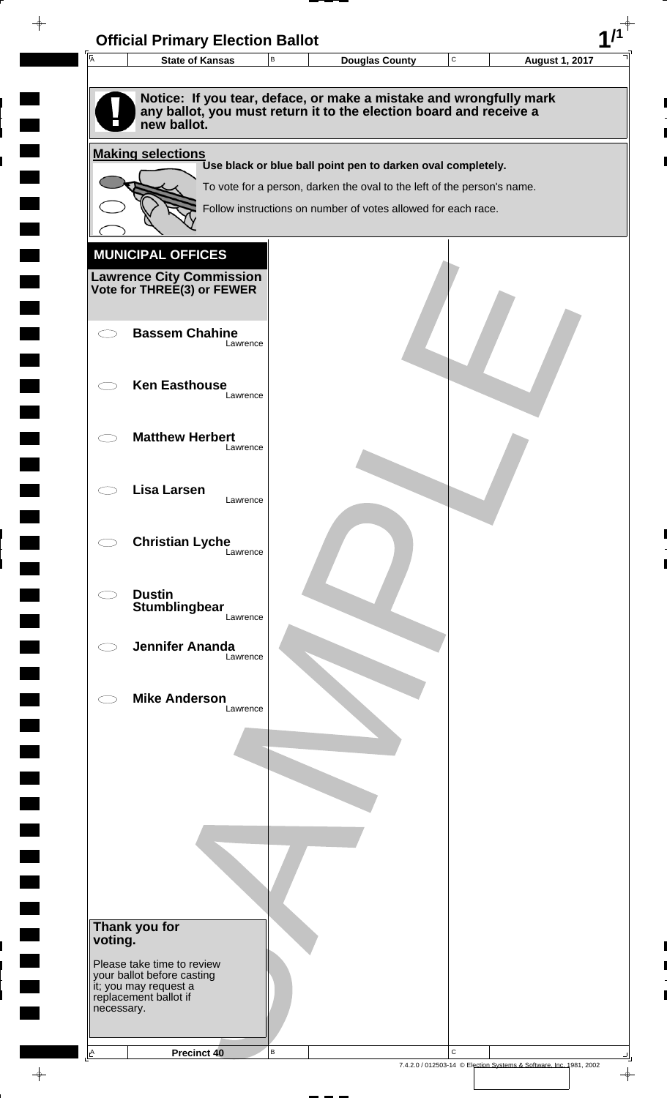| $\overline{A}$ | <b>State of Kansas</b>                                                       | $\mathsf B$ | <b>Douglas County</b>                                                                                                                    | ${\bf C}$ | <b>August 1, 2017</b> |
|----------------|------------------------------------------------------------------------------|-------------|------------------------------------------------------------------------------------------------------------------------------------------|-----------|-----------------------|
|                | new ballot.                                                                  |             | Notice: If you tear, deface, or make a mistake and wrongfully mark<br>any ballot, you must return it to the election board and receive a |           |                       |
|                | <b>Making selections</b>                                                     |             |                                                                                                                                          |           |                       |
|                |                                                                              |             | Use black or blue ball point pen to darken oval completely.<br>To vote for a person, darken the oval to the left of the person's name.   |           |                       |
|                |                                                                              |             | Follow instructions on number of votes allowed for each race.                                                                            |           |                       |
|                |                                                                              |             |                                                                                                                                          |           |                       |
|                | <b>MUNICIPAL OFFICES</b>                                                     |             |                                                                                                                                          |           |                       |
|                | <b>Lawrence City Commission</b><br>Vote for THREE(3) or FEWER                |             |                                                                                                                                          |           |                       |
|                |                                                                              |             |                                                                                                                                          |           |                       |
|                | <b>Bassem Chahine</b><br>Lawrence                                            |             |                                                                                                                                          |           |                       |
|                |                                                                              |             |                                                                                                                                          |           |                       |
|                | <b>Ken Easthouse</b><br>Lawrence                                             |             |                                                                                                                                          |           |                       |
|                | <b>Matthew Herbert</b>                                                       |             |                                                                                                                                          |           |                       |
|                | Lawrence                                                                     |             |                                                                                                                                          |           |                       |
|                | Lisa Larsen                                                                  |             |                                                                                                                                          |           |                       |
|                | Lawrence                                                                     |             |                                                                                                                                          |           |                       |
|                | <b>Christian Lyche</b>                                                       |             |                                                                                                                                          |           |                       |
|                | Lawrence                                                                     |             |                                                                                                                                          |           |                       |
|                | <b>Dustin</b>                                                                |             |                                                                                                                                          |           |                       |
|                | Stumblingbear<br>Lawrence                                                    |             |                                                                                                                                          |           |                       |
|                | <b>Jennifer Ananda</b><br>Lawrence                                           |             |                                                                                                                                          |           |                       |
|                |                                                                              |             |                                                                                                                                          |           |                       |
|                | <b>Mike Anderson</b><br>Lawrence                                             |             |                                                                                                                                          |           |                       |
|                |                                                                              |             |                                                                                                                                          |           |                       |
|                |                                                                              |             |                                                                                                                                          |           |                       |
|                |                                                                              |             |                                                                                                                                          |           |                       |
|                |                                                                              |             |                                                                                                                                          |           |                       |
|                |                                                                              |             |                                                                                                                                          |           |                       |
|                |                                                                              |             |                                                                                                                                          |           |                       |
|                |                                                                              |             |                                                                                                                                          |           |                       |
| voting.        | Thank you for                                                                |             |                                                                                                                                          |           |                       |
|                | Please take time to review                                                   |             |                                                                                                                                          |           |                       |
|                | your ballot before casting<br>it; you may request a<br>replacement ballot if |             |                                                                                                                                          |           |                       |
|                |                                                                              |             |                                                                                                                                          |           |                       |

 $\begin{array}{c}\n\downarrow \\
\downarrow \\
\downarrow\n\end{array}$ 

 $\overline{\phantom{a}}$ 

 $\blacksquare$ 

 $\blacksquare$ 

 $\begin{array}{c} \hline \end{array}$ 

 $\begin{array}{c} \hline \end{array}$ 

 $\blacksquare$ 

7.4.2.0 / 012503-14 © Election Systems & Software, Inc. 1981, 2002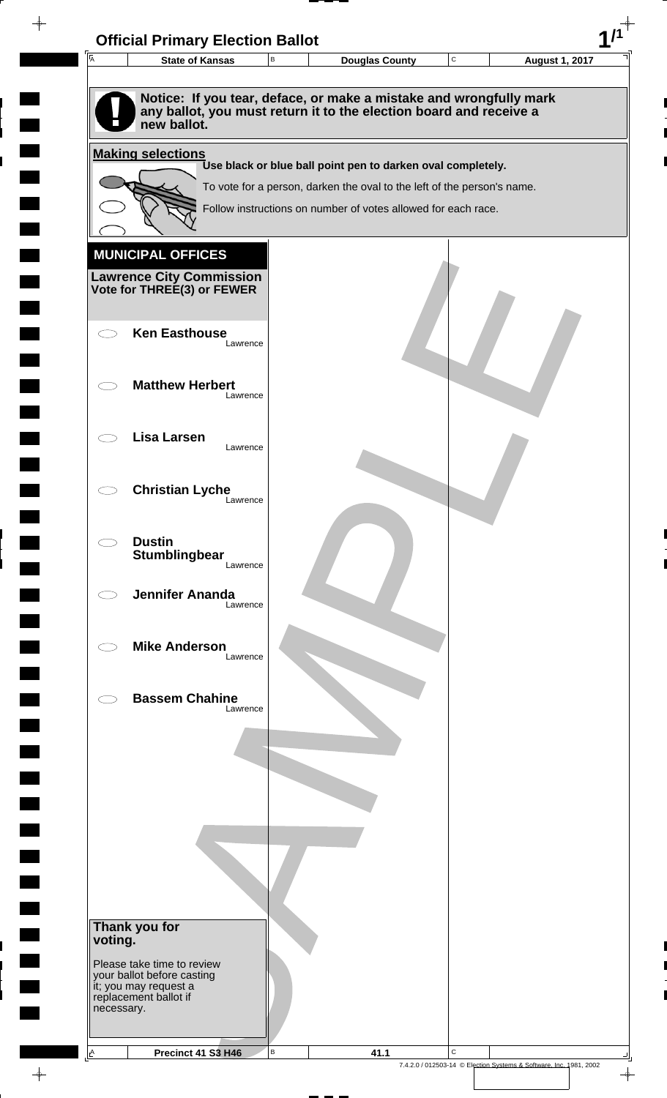

 $\overline{\phantom{a}}$ **Contract**  $\blacksquare$  $\overline{\phantom{0}}$  $\overline{\phantom{0}}$  $\rightarrow$ 

 $\rightarrow$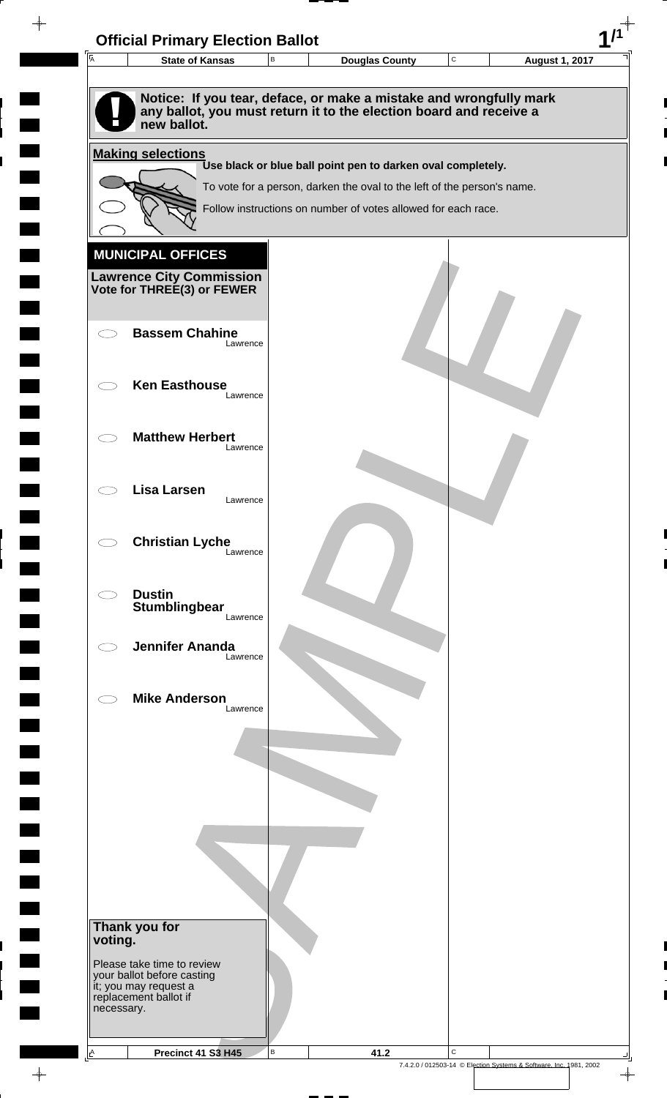| $\overline{\mathsf{A}}$ | <b>State of Kansas</b>                                   | $\sf B$ | <b>Douglas County</b>                                                                                                                    | $\mathbf C$ | <b>August 1, 2017</b> |
|-------------------------|----------------------------------------------------------|---------|------------------------------------------------------------------------------------------------------------------------------------------|-------------|-----------------------|
|                         |                                                          |         |                                                                                                                                          |             |                       |
|                         | new ballot.                                              |         | Notice: If you tear, deface, or make a mistake and wrongfully mark<br>any ballot, you must return it to the election board and receive a |             |                       |
|                         | <b>Making selections</b>                                 |         |                                                                                                                                          |             |                       |
|                         |                                                          |         | Use black or blue ball point pen to darken oval completely.                                                                              |             |                       |
|                         |                                                          |         | To vote for a person, darken the oval to the left of the person's name.<br>Follow instructions on number of votes allowed for each race. |             |                       |
|                         |                                                          |         |                                                                                                                                          |             |                       |
|                         | <b>MUNICIPAL OFFICES</b>                                 |         |                                                                                                                                          |             |                       |
|                         | <b>Lawrence City Commission</b>                          |         |                                                                                                                                          |             |                       |
|                         | Vote for THREE(3) or FEWER                               |         |                                                                                                                                          |             |                       |
| くつ                      | <b>Bassem Chahine</b>                                    |         |                                                                                                                                          |             |                       |
|                         | Lawrence                                                 |         |                                                                                                                                          |             |                       |
|                         | <b>Ken Easthouse</b>                                     |         |                                                                                                                                          |             |                       |
|                         | Lawrence                                                 |         |                                                                                                                                          |             |                       |
|                         | <b>Matthew Herbert</b>                                   |         |                                                                                                                                          |             |                       |
|                         | Lawrence                                                 |         |                                                                                                                                          |             |                       |
|                         | Lisa Larsen                                              |         |                                                                                                                                          |             |                       |
|                         | Lawrence                                                 |         |                                                                                                                                          |             |                       |
|                         | <b>Christian Lyche</b>                                   |         |                                                                                                                                          |             |                       |
|                         | Lawrence                                                 |         |                                                                                                                                          |             |                       |
| C)                      | <b>Dustin</b>                                            |         |                                                                                                                                          |             |                       |
|                         | Stumblingbear<br>Lawrence                                |         |                                                                                                                                          |             |                       |
|                         | <b>Jennifer Ananda</b>                                   |         |                                                                                                                                          |             |                       |
|                         | Lawrence                                                 |         |                                                                                                                                          |             |                       |
|                         | <b>Mike Anderson</b><br>Lawrence                         |         |                                                                                                                                          |             |                       |
|                         |                                                          |         |                                                                                                                                          |             |                       |
|                         |                                                          |         |                                                                                                                                          |             |                       |
|                         |                                                          |         |                                                                                                                                          |             |                       |
|                         |                                                          |         |                                                                                                                                          |             |                       |
|                         |                                                          |         |                                                                                                                                          |             |                       |
|                         |                                                          |         |                                                                                                                                          |             |                       |
|                         |                                                          |         |                                                                                                                                          |             |                       |
|                         |                                                          |         |                                                                                                                                          |             |                       |
| voting.                 | Thank you for                                            |         |                                                                                                                                          |             |                       |
|                         | Please take time to review<br>your ballot before casting |         |                                                                                                                                          |             |                       |
|                         | it; you may request a<br>replacement ballot if           |         |                                                                                                                                          |             |                       |
| necessary.              |                                                          |         |                                                                                                                                          |             |                       |

 $\frac{1}{\sqrt{2}}$ 

 $\blacksquare$ 

7.4.2.0 / 012503-14 © Election Systems & Software, Inc. 1981, 2002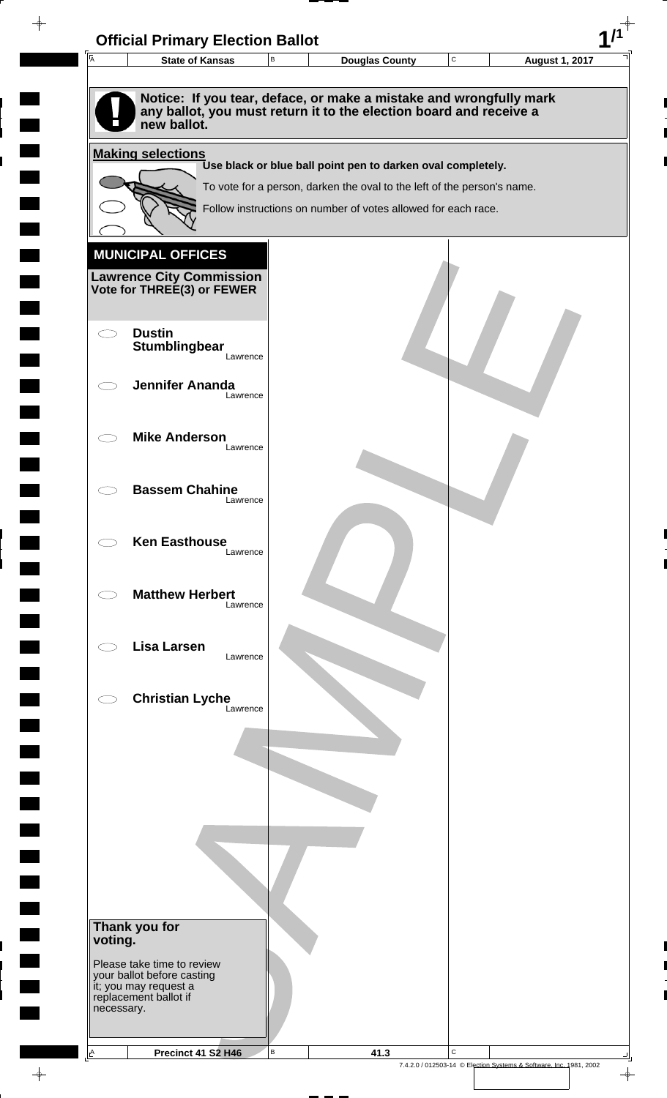

 $\overline{\phantom{a}}$ 

**The Second** 

 $\overline{\phantom{0}}$ 

 $\rightarrow$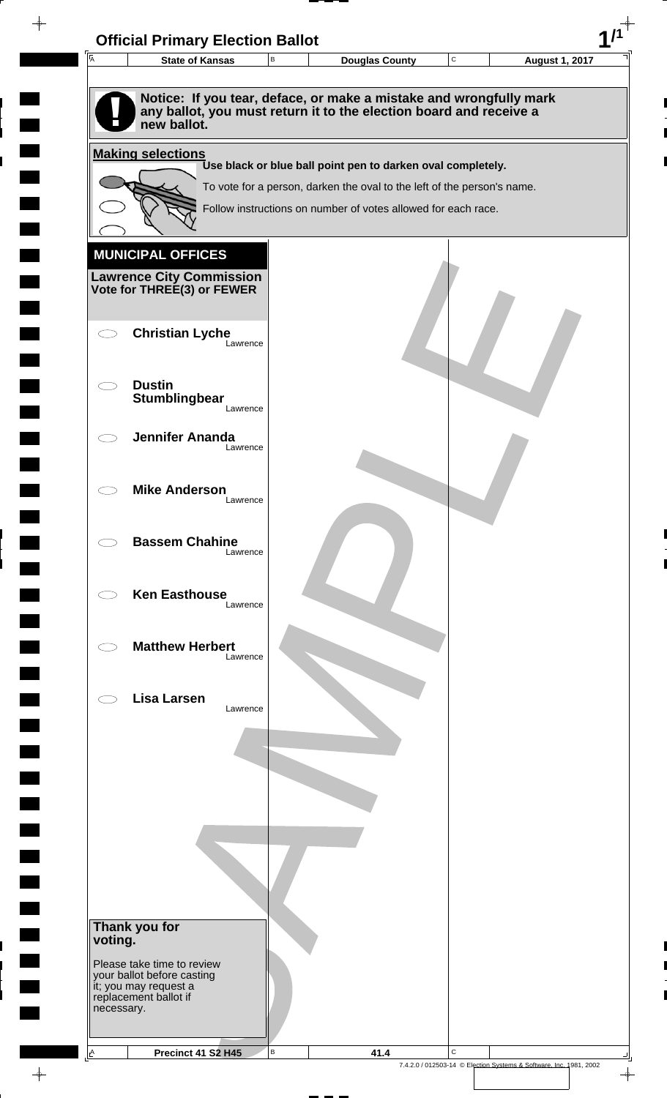| $\overline{A}$ | <b>State of Kansas</b>                                                       | $\,$ B | <b>Douglas County</b>                                                                                                                    | $\mathbf C$ | <b>August 1, 2017</b> |
|----------------|------------------------------------------------------------------------------|--------|------------------------------------------------------------------------------------------------------------------------------------------|-------------|-----------------------|
|                |                                                                              |        |                                                                                                                                          |             |                       |
|                | new ballot.                                                                  |        | Notice: If you tear, deface, or make a mistake and wrongfully mark<br>any ballot, you must return it to the election board and receive a |             |                       |
|                | <b>Making selections</b>                                                     |        |                                                                                                                                          |             |                       |
|                |                                                                              |        | Use black or blue ball point pen to darken oval completely.                                                                              |             |                       |
|                |                                                                              |        | To vote for a person, darken the oval to the left of the person's name.                                                                  |             |                       |
|                |                                                                              |        | Follow instructions on number of votes allowed for each race.                                                                            |             |                       |
|                | <b>MUNICIPAL OFFICES</b>                                                     |        |                                                                                                                                          |             |                       |
|                | <b>Lawrence City Commission</b>                                              |        |                                                                                                                                          |             |                       |
|                | Vote for THREE(3) or FEWER                                                   |        |                                                                                                                                          |             |                       |
|                |                                                                              |        |                                                                                                                                          |             |                       |
|                | <b>Christian Lyche</b><br>Lawrence                                           |        |                                                                                                                                          |             |                       |
|                |                                                                              |        |                                                                                                                                          |             |                       |
|                | <b>Dustin</b>                                                                |        |                                                                                                                                          |             |                       |
|                | Stumblingbear<br>Lawrence                                                    |        |                                                                                                                                          |             |                       |
|                | <b>Jennifer Ananda</b>                                                       |        |                                                                                                                                          |             |                       |
|                | Lawrence                                                                     |        |                                                                                                                                          |             |                       |
|                |                                                                              |        |                                                                                                                                          |             |                       |
|                | <b>Mike Anderson</b><br>Lawrence                                             |        |                                                                                                                                          |             |                       |
|                |                                                                              |        |                                                                                                                                          |             |                       |
|                | <b>Bassem Chahine</b><br>Lawrence                                            |        |                                                                                                                                          |             |                       |
|                |                                                                              |        |                                                                                                                                          |             |                       |
|                | <b>Ken Easthouse</b>                                                         |        |                                                                                                                                          |             |                       |
|                | Lawrence                                                                     |        |                                                                                                                                          |             |                       |
|                | <b>Matthew Herbert</b>                                                       |        |                                                                                                                                          |             |                       |
|                | Lawrence                                                                     |        |                                                                                                                                          |             |                       |
|                |                                                                              |        |                                                                                                                                          |             |                       |
|                | <b>Lisa Larsen</b><br>Lawrence                                               |        |                                                                                                                                          |             |                       |
|                |                                                                              |        |                                                                                                                                          |             |                       |
|                |                                                                              |        |                                                                                                                                          |             |                       |
|                |                                                                              |        |                                                                                                                                          |             |                       |
|                |                                                                              |        |                                                                                                                                          |             |                       |
|                |                                                                              |        |                                                                                                                                          |             |                       |
|                |                                                                              |        |                                                                                                                                          |             |                       |
|                |                                                                              |        |                                                                                                                                          |             |                       |
|                |                                                                              |        |                                                                                                                                          |             |                       |
|                | Thank you for                                                                |        |                                                                                                                                          |             |                       |
| voting.        |                                                                              |        |                                                                                                                                          |             |                       |
|                | Please take time to review                                                   |        |                                                                                                                                          |             |                       |
|                | your ballot before casting<br>it; you may request a<br>replacement ballot if |        |                                                                                                                                          |             |                       |
| necessary.     |                                                                              |        |                                                                                                                                          |             |                       |
|                |                                                                              |        |                                                                                                                                          |             |                       |
|                |                                                                              |        |                                                                                                                                          |             |                       |

 $\blacksquare$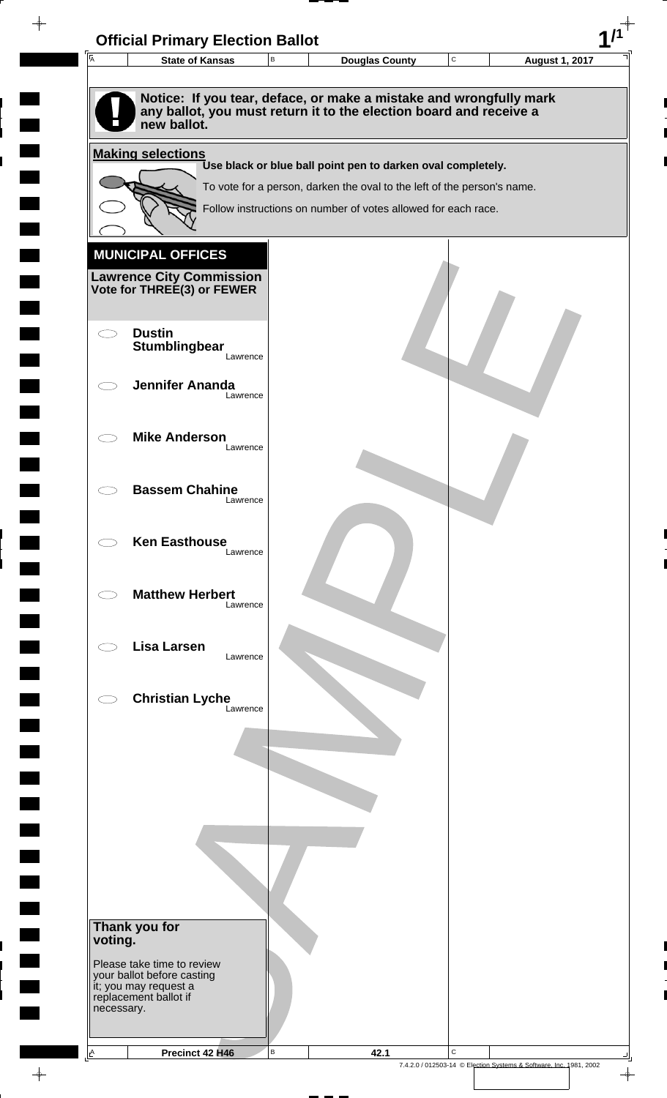

 $\overline{\phantom{a}}$ 

 $\Box$ 

**The Second** 

 $\overline{\phantom{0}}$ 

 $\rightarrow$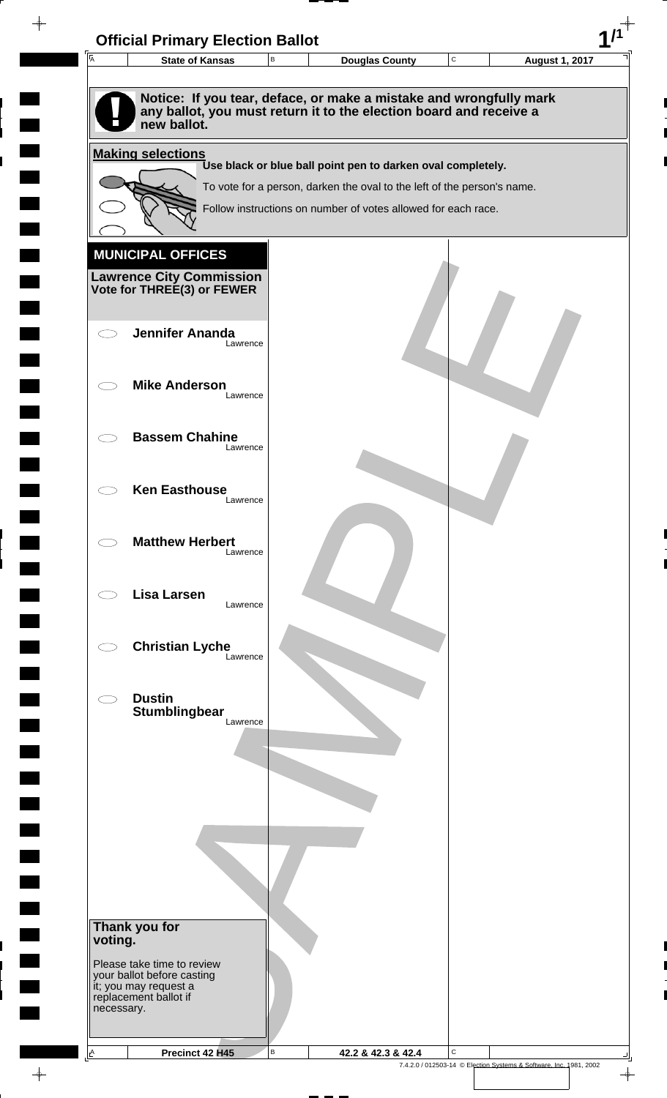| $\overline{A}$           | <b>Official Primary Election Ballot</b><br><b>State of Kansas</b> | $\, {\sf B}$ | <b>Douglas County</b>                                                                                                                    | ${\bf C}$ | <b>August 1, 2017</b> |
|--------------------------|-------------------------------------------------------------------|--------------|------------------------------------------------------------------------------------------------------------------------------------------|-----------|-----------------------|
|                          |                                                                   |              |                                                                                                                                          |           |                       |
|                          | new ballot.                                                       |              | Notice: If you tear, deface, or make a mistake and wrongfully mark<br>any ballot, you must return it to the election board and receive a |           |                       |
|                          | <b>Making selections</b>                                          |              |                                                                                                                                          |           |                       |
|                          |                                                                   |              | Use black or blue ball point pen to darken oval completely.                                                                              |           |                       |
|                          |                                                                   |              | To vote for a person, darken the oval to the left of the person's name.<br>Follow instructions on number of votes allowed for each race. |           |                       |
|                          |                                                                   |              |                                                                                                                                          |           |                       |
|                          | <b>MUNICIPAL OFFICES</b>                                          |              |                                                                                                                                          |           |                       |
|                          | <b>Lawrence City Commission</b>                                   |              |                                                                                                                                          |           |                       |
|                          | Vote for THREE(3) or FEWER                                        |              |                                                                                                                                          |           |                       |
| $\subset$ $\bar{\ }$     | <b>Jennifer Ananda</b>                                            |              |                                                                                                                                          |           |                       |
|                          | Lawrence                                                          |              |                                                                                                                                          |           |                       |
|                          | <b>Mike Anderson</b>                                              |              |                                                                                                                                          |           |                       |
| $\overline{\phantom{0}}$ | Lawrence                                                          |              |                                                                                                                                          |           |                       |
|                          |                                                                   |              |                                                                                                                                          |           |                       |
|                          | <b>Bassem Chahine</b><br>Lawrence                                 |              |                                                                                                                                          |           |                       |
|                          |                                                                   |              |                                                                                                                                          |           |                       |
|                          | <b>Ken Easthouse</b><br>Lawrence                                  |              |                                                                                                                                          |           |                       |
|                          |                                                                   |              |                                                                                                                                          |           |                       |
|                          | <b>Matthew Herbert</b><br>Lawrence                                |              |                                                                                                                                          |           |                       |
|                          |                                                                   |              |                                                                                                                                          |           |                       |
|                          | <b>Lisa Larsen</b><br>Lawrence                                    |              |                                                                                                                                          |           |                       |
|                          |                                                                   |              |                                                                                                                                          |           |                       |
|                          | <b>Christian Lyche</b><br>Lawrence                                |              |                                                                                                                                          |           |                       |
|                          |                                                                   |              |                                                                                                                                          |           |                       |
|                          | <b>Dustin</b>                                                     |              |                                                                                                                                          |           |                       |
|                          | Stumblingbear<br>Lawrence                                         |              |                                                                                                                                          |           |                       |
|                          |                                                                   |              |                                                                                                                                          |           |                       |
|                          |                                                                   |              |                                                                                                                                          |           |                       |
|                          |                                                                   |              |                                                                                                                                          |           |                       |
|                          |                                                                   |              |                                                                                                                                          |           |                       |
|                          |                                                                   |              |                                                                                                                                          |           |                       |
|                          |                                                                   |              |                                                                                                                                          |           |                       |
|                          |                                                                   |              |                                                                                                                                          |           |                       |
|                          | Thank you for                                                     |              |                                                                                                                                          |           |                       |
| voting.                  |                                                                   |              |                                                                                                                                          |           |                       |
|                          | Please take time to review<br>your ballot before casting          |              |                                                                                                                                          |           |                       |
|                          | it; you may request a<br>replacement ballot if                    |              |                                                                                                                                          |           |                       |
| necessary.               |                                                                   |              |                                                                                                                                          |           |                       |
|                          |                                                                   |              |                                                                                                                                          |           |                       |

 $\overline{\phantom{a}}$ 

 $\blacksquare$ 

 $\blacksquare$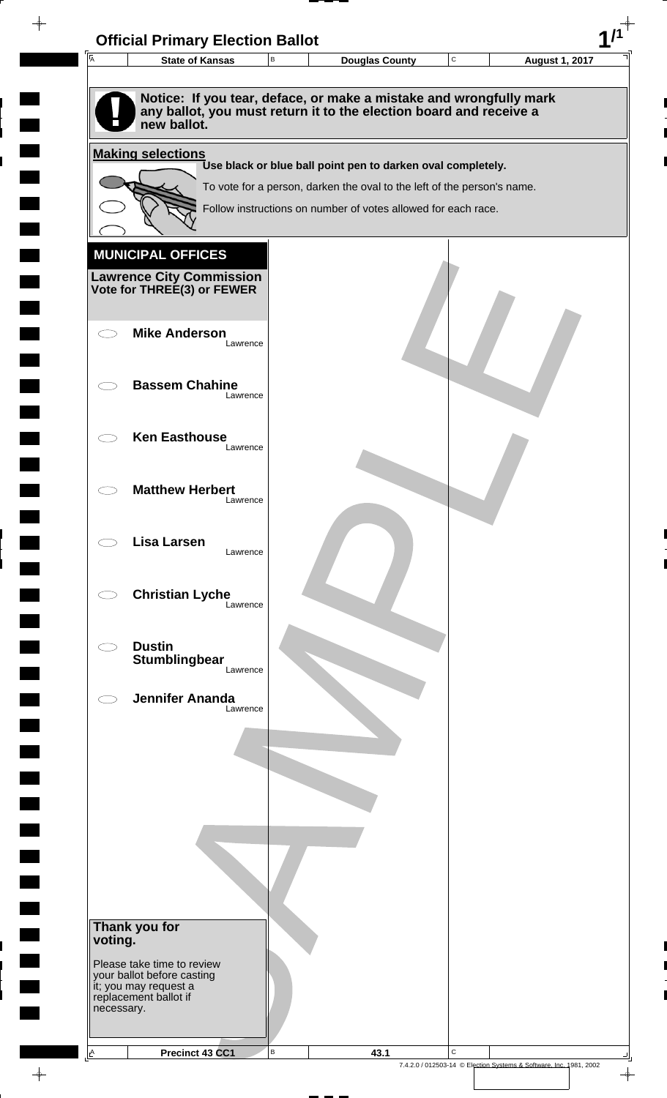| $\overline{A}$ | <b>State of Kansas</b>                                                                                                                                  | $\, {\bf B}$ | <b>Douglas County</b>                                                                                                                  | C | <b>August 1, 2017</b> |
|----------------|---------------------------------------------------------------------------------------------------------------------------------------------------------|--------------|----------------------------------------------------------------------------------------------------------------------------------------|---|-----------------------|
|                | Notice: If you tear, deface, or make a mistake and wrongfully mark<br>any ballot, you must return it to the election board and receive a<br>new ballot. |              |                                                                                                                                        |   |                       |
|                | <b>Making selections</b>                                                                                                                                |              |                                                                                                                                        |   |                       |
|                |                                                                                                                                                         |              | Use black or blue ball point pen to darken oval completely.<br>To vote for a person, darken the oval to the left of the person's name. |   |                       |
|                |                                                                                                                                                         |              | Follow instructions on number of votes allowed for each race.                                                                          |   |                       |
|                |                                                                                                                                                         |              |                                                                                                                                        |   |                       |
|                | <b>MUNICIPAL OFFICES</b>                                                                                                                                |              |                                                                                                                                        |   |                       |
|                | <b>Lawrence City Commission</b><br>Vote for THREE(3) or FEWER                                                                                           |              |                                                                                                                                        |   |                       |
|                |                                                                                                                                                         |              |                                                                                                                                        |   |                       |
|                | <b>Mike Anderson</b>                                                                                                                                    |              |                                                                                                                                        |   |                       |
|                | Lawrence                                                                                                                                                |              |                                                                                                                                        |   |                       |
|                | <b>Bassem Chahine</b>                                                                                                                                   |              |                                                                                                                                        |   |                       |
|                | Lawrence                                                                                                                                                |              |                                                                                                                                        |   |                       |
|                | <b>Ken Easthouse</b>                                                                                                                                    |              |                                                                                                                                        |   |                       |
|                | Lawrence                                                                                                                                                |              |                                                                                                                                        |   |                       |
|                | <b>Matthew Herbert</b>                                                                                                                                  |              |                                                                                                                                        |   |                       |
|                | Lawrence                                                                                                                                                |              |                                                                                                                                        |   |                       |
|                | <b>Lisa Larsen</b>                                                                                                                                      |              |                                                                                                                                        |   |                       |
|                | Lawrence                                                                                                                                                |              |                                                                                                                                        |   |                       |
|                | <b>Christian Lyche</b>                                                                                                                                  |              |                                                                                                                                        |   |                       |
|                | Lawrence                                                                                                                                                |              |                                                                                                                                        |   |                       |
|                | <b>Dustin</b>                                                                                                                                           |              |                                                                                                                                        |   |                       |
|                | Stumblingbear<br>Lawrence                                                                                                                               |              |                                                                                                                                        |   |                       |
|                | <b>Jennifer Ananda</b>                                                                                                                                  |              |                                                                                                                                        |   |                       |
|                | Lawrence                                                                                                                                                |              |                                                                                                                                        |   |                       |
|                |                                                                                                                                                         |              |                                                                                                                                        |   |                       |
|                |                                                                                                                                                         |              |                                                                                                                                        |   |                       |
|                |                                                                                                                                                         |              |                                                                                                                                        |   |                       |
|                |                                                                                                                                                         |              |                                                                                                                                        |   |                       |
|                |                                                                                                                                                         |              |                                                                                                                                        |   |                       |
|                |                                                                                                                                                         |              |                                                                                                                                        |   |                       |
|                |                                                                                                                                                         |              |                                                                                                                                        |   |                       |
|                | Thank you for                                                                                                                                           |              |                                                                                                                                        |   |                       |
| voting.        |                                                                                                                                                         |              |                                                                                                                                        |   |                       |
|                | Please take time to review<br>your ballot before casting                                                                                                |              |                                                                                                                                        |   |                       |
|                | it; you may request a<br>replacement ballot if                                                                                                          |              |                                                                                                                                        |   |                       |
| necessary.     |                                                                                                                                                         |              |                                                                                                                                        |   |                       |
|                |                                                                                                                                                         |              |                                                                                                                                        |   |                       |

 $\blacksquare$ 

 $\blacksquare$ 

 $\begin{array}{c} \hline \end{array}$ 

 $\begin{array}{c} \begin{array}{c} \hline \end{array} \end{array}$ 

 $\frac{1}{\sqrt{2\pi}}\int_{0}^{\pi}\frac{1}{\sqrt{2\pi}}\left( \frac{1}{\sqrt{2\pi}}\right) \frac{d\mu}{d\mu}d\mu$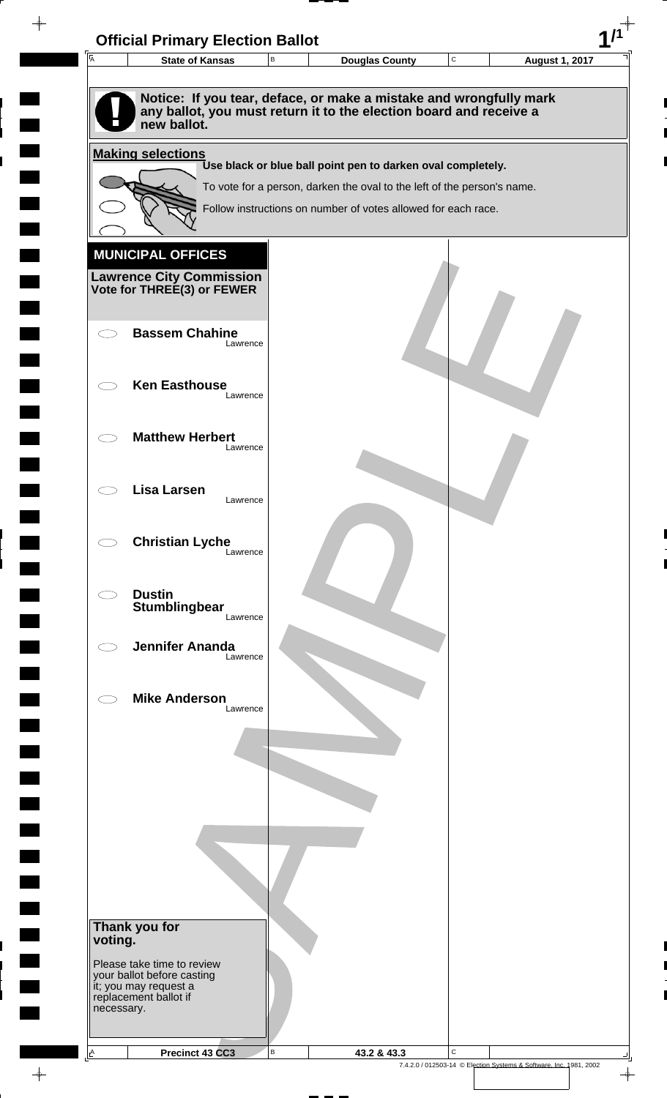| $\overline{A}$                     | <b>Official Primary Election Ballot</b><br><b>State of Kansas</b> | В | <b>Douglas County</b>                                                                                                                    | ${\bf C}$ | <b>August 1, 2017</b> |
|------------------------------------|-------------------------------------------------------------------|---|------------------------------------------------------------------------------------------------------------------------------------------|-----------|-----------------------|
|                                    |                                                                   |   |                                                                                                                                          |           |                       |
|                                    | new ballot.                                                       |   | Notice: If you tear, deface, or make a mistake and wrongfully mark<br>any ballot, you must return it to the election board and receive a |           |                       |
|                                    | <b>Making selections</b>                                          |   |                                                                                                                                          |           |                       |
|                                    |                                                                   |   | Use black or blue ball point pen to darken oval completely.                                                                              |           |                       |
|                                    |                                                                   |   | To vote for a person, darken the oval to the left of the person's name.                                                                  |           |                       |
|                                    |                                                                   |   | Follow instructions on number of votes allowed for each race.                                                                            |           |                       |
|                                    |                                                                   |   |                                                                                                                                          |           |                       |
|                                    | <b>MUNICIPAL OFFICES</b>                                          |   |                                                                                                                                          |           |                       |
|                                    | <b>Lawrence City Commission</b><br>Vote for THREE(3) or FEWER     |   |                                                                                                                                          |           |                       |
|                                    |                                                                   |   |                                                                                                                                          |           |                       |
| ⊂ ⊺                                | <b>Bassem Chahine</b><br>Lawrence                                 |   |                                                                                                                                          |           |                       |
|                                    |                                                                   |   |                                                                                                                                          |           |                       |
|                                    | <b>Ken Easthouse</b>                                              |   |                                                                                                                                          |           |                       |
|                                    | Lawrence                                                          |   |                                                                                                                                          |           |                       |
|                                    | <b>Matthew Herbert</b>                                            |   |                                                                                                                                          |           |                       |
| $\subset$ $\overline{\phantom{a}}$ | Lawrence                                                          |   |                                                                                                                                          |           |                       |
|                                    |                                                                   |   |                                                                                                                                          |           |                       |
|                                    | <b>Lisa Larsen</b><br>Lawrence                                    |   |                                                                                                                                          |           |                       |
|                                    |                                                                   |   |                                                                                                                                          |           |                       |
|                                    | <b>Christian Lyche</b>                                            |   |                                                                                                                                          |           |                       |
|                                    | Lawrence                                                          |   |                                                                                                                                          |           |                       |
|                                    | <b>Dustin</b>                                                     |   |                                                                                                                                          |           |                       |
|                                    | <b>Stumblingbear</b><br>Lawrence                                  |   |                                                                                                                                          |           |                       |
|                                    |                                                                   |   |                                                                                                                                          |           |                       |
|                                    | <b>Jennifer Ananda</b><br>Lawrence                                |   |                                                                                                                                          |           |                       |
|                                    |                                                                   |   |                                                                                                                                          |           |                       |
|                                    | <b>Mike Anderson</b><br>Lawrence                                  |   |                                                                                                                                          |           |                       |
|                                    |                                                                   |   |                                                                                                                                          |           |                       |
|                                    |                                                                   |   |                                                                                                                                          |           |                       |
|                                    |                                                                   |   |                                                                                                                                          |           |                       |
|                                    |                                                                   |   |                                                                                                                                          |           |                       |
|                                    |                                                                   |   |                                                                                                                                          |           |                       |
|                                    |                                                                   |   |                                                                                                                                          |           |                       |
|                                    |                                                                   |   |                                                                                                                                          |           |                       |
|                                    |                                                                   |   |                                                                                                                                          |           |                       |
|                                    |                                                                   |   |                                                                                                                                          |           |                       |
| voting.                            | Thank you for                                                     |   |                                                                                                                                          |           |                       |
|                                    | Please take time to review                                        |   |                                                                                                                                          |           |                       |
|                                    | your ballot before casting<br>it; you may request a               |   |                                                                                                                                          |           |                       |
| necessary.                         | replacement ballot if                                             |   |                                                                                                                                          |           |                       |
|                                    |                                                                   |   |                                                                                                                                          |           |                       |
|                                    |                                                                   |   |                                                                                                                                          |           |                       |

 $\overline{\phantom{a}}$ 

 $\blacksquare$ 

 $\blacksquare$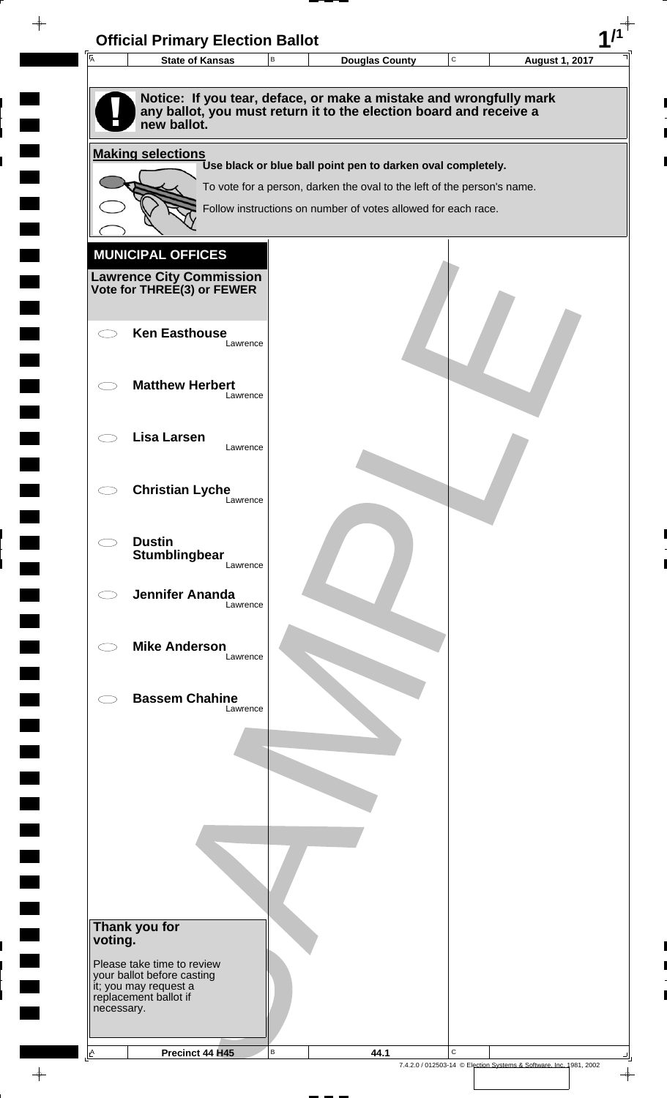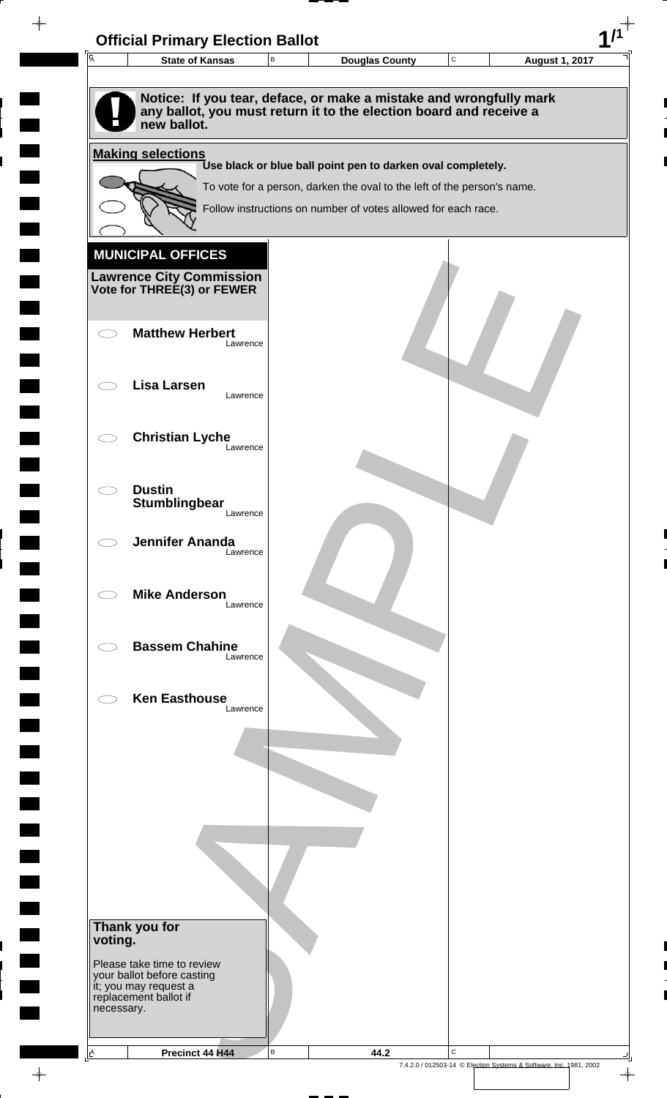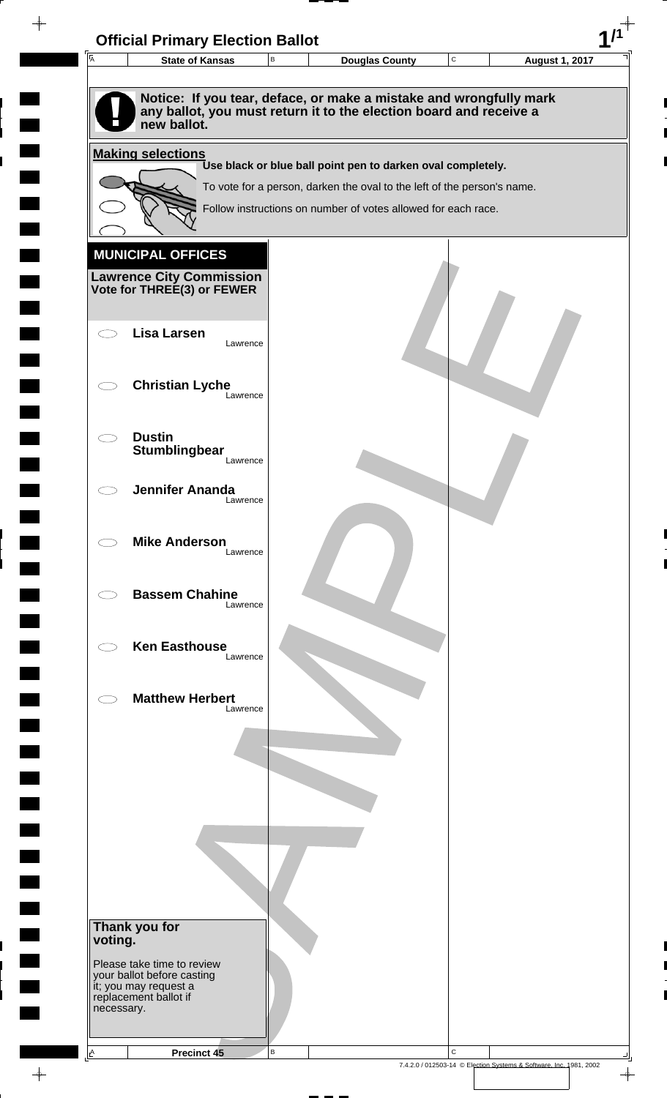

 $\overline{\phantom{a}}$ 

**Contract** 

 $\blacksquare$ 

 $\overline{\phantom{0}}$ 

 $\overline{\phantom{a}}$ 

 $\rightarrow$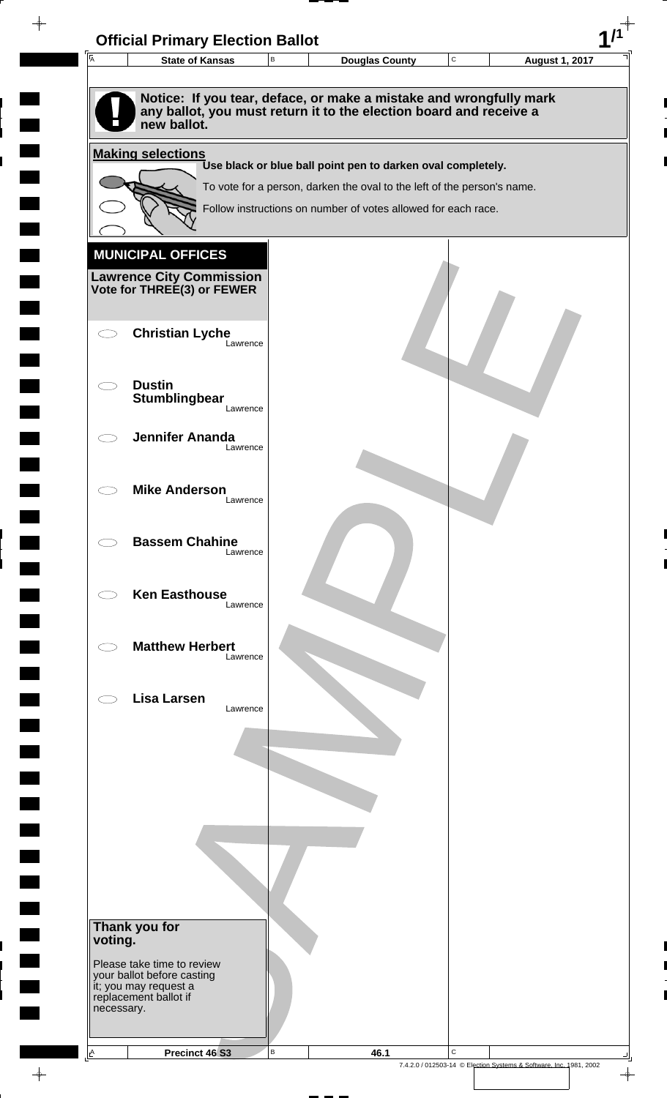| $\overline{A}$ | <b>State of Kansas</b>                                   | $\,$ B | <b>Douglas County</b>                                                                                                                    | $\mathbf C$ | <b>August 1, 2017</b> |
|----------------|----------------------------------------------------------|--------|------------------------------------------------------------------------------------------------------------------------------------------|-------------|-----------------------|
|                |                                                          |        |                                                                                                                                          |             |                       |
|                | new ballot.                                              |        | Notice: If you tear, deface, or make a mistake and wrongfully mark<br>any ballot, you must return it to the election board and receive a |             |                       |
|                | <b>Making selections</b>                                 |        |                                                                                                                                          |             |                       |
|                |                                                          |        | Use black or blue ball point pen to darken oval completely.                                                                              |             |                       |
|                |                                                          |        | To vote for a person, darken the oval to the left of the person's name.<br>Follow instructions on number of votes allowed for each race. |             |                       |
|                |                                                          |        |                                                                                                                                          |             |                       |
|                | <b>MUNICIPAL OFFICES</b>                                 |        |                                                                                                                                          |             |                       |
|                | <b>Lawrence City Commission</b>                          |        |                                                                                                                                          |             |                       |
|                | Vote for THREE(3) or FEWER                               |        |                                                                                                                                          |             |                       |
|                |                                                          |        |                                                                                                                                          |             |                       |
|                | <b>Christian Lyche</b><br>Lawrence                       |        |                                                                                                                                          |             |                       |
|                |                                                          |        |                                                                                                                                          |             |                       |
|                | <b>Dustin</b><br>Stumblingbear                           |        |                                                                                                                                          |             |                       |
|                | Lawrence                                                 |        |                                                                                                                                          |             |                       |
|                | <b>Jennifer Ananda</b><br>Lawrence                       |        |                                                                                                                                          |             |                       |
|                |                                                          |        |                                                                                                                                          |             |                       |
|                | <b>Mike Anderson</b>                                     |        |                                                                                                                                          |             |                       |
|                | Lawrence                                                 |        |                                                                                                                                          |             |                       |
|                | <b>Bassem Chahine</b>                                    |        |                                                                                                                                          |             |                       |
|                | Lawrence                                                 |        |                                                                                                                                          |             |                       |
|                | <b>Ken Easthouse</b>                                     |        |                                                                                                                                          |             |                       |
|                | Lawrence                                                 |        |                                                                                                                                          |             |                       |
|                |                                                          |        |                                                                                                                                          |             |                       |
|                | <b>Matthew Herbert</b><br>Lawrence                       |        |                                                                                                                                          |             |                       |
|                |                                                          |        |                                                                                                                                          |             |                       |
|                | <b>Lisa Larsen</b><br>Lawrence                           |        |                                                                                                                                          |             |                       |
|                |                                                          |        |                                                                                                                                          |             |                       |
|                |                                                          |        |                                                                                                                                          |             |                       |
|                |                                                          |        |                                                                                                                                          |             |                       |
|                |                                                          |        |                                                                                                                                          |             |                       |
|                |                                                          |        |                                                                                                                                          |             |                       |
|                |                                                          |        |                                                                                                                                          |             |                       |
|                |                                                          |        |                                                                                                                                          |             |                       |
|                |                                                          |        |                                                                                                                                          |             |                       |
|                | Thank you for                                            |        |                                                                                                                                          |             |                       |
| voting.        |                                                          |        |                                                                                                                                          |             |                       |
|                | Please take time to review<br>your ballot before casting |        |                                                                                                                                          |             |                       |
| necessary.     | it; you may request a<br>replacement ballot if           |        |                                                                                                                                          |             |                       |
|                |                                                          |        |                                                                                                                                          |             |                       |
|                |                                                          |        |                                                                                                                                          |             |                       |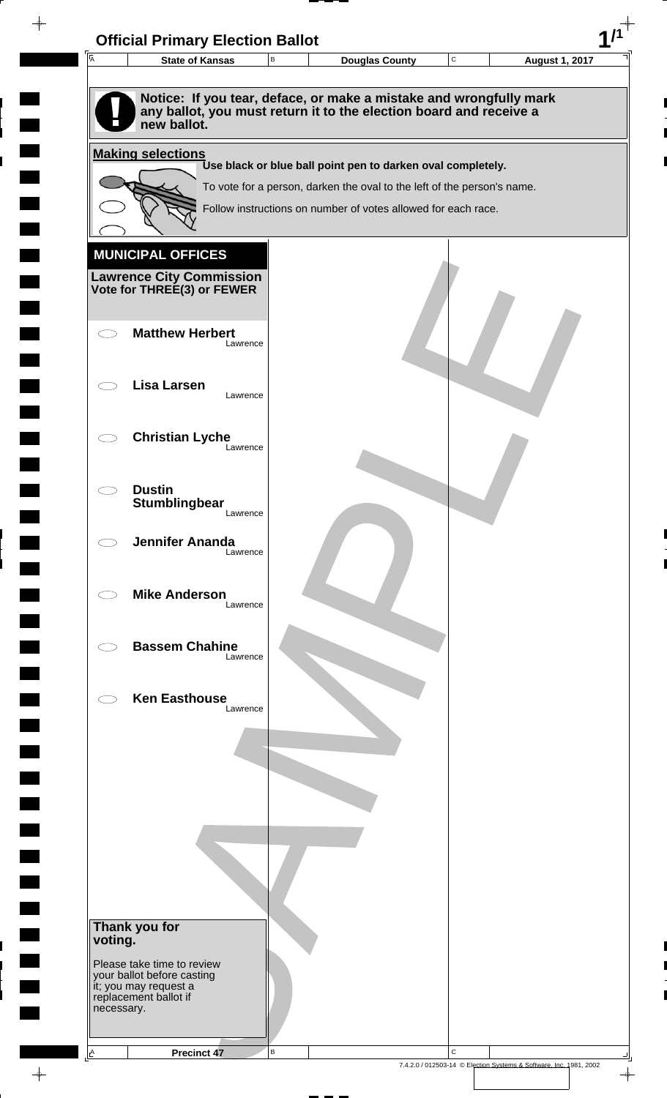

 $\overline{\phantom{a}}$ 

**Contract** 

 $\overline{\phantom{0}}$ 

 $\overline{\phantom{0}}$ 

 $\rightarrow$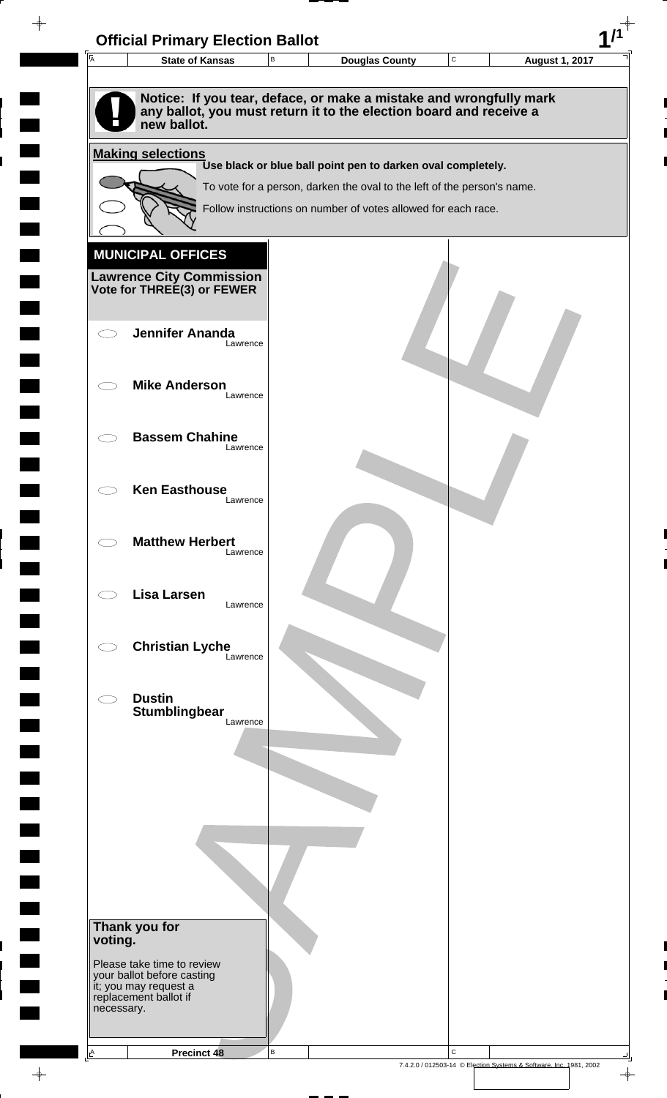| 匠                        | <b>State of Kansas</b>                              | В | <b>Douglas County</b>                                                   | C | <b>August 1, 2017</b> |
|--------------------------|-----------------------------------------------------|---|-------------------------------------------------------------------------|---|-----------------------|
|                          |                                                     |   |                                                                         |   |                       |
|                          |                                                     |   | Notice: If you tear, deface, or make a mistake and wrongfully mark      |   |                       |
|                          | new ballot.                                         |   | any ballot, you must return it to the election board and receive a      |   |                       |
|                          |                                                     |   |                                                                         |   |                       |
|                          | <b>Making selections</b>                            |   | Use black or blue ball point pen to darken oval completely.             |   |                       |
|                          |                                                     |   | To vote for a person, darken the oval to the left of the person's name. |   |                       |
|                          |                                                     |   | Follow instructions on number of votes allowed for each race.           |   |                       |
|                          |                                                     |   |                                                                         |   |                       |
|                          | <b>MUNICIPAL OFFICES</b>                            |   |                                                                         |   |                       |
|                          | <b>Lawrence City Commission</b>                     |   |                                                                         |   |                       |
|                          | Vote for THREE(3) or FEWER                          |   |                                                                         |   |                       |
|                          |                                                     |   |                                                                         |   |                       |
|                          | <b>Jennifer Ananda</b><br>Lawrence                  |   |                                                                         |   |                       |
|                          |                                                     |   |                                                                         |   |                       |
|                          | <b>Mike Anderson</b>                                |   |                                                                         |   |                       |
|                          | Lawrence                                            |   |                                                                         |   |                       |
|                          | <b>Bassem Chahine</b>                               |   |                                                                         |   |                       |
|                          | Lawrence                                            |   |                                                                         |   |                       |
|                          |                                                     |   |                                                                         |   |                       |
|                          | <b>Ken Easthouse</b><br>Lawrence                    |   |                                                                         |   |                       |
|                          |                                                     |   |                                                                         |   |                       |
|                          | <b>Matthew Herbert</b>                              |   |                                                                         |   |                       |
|                          | Lawrence                                            |   |                                                                         |   |                       |
|                          |                                                     |   |                                                                         |   |                       |
|                          | <b>Lisa Larsen</b><br>Lawrence                      |   |                                                                         |   |                       |
|                          |                                                     |   |                                                                         |   |                       |
|                          | <b>Christian Lyche</b><br>Lawrence                  |   |                                                                         |   |                       |
|                          |                                                     |   |                                                                         |   |                       |
|                          | <b>Dustin</b>                                       |   |                                                                         |   |                       |
|                          | Stumblingbear<br>Lawrence                           |   |                                                                         |   |                       |
|                          |                                                     |   |                                                                         |   |                       |
|                          |                                                     |   |                                                                         |   |                       |
|                          |                                                     |   |                                                                         |   |                       |
|                          |                                                     |   |                                                                         |   |                       |
|                          |                                                     |   |                                                                         |   |                       |
|                          |                                                     |   |                                                                         |   |                       |
|                          |                                                     |   |                                                                         |   |                       |
|                          |                                                     |   |                                                                         |   |                       |
|                          |                                                     |   |                                                                         |   |                       |
| Thank you for<br>voting. |                                                     |   |                                                                         |   |                       |
|                          | Please take time to review                          |   |                                                                         |   |                       |
|                          | your ballot before casting<br>it; you may request a |   |                                                                         |   |                       |
| necessary.               | replacement ballot if                               |   |                                                                         |   |                       |
|                          |                                                     |   |                                                                         |   |                       |

 $\blacksquare$ 

 $\blacksquare$ 

 $\begin{array}{c} \hline \end{array}$ 

 $\begin{array}{c} \begin{array}{c} \hline \end{array} \end{array}$ 

 $\frac{1}{\sqrt{2\pi}}\int_{0}^{\pi}\frac{1}{\sqrt{2\pi}}\left( \frac{1}{\sqrt{2\pi}}\right) \frac{d\mu}{d\mu}d\mu$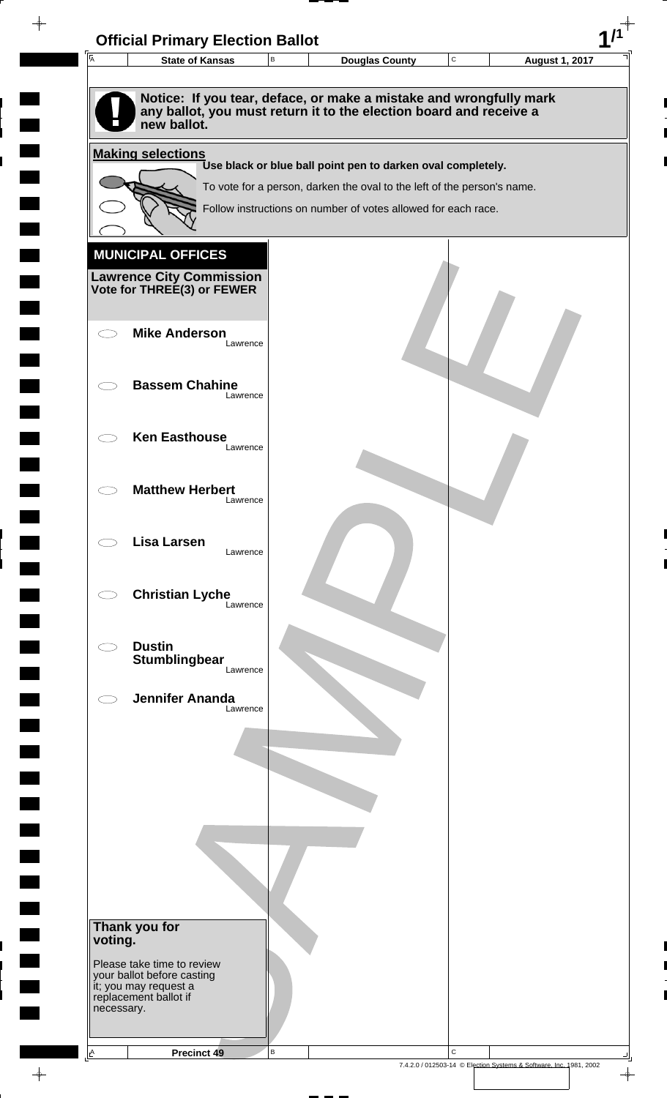| $\overline{A}$ | В<br><b>State of Kansas</b>                                                                                                                             | <b>Douglas County</b>                                                                                                                    | $\mathbf C$ | <b>August 1, 2017</b> |
|----------------|---------------------------------------------------------------------------------------------------------------------------------------------------------|------------------------------------------------------------------------------------------------------------------------------------------|-------------|-----------------------|
|                | Notice: If you tear, deface, or make a mistake and wrongfully mark<br>any ballot, you must return it to the election board and receive a<br>new ballot. |                                                                                                                                          |             |                       |
|                | <b>Making selections</b>                                                                                                                                |                                                                                                                                          |             |                       |
|                |                                                                                                                                                         | Use black or blue ball point pen to darken oval completely.                                                                              |             |                       |
|                |                                                                                                                                                         | To vote for a person, darken the oval to the left of the person's name.<br>Follow instructions on number of votes allowed for each race. |             |                       |
|                |                                                                                                                                                         |                                                                                                                                          |             |                       |
|                | <b>MUNICIPAL OFFICES</b>                                                                                                                                |                                                                                                                                          |             |                       |
|                |                                                                                                                                                         |                                                                                                                                          |             |                       |
|                | <b>Lawrence City Commission Vote for THREE(3) or FEWER</b>                                                                                              |                                                                                                                                          |             |                       |
|                |                                                                                                                                                         |                                                                                                                                          |             |                       |
|                | <b>Mike Anderson</b><br>Lawrence                                                                                                                        |                                                                                                                                          |             |                       |
|                |                                                                                                                                                         |                                                                                                                                          |             |                       |
|                | <b>Bassem Chahine</b><br>Lawrence                                                                                                                       |                                                                                                                                          |             |                       |
|                |                                                                                                                                                         |                                                                                                                                          |             |                       |
|                | <b>Ken Easthouse</b>                                                                                                                                    |                                                                                                                                          |             |                       |
|                | Lawrence                                                                                                                                                |                                                                                                                                          |             |                       |
|                | <b>Matthew Herbert</b>                                                                                                                                  |                                                                                                                                          |             |                       |
|                | Lawrence                                                                                                                                                |                                                                                                                                          |             |                       |
|                |                                                                                                                                                         |                                                                                                                                          |             |                       |
|                | <b>Lisa Larsen</b><br>Lawrence                                                                                                                          |                                                                                                                                          |             |                       |
|                |                                                                                                                                                         |                                                                                                                                          |             |                       |
|                | <b>Christian Lyche</b><br>Lawrence                                                                                                                      |                                                                                                                                          |             |                       |
|                |                                                                                                                                                         |                                                                                                                                          |             |                       |
|                | <b>Dustin</b>                                                                                                                                           |                                                                                                                                          |             |                       |
|                | <b>Stumblingbear</b><br>Lawrence                                                                                                                        |                                                                                                                                          |             |                       |
|                | <b>Jennifer Ananda</b>                                                                                                                                  |                                                                                                                                          |             |                       |
|                | Lawrence                                                                                                                                                |                                                                                                                                          |             |                       |
|                |                                                                                                                                                         |                                                                                                                                          |             |                       |
|                |                                                                                                                                                         |                                                                                                                                          |             |                       |
|                |                                                                                                                                                         |                                                                                                                                          |             |                       |
|                |                                                                                                                                                         |                                                                                                                                          |             |                       |
|                |                                                                                                                                                         |                                                                                                                                          |             |                       |
|                |                                                                                                                                                         |                                                                                                                                          |             |                       |
|                |                                                                                                                                                         |                                                                                                                                          |             |                       |
|                |                                                                                                                                                         |                                                                                                                                          |             |                       |
| voting.        | Thank you for                                                                                                                                           |                                                                                                                                          |             |                       |
|                | Please take time to review                                                                                                                              |                                                                                                                                          |             |                       |
|                | your ballot before casting<br>it; you may request a                                                                                                     |                                                                                                                                          |             |                       |
|                | replacement ballot if                                                                                                                                   |                                                                                                                                          |             |                       |
| necessary.     |                                                                                                                                                         |                                                                                                                                          |             |                       |

 $\blacksquare$ 

 $\blacksquare$ 

 $\begin{array}{c} \hline \end{array}$ 

 $\begin{array}{c} \hline \end{array}$ 

 $\blacksquare$ 

 $\begin{array}{c}\n\downarrow \\
\downarrow \\
\downarrow\n\end{array}$ 

 $\begin{bmatrix} 1 \\ 1 \end{bmatrix}$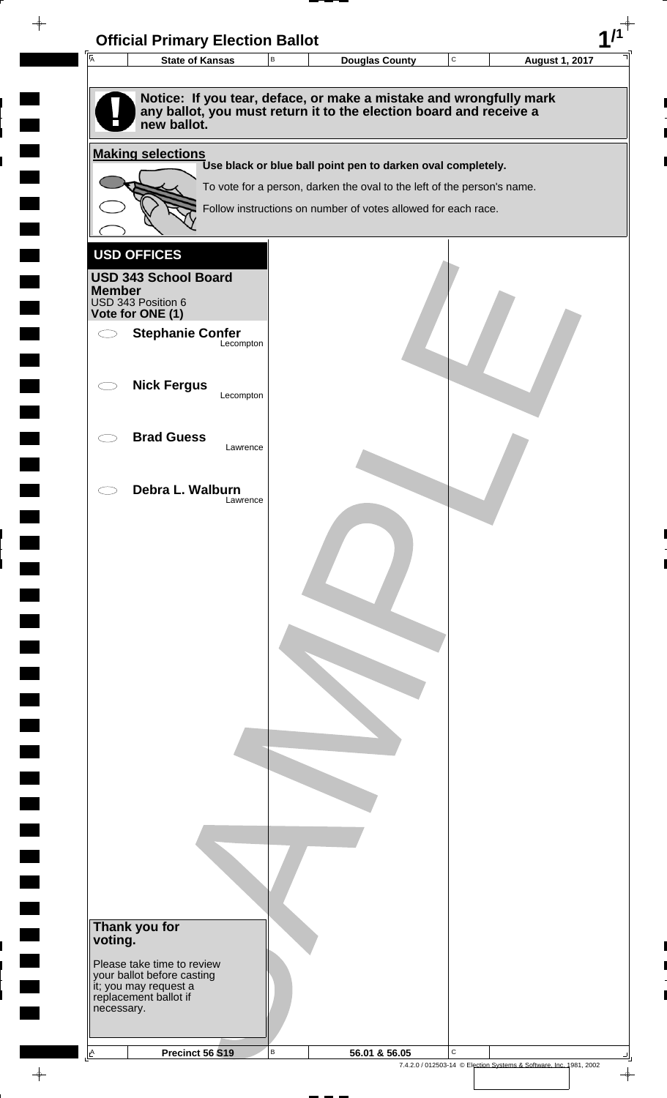| $\overline{A}$                     | <b>Official Primary Election Ballot</b><br><b>State of Kansas</b>            | $\, {\sf B}$ | <b>Douglas County</b>                                                   | ${\bf C}$ | <b>August 1, 2017</b> |
|------------------------------------|------------------------------------------------------------------------------|--------------|-------------------------------------------------------------------------|-----------|-----------------------|
|                                    |                                                                              |              |                                                                         |           |                       |
|                                    |                                                                              |              | Notice: If you tear, deface, or make a mistake and wrongfully mark      |           |                       |
|                                    | new ballot.                                                                  |              | any ballot, you must return it to the election board and receive a      |           |                       |
|                                    |                                                                              |              |                                                                         |           |                       |
|                                    | <b>Making selections</b>                                                     |              | Use black or blue ball point pen to darken oval completely.             |           |                       |
|                                    |                                                                              |              | To vote for a person, darken the oval to the left of the person's name. |           |                       |
|                                    |                                                                              |              | Follow instructions on number of votes allowed for each race.           |           |                       |
|                                    |                                                                              |              |                                                                         |           |                       |
|                                    | <b>USD OFFICES</b>                                                           |              |                                                                         |           |                       |
|                                    | <b>USD 343 School Board</b>                                                  |              |                                                                         |           |                       |
| <b>Member</b>                      | USD 343 Position 6                                                           |              |                                                                         |           |                       |
|                                    | Vote for ONE (1)                                                             |              |                                                                         |           |                       |
| $\bigcirc$                         | <b>Stephanie Confer</b>                                                      | Lecompton    |                                                                         |           |                       |
|                                    |                                                                              |              |                                                                         |           |                       |
| $\subset$ $\overline{\phantom{a}}$ | <b>Nick Fergus</b>                                                           |              |                                                                         |           |                       |
|                                    |                                                                              | Lecompton    |                                                                         |           |                       |
|                                    |                                                                              |              |                                                                         |           |                       |
|                                    | <b>Brad Guess</b>                                                            | Lawrence     |                                                                         |           |                       |
|                                    |                                                                              |              |                                                                         |           |                       |
|                                    | Debra L. Walburn                                                             |              |                                                                         |           |                       |
|                                    |                                                                              | Lawrence     |                                                                         |           |                       |
|                                    |                                                                              |              |                                                                         |           |                       |
|                                    |                                                                              |              |                                                                         |           |                       |
|                                    |                                                                              |              |                                                                         |           |                       |
|                                    |                                                                              |              |                                                                         |           |                       |
|                                    |                                                                              |              |                                                                         |           |                       |
|                                    |                                                                              |              |                                                                         |           |                       |
|                                    |                                                                              |              |                                                                         |           |                       |
|                                    |                                                                              |              |                                                                         |           |                       |
|                                    |                                                                              |              |                                                                         |           |                       |
|                                    |                                                                              |              |                                                                         |           |                       |
|                                    |                                                                              |              |                                                                         |           |                       |
|                                    |                                                                              |              |                                                                         |           |                       |
|                                    |                                                                              |              |                                                                         |           |                       |
|                                    |                                                                              |              |                                                                         |           |                       |
|                                    |                                                                              |              |                                                                         |           |                       |
|                                    |                                                                              |              |                                                                         |           |                       |
|                                    |                                                                              |              |                                                                         |           |                       |
|                                    |                                                                              |              |                                                                         |           |                       |
|                                    | Thank you for                                                                |              |                                                                         |           |                       |
| voting.                            |                                                                              |              |                                                                         |           |                       |
|                                    | Please take time to review                                                   |              |                                                                         |           |                       |
|                                    | your ballot before casting<br>it; you may request a<br>replacement ballot if |              |                                                                         |           |                       |
| necessary.                         |                                                                              |              |                                                                         |           |                       |
|                                    |                                                                              |              |                                                                         |           |                       |
|                                    |                                                                              |              |                                                                         |           |                       |

 $\blacksquare$ 

 $\blacksquare$ 

 $\blacksquare$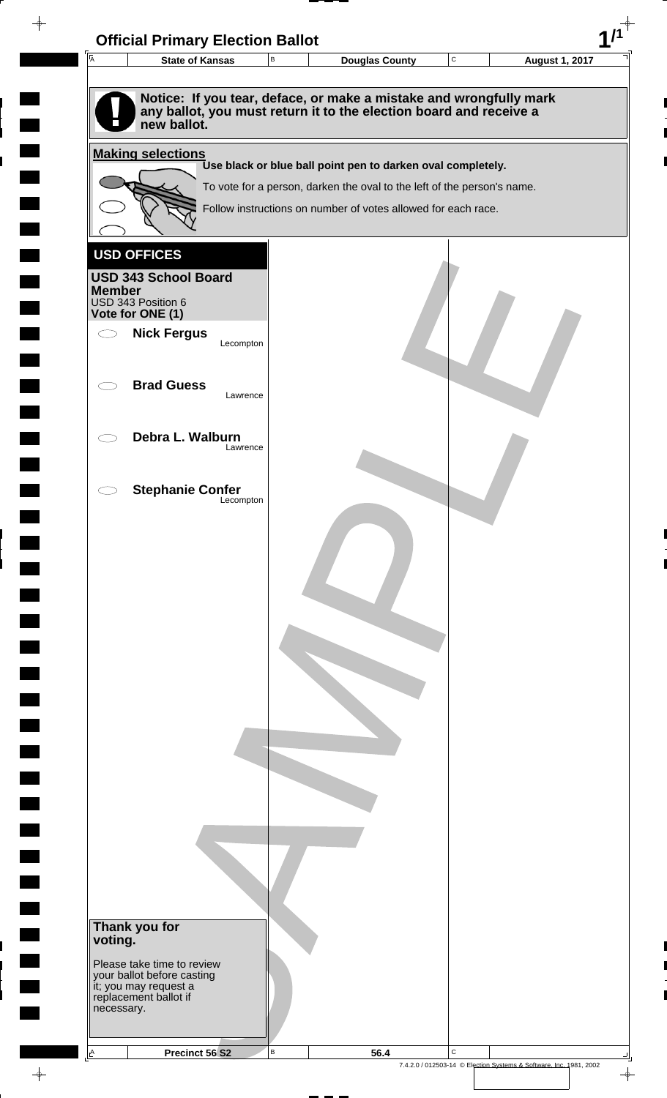| <b>I</b> A<br><b>State of Kansas</b>                                                                                                                    | В | <b>Douglas County</b>                                                   | $\mathtt{C}$ | <b>August 1, 2017</b> |
|---------------------------------------------------------------------------------------------------------------------------------------------------------|---|-------------------------------------------------------------------------|--------------|-----------------------|
|                                                                                                                                                         |   |                                                                         |              |                       |
| Notice: If you tear, deface, or make a mistake and wrongfully mark<br>any ballot, you must return it to the election board and receive a<br>new ballot. |   |                                                                         |              |                       |
| <b>Making selections</b>                                                                                                                                |   |                                                                         |              |                       |
|                                                                                                                                                         |   | Use black or blue ball point pen to darken oval completely.             |              |                       |
|                                                                                                                                                         |   | To vote for a person, darken the oval to the left of the person's name. |              |                       |
|                                                                                                                                                         |   | Follow instructions on number of votes allowed for each race.           |              |                       |
|                                                                                                                                                         |   |                                                                         |              |                       |
| <b>USD OFFICES</b>                                                                                                                                      |   |                                                                         |              |                       |
| <b>USD 343 School Board</b><br><b>Member</b>                                                                                                            |   |                                                                         |              |                       |
| USD 343 Position 6                                                                                                                                      |   |                                                                         |              |                       |
| Vote for ONE (1)<br><b>Nick Fergus</b><br>$\bigcirc$                                                                                                    |   |                                                                         |              |                       |
| Lecompton                                                                                                                                               |   |                                                                         |              |                       |
|                                                                                                                                                         |   |                                                                         |              |                       |
| <b>Brad Guess</b><br>Lawrence                                                                                                                           |   |                                                                         |              |                       |
|                                                                                                                                                         |   |                                                                         |              |                       |
| Debra L. Walburn                                                                                                                                        |   |                                                                         |              |                       |
| Lawrence                                                                                                                                                |   |                                                                         |              |                       |
|                                                                                                                                                         |   |                                                                         |              |                       |
| <b>Stephanie Confer</b><br>Lecompton                                                                                                                    |   |                                                                         |              |                       |
|                                                                                                                                                         |   |                                                                         |              |                       |
|                                                                                                                                                         |   |                                                                         |              |                       |
|                                                                                                                                                         |   |                                                                         |              |                       |
|                                                                                                                                                         |   |                                                                         |              |                       |
|                                                                                                                                                         |   |                                                                         |              |                       |
|                                                                                                                                                         |   |                                                                         |              |                       |
|                                                                                                                                                         |   |                                                                         |              |                       |
|                                                                                                                                                         |   |                                                                         |              |                       |
|                                                                                                                                                         |   |                                                                         |              |                       |
|                                                                                                                                                         |   |                                                                         |              |                       |
|                                                                                                                                                         |   |                                                                         |              |                       |
|                                                                                                                                                         |   |                                                                         |              |                       |
|                                                                                                                                                         |   |                                                                         |              |                       |
|                                                                                                                                                         |   |                                                                         |              |                       |
|                                                                                                                                                         |   |                                                                         |              |                       |
|                                                                                                                                                         |   |                                                                         |              |                       |
|                                                                                                                                                         |   |                                                                         |              |                       |
|                                                                                                                                                         |   |                                                                         |              |                       |
| Thank you for                                                                                                                                           |   |                                                                         |              |                       |
| voting.                                                                                                                                                 |   |                                                                         |              |                       |
| Please take time to review<br>your ballot before casting                                                                                                |   |                                                                         |              |                       |
| it; you may request a<br>replacement ballot if                                                                                                          |   |                                                                         |              |                       |
| necessary.                                                                                                                                              |   |                                                                         |              |                       |
|                                                                                                                                                         |   |                                                                         |              |                       |

 $\frac{1}{\sqrt{2}}$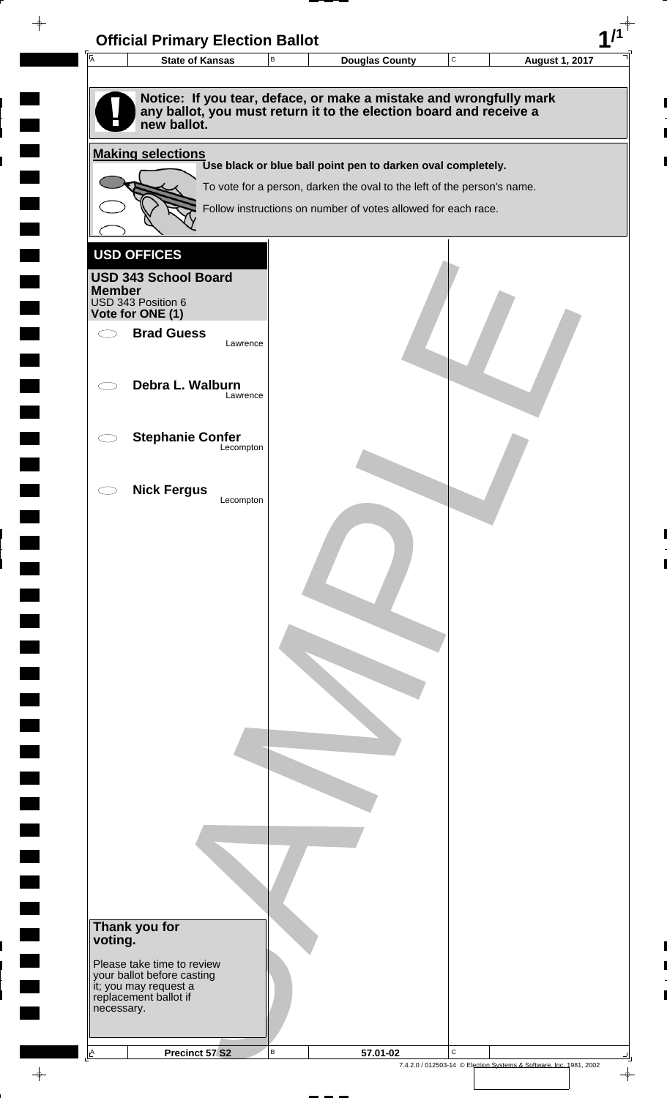| Ā<br><b>State of Kansas</b>                                                                                                                             | $\, {\bf B}$ | <b>Douglas County</b>                                                                                                                                                                                   | $\mathbf C$ | <b>August 1, 2017</b> |
|---------------------------------------------------------------------------------------------------------------------------------------------------------|--------------|---------------------------------------------------------------------------------------------------------------------------------------------------------------------------------------------------------|-------------|-----------------------|
|                                                                                                                                                         |              |                                                                                                                                                                                                         |             |                       |
| Notice: If you tear, deface, or make a mistake and wrongfully mark<br>any ballot, you must return it to the election board and receive a<br>new ballot. |              |                                                                                                                                                                                                         |             |                       |
| <b>Making selections</b>                                                                                                                                |              |                                                                                                                                                                                                         |             |                       |
|                                                                                                                                                         |              | Use black or blue ball point pen to darken oval completely.<br>To vote for a person, darken the oval to the left of the person's name.<br>Follow instructions on number of votes allowed for each race. |             |                       |
|                                                                                                                                                         |              |                                                                                                                                                                                                         |             |                       |
| <b>USD OFFICES</b>                                                                                                                                      |              |                                                                                                                                                                                                         |             |                       |
| <b>USD 343 School Board</b>                                                                                                                             |              |                                                                                                                                                                                                         |             |                       |
| <b>Member</b>                                                                                                                                           |              |                                                                                                                                                                                                         |             |                       |
| USD 343 Position 6<br>Vote for ONE (1)                                                                                                                  |              |                                                                                                                                                                                                         |             |                       |
| <b>Brad Guess</b><br>$\bigcirc$                                                                                                                         |              |                                                                                                                                                                                                         |             |                       |
| Lawrence                                                                                                                                                |              |                                                                                                                                                                                                         |             |                       |
|                                                                                                                                                         |              |                                                                                                                                                                                                         |             |                       |
| Debra L. Walburn<br>Lawrence                                                                                                                            |              |                                                                                                                                                                                                         |             |                       |
|                                                                                                                                                         |              |                                                                                                                                                                                                         |             |                       |
| <b>Stephanie Confer</b>                                                                                                                                 |              |                                                                                                                                                                                                         |             |                       |
| Lecompton                                                                                                                                               |              |                                                                                                                                                                                                         |             |                       |
|                                                                                                                                                         |              |                                                                                                                                                                                                         |             |                       |
| <b>Nick Fergus</b><br>Lecompton                                                                                                                         |              |                                                                                                                                                                                                         |             |                       |
|                                                                                                                                                         |              |                                                                                                                                                                                                         |             |                       |
|                                                                                                                                                         |              |                                                                                                                                                                                                         |             |                       |
|                                                                                                                                                         |              |                                                                                                                                                                                                         |             |                       |
|                                                                                                                                                         |              |                                                                                                                                                                                                         |             |                       |
|                                                                                                                                                         |              |                                                                                                                                                                                                         |             |                       |
|                                                                                                                                                         |              |                                                                                                                                                                                                         |             |                       |
|                                                                                                                                                         |              |                                                                                                                                                                                                         |             |                       |
|                                                                                                                                                         |              |                                                                                                                                                                                                         |             |                       |
|                                                                                                                                                         |              |                                                                                                                                                                                                         |             |                       |
|                                                                                                                                                         |              |                                                                                                                                                                                                         |             |                       |
|                                                                                                                                                         |              |                                                                                                                                                                                                         |             |                       |
|                                                                                                                                                         |              |                                                                                                                                                                                                         |             |                       |
|                                                                                                                                                         |              |                                                                                                                                                                                                         |             |                       |
|                                                                                                                                                         |              |                                                                                                                                                                                                         |             |                       |
|                                                                                                                                                         |              |                                                                                                                                                                                                         |             |                       |
|                                                                                                                                                         |              |                                                                                                                                                                                                         |             |                       |
|                                                                                                                                                         |              |                                                                                                                                                                                                         |             |                       |
|                                                                                                                                                         |              |                                                                                                                                                                                                         |             |                       |
|                                                                                                                                                         |              |                                                                                                                                                                                                         |             |                       |
| Thank you for                                                                                                                                           |              |                                                                                                                                                                                                         |             |                       |
| voting.                                                                                                                                                 |              |                                                                                                                                                                                                         |             |                       |
| Please take time to review<br>your ballot before casting                                                                                                |              |                                                                                                                                                                                                         |             |                       |
| it; you may request a<br>replacement ballot if                                                                                                          |              |                                                                                                                                                                                                         |             |                       |
| necessary.                                                                                                                                              |              |                                                                                                                                                                                                         |             |                       |
|                                                                                                                                                         |              |                                                                                                                                                                                                         |             |                       |

 $\frac{1}{\sqrt{2\pi}}$ 

 $\frac{1}{\sqrt{2}}$ 

 $\blacksquare$ 

 $\blacksquare$ 

 $\blacksquare$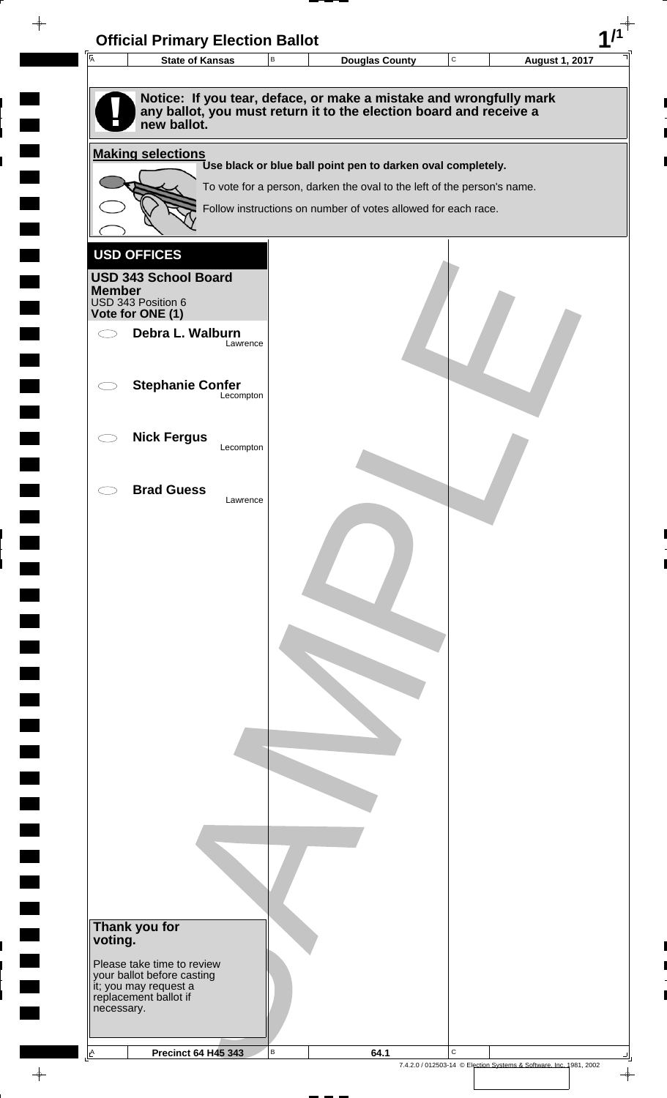| $\overline{A}$<br><b>State of Kansas</b>                                          | $\mathsf B$ | <b>Douglas County</b>                                                   | $\mathbf C$ | <b>August 1, 2017</b> |
|-----------------------------------------------------------------------------------|-------------|-------------------------------------------------------------------------|-------------|-----------------------|
|                                                                                   |             |                                                                         |             |                       |
| Notice: If you tear, deface, or make a mistake and wrongfully mark                |             |                                                                         |             |                       |
| any ballot, you must return it to the election board and receive a<br>new ballot. |             |                                                                         |             |                       |
|                                                                                   |             |                                                                         |             |                       |
| <b>Making selections</b>                                                          |             | Use black or blue ball point pen to darken oval completely.             |             |                       |
|                                                                                   |             | To vote for a person, darken the oval to the left of the person's name. |             |                       |
|                                                                                   |             | Follow instructions on number of votes allowed for each race.           |             |                       |
|                                                                                   |             |                                                                         |             |                       |
| <b>USD OFFICES</b>                                                                |             |                                                                         |             |                       |
| <b>USD 343 School Board</b>                                                       |             |                                                                         |             |                       |
| <b>Member</b>                                                                     |             |                                                                         |             |                       |
| USD 343 Position 6<br>Vote for ONE (1)                                            |             |                                                                         |             |                       |
| Debra L. Walburn<br>Ο                                                             |             |                                                                         |             |                       |
|                                                                                   | Lawrence    |                                                                         |             |                       |
| <b>Stephanie Confer</b>                                                           |             |                                                                         |             |                       |
|                                                                                   | Lecompton   |                                                                         |             |                       |
|                                                                                   |             |                                                                         |             |                       |
| <b>Nick Fergus</b>                                                                | Lecompton   |                                                                         |             |                       |
|                                                                                   |             |                                                                         |             |                       |
| <b>Brad Guess</b>                                                                 |             |                                                                         |             |                       |
|                                                                                   | Lawrence    |                                                                         |             |                       |
|                                                                                   |             |                                                                         |             |                       |
|                                                                                   |             |                                                                         |             |                       |
|                                                                                   |             |                                                                         |             |                       |
|                                                                                   |             |                                                                         |             |                       |
|                                                                                   |             |                                                                         |             |                       |
|                                                                                   |             |                                                                         |             |                       |
|                                                                                   |             |                                                                         |             |                       |
|                                                                                   |             |                                                                         |             |                       |
|                                                                                   |             |                                                                         |             |                       |
|                                                                                   |             |                                                                         |             |                       |
|                                                                                   |             |                                                                         |             |                       |
|                                                                                   |             |                                                                         |             |                       |
|                                                                                   |             |                                                                         |             |                       |
|                                                                                   |             |                                                                         |             |                       |
|                                                                                   |             |                                                                         |             |                       |
|                                                                                   |             |                                                                         |             |                       |
|                                                                                   |             |                                                                         |             |                       |
|                                                                                   |             |                                                                         |             |                       |
| Thank you for                                                                     |             |                                                                         |             |                       |
| voting.                                                                           |             |                                                                         |             |                       |
| Please take time to review                                                        |             |                                                                         |             |                       |
| your ballot before casting<br>it; you may request a<br>replacement ballot if      |             |                                                                         |             |                       |
| necessary.                                                                        |             |                                                                         |             |                       |
|                                                                                   |             |                                                                         |             |                       |

 $\frac{1}{\sqrt{2}}$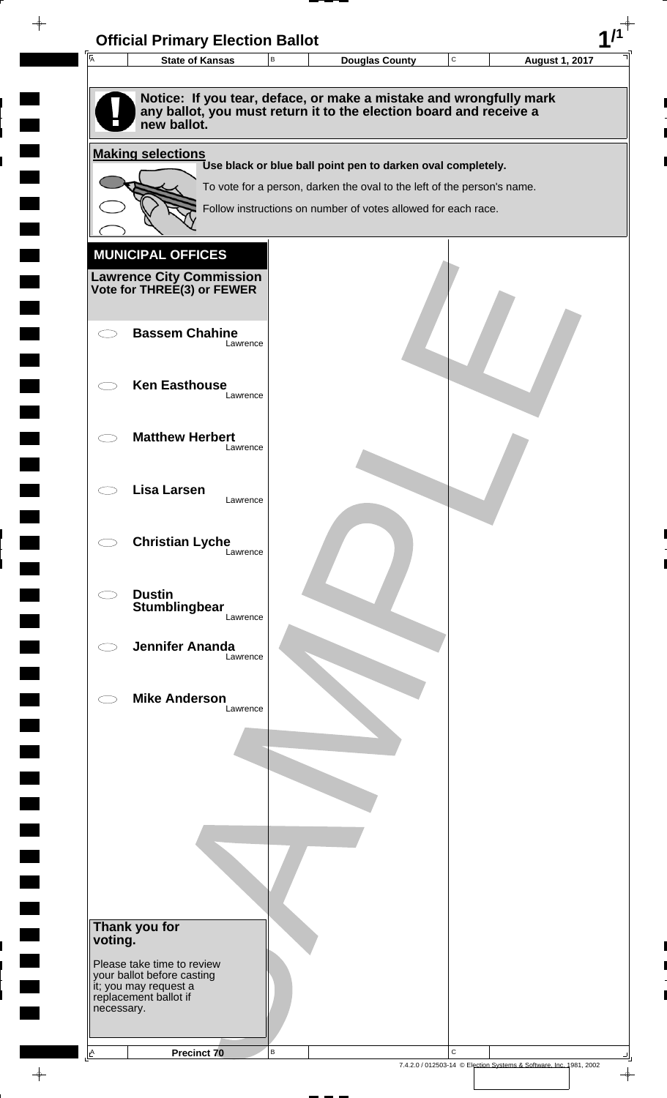| $\overline{\mathsf{A}}$ | <b>State of Kansas</b>                                                            | $\, {\bf B}$ | <b>Douglas County</b>                                                                                                                    | C           | <b>August 1, 2017</b> |
|-------------------------|-----------------------------------------------------------------------------------|--------------|------------------------------------------------------------------------------------------------------------------------------------------|-------------|-----------------------|
|                         | new ballot.                                                                       |              | Notice: If you tear, deface, or make a mistake and wrongfully mark<br>any ballot, you must return it to the election board and receive a |             |                       |
|                         | <b>Making selections</b>                                                          |              |                                                                                                                                          |             |                       |
|                         |                                                                                   |              | Use black or blue ball point pen to darken oval completely.<br>To vote for a person, darken the oval to the left of the person's name.   |             |                       |
|                         |                                                                                   |              | Follow instructions on number of votes allowed for each race.                                                                            |             |                       |
|                         |                                                                                   |              |                                                                                                                                          |             |                       |
|                         | <b>MUNICIPAL OFFICES</b>                                                          |              |                                                                                                                                          |             |                       |
|                         | <b>Lawrence City Commission</b><br>Vote for THREE(3) or FEWER                     |              |                                                                                                                                          |             |                       |
|                         |                                                                                   |              |                                                                                                                                          |             |                       |
|                         | <b>Bassem Chahine</b><br>Lawrence                                                 |              |                                                                                                                                          |             |                       |
|                         | <b>Ken Easthouse</b>                                                              |              |                                                                                                                                          |             |                       |
|                         | Lawrence                                                                          |              |                                                                                                                                          |             |                       |
|                         | <b>Matthew Herbert</b>                                                            |              |                                                                                                                                          |             |                       |
|                         | Lawrence                                                                          |              |                                                                                                                                          |             |                       |
|                         | <b>Lisa Larsen</b><br>Lawrence                                                    |              |                                                                                                                                          |             |                       |
|                         |                                                                                   |              |                                                                                                                                          |             |                       |
|                         | <b>Christian Lyche</b><br>Lawrence                                                |              |                                                                                                                                          |             |                       |
|                         |                                                                                   |              |                                                                                                                                          |             |                       |
|                         | <b>Dustin</b><br>Stumblingbear                                                    |              |                                                                                                                                          |             |                       |
|                         | Lawrence                                                                          |              |                                                                                                                                          |             |                       |
|                         | <b>Jennifer Ananda</b><br>Lawrence                                                |              |                                                                                                                                          |             |                       |
|                         | <b>Mike Anderson</b>                                                              |              |                                                                                                                                          |             |                       |
|                         | Lawrence                                                                          |              |                                                                                                                                          |             |                       |
|                         |                                                                                   |              |                                                                                                                                          |             |                       |
|                         |                                                                                   |              |                                                                                                                                          |             |                       |
|                         |                                                                                   |              |                                                                                                                                          |             |                       |
|                         |                                                                                   |              |                                                                                                                                          |             |                       |
|                         |                                                                                   |              |                                                                                                                                          |             |                       |
|                         |                                                                                   |              |                                                                                                                                          |             |                       |
|                         | Thank you for                                                                     |              |                                                                                                                                          |             |                       |
| voting.                 |                                                                                   |              |                                                                                                                                          |             |                       |
|                         | Please take time to review<br>your ballot before casting<br>it; you may request a |              |                                                                                                                                          |             |                       |
| necessary.              | replacement ballot if                                                             |              |                                                                                                                                          |             |                       |
|                         |                                                                                   |              |                                                                                                                                          |             |                       |
|                         | <b>Precinct 70</b>                                                                | $\, {\bf B}$ |                                                                                                                                          | $\mathsf C$ |                       |

 $\frac{1}{\sqrt{2\pi}}$ 

 $\overline{\phantom{a}}$ 

 $\blacksquare$ 

 $\blacksquare$ 

 $\begin{array}{c} \hline \end{array}$ 

 $\begin{array}{c} \hline \end{array}$ 

 $\blacksquare$ 

7.4.2.0 / 012503-14 © Election Systems & Software, Inc. 1981, 2002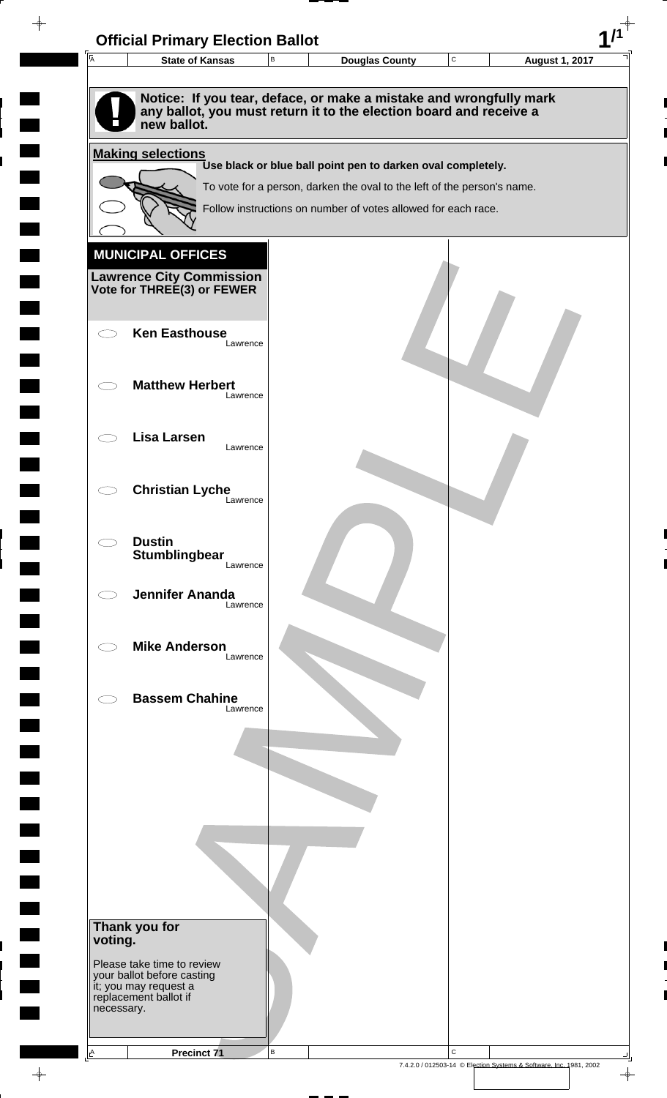

 $\overline{\phantom{a}}$ 

**Contract** 

 $\blacksquare$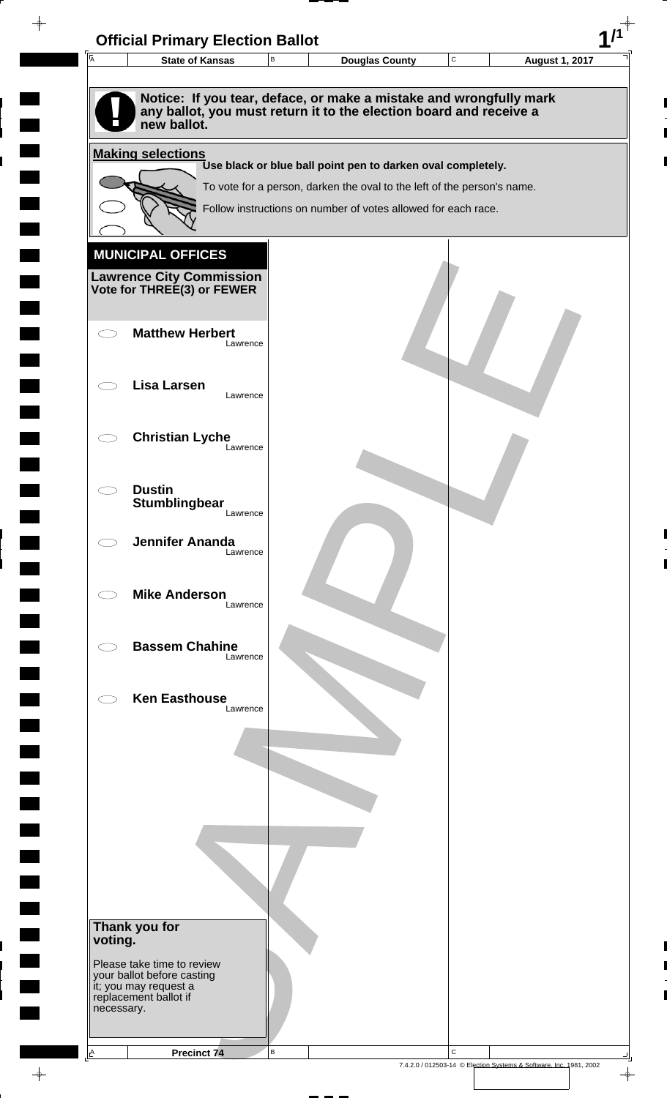| $\overline{A}$ | <b>State of Kansas</b>                                                                                                                   |          | В | Douglas County                                                                                                                           | $\mathbf C$ | <b>August 1, 2017</b> |
|----------------|------------------------------------------------------------------------------------------------------------------------------------------|----------|---|------------------------------------------------------------------------------------------------------------------------------------------|-------------|-----------------------|
|                |                                                                                                                                          |          |   |                                                                                                                                          |             |                       |
|                | Notice: If you tear, deface, or make a mistake and wrongfully mark<br>any ballot, you must return it to the election board and receive a |          |   |                                                                                                                                          |             |                       |
|                | new ballot.                                                                                                                              |          |   |                                                                                                                                          |             |                       |
|                | <b>Making selections</b>                                                                                                                 |          |   |                                                                                                                                          |             |                       |
|                |                                                                                                                                          |          |   | Use black or blue ball point pen to darken oval completely.                                                                              |             |                       |
|                |                                                                                                                                          |          |   | To vote for a person, darken the oval to the left of the person's name.<br>Follow instructions on number of votes allowed for each race. |             |                       |
|                |                                                                                                                                          |          |   |                                                                                                                                          |             |                       |
|                | <b>MUNICIPAL OFFICES</b>                                                                                                                 |          |   |                                                                                                                                          |             |                       |
|                |                                                                                                                                          |          |   |                                                                                                                                          |             |                       |
|                | <b>Lawrence City Commission Vote for THREE(3) or FEWER</b>                                                                               |          |   |                                                                                                                                          |             |                       |
|                |                                                                                                                                          |          |   |                                                                                                                                          |             |                       |
|                | <b>Matthew Herbert</b>                                                                                                                   | Lawrence |   |                                                                                                                                          |             |                       |
|                |                                                                                                                                          |          |   |                                                                                                                                          |             |                       |
|                | <b>Lisa Larsen</b>                                                                                                                       | Lawrence |   |                                                                                                                                          |             |                       |
|                |                                                                                                                                          |          |   |                                                                                                                                          |             |                       |
|                | <b>Christian Lyche</b>                                                                                                                   |          |   |                                                                                                                                          |             |                       |
|                |                                                                                                                                          | Lawrence |   |                                                                                                                                          |             |                       |
|                | <b>Dustin</b>                                                                                                                            |          |   |                                                                                                                                          |             |                       |
|                | Stumblingbear                                                                                                                            | Lawrence |   |                                                                                                                                          |             |                       |
|                |                                                                                                                                          |          |   |                                                                                                                                          |             |                       |
|                | <b>Jennifer Ananda</b>                                                                                                                   | Lawrence |   |                                                                                                                                          |             |                       |
|                |                                                                                                                                          |          |   |                                                                                                                                          |             |                       |
|                | <b>Mike Anderson</b>                                                                                                                     | Lawrence |   |                                                                                                                                          |             |                       |
|                |                                                                                                                                          |          |   |                                                                                                                                          |             |                       |
|                | <b>Bassem Chahine</b>                                                                                                                    | Lawrence |   |                                                                                                                                          |             |                       |
|                |                                                                                                                                          |          |   |                                                                                                                                          |             |                       |
|                | <b>Ken Easthouse</b>                                                                                                                     |          |   |                                                                                                                                          |             |                       |
|                |                                                                                                                                          | Lawrence |   |                                                                                                                                          |             |                       |
|                |                                                                                                                                          |          |   |                                                                                                                                          |             |                       |
|                |                                                                                                                                          |          |   |                                                                                                                                          |             |                       |
|                |                                                                                                                                          |          |   |                                                                                                                                          |             |                       |
|                |                                                                                                                                          |          |   |                                                                                                                                          |             |                       |
|                |                                                                                                                                          |          |   |                                                                                                                                          |             |                       |
|                |                                                                                                                                          |          |   |                                                                                                                                          |             |                       |
|                |                                                                                                                                          |          |   |                                                                                                                                          |             |                       |
|                |                                                                                                                                          |          |   |                                                                                                                                          |             |                       |
| voting.        | Thank you for                                                                                                                            |          |   |                                                                                                                                          |             |                       |
|                | Please take time to review                                                                                                               |          |   |                                                                                                                                          |             |                       |
|                | your ballot before casting<br>it; you may request a                                                                                      |          |   |                                                                                                                                          |             |                       |
| necessary.     | replacement ballot if                                                                                                                    |          |   |                                                                                                                                          |             |                       |

 $\blacksquare$ 

 $\blacksquare$ 

 $\begin{array}{c} \hline \end{array}$ 

 $\begin{array}{c} \hline \end{array}$ 

 $\blacksquare$ 

 $\frac{1}{\sqrt{2\pi}}\int_{0}^{\pi}\frac{1}{\sqrt{2\pi}}\left( \frac{1}{\sqrt{2\pi}}\right) \frac{d\mu}{d\mu}d\mu$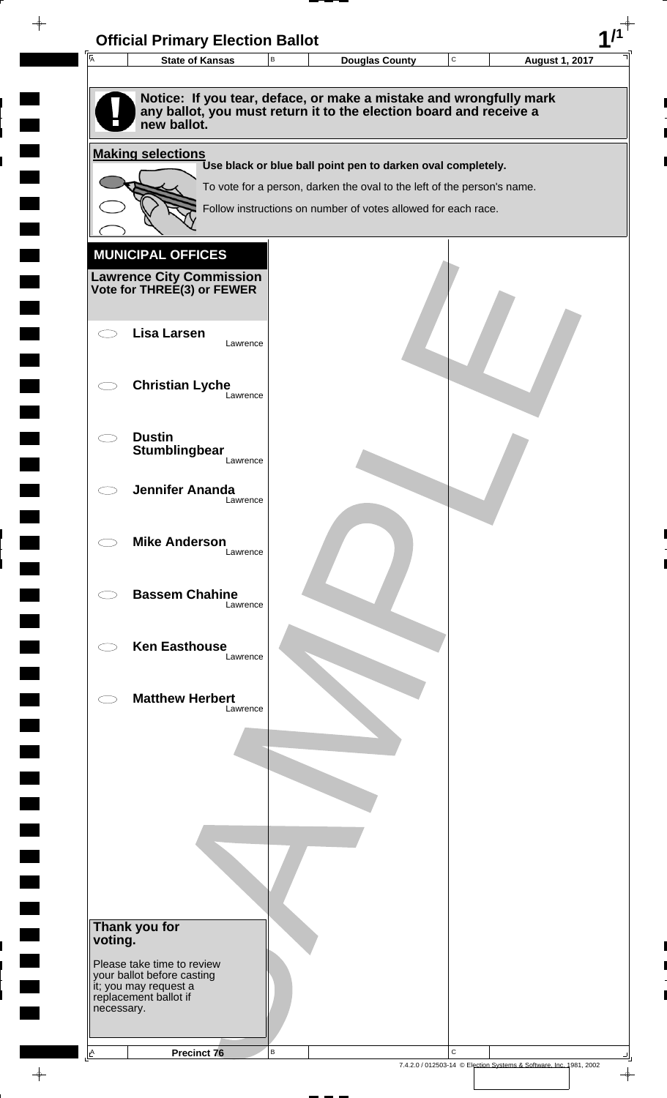